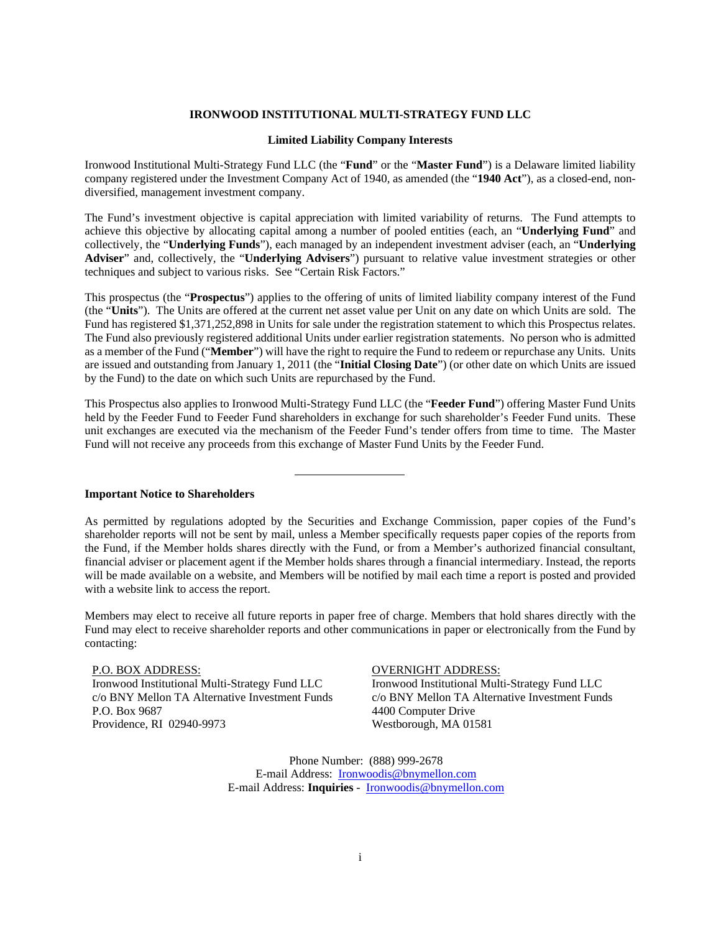### **IRONWOOD INSTITUTIONAL MULTI-STRATEGY FUND LLC**

#### **Limited Liability Company Interests**

Ironwood Institutional Multi-Strategy Fund LLC (the "**Fund**" or the "**Master Fund**") is a Delaware limited liability company registered under the Investment Company Act of 1940, as amended (the "**1940 Act**"), as a closed-end, nondiversified, management investment company.

The Fund's investment objective is capital appreciation with limited variability of returns. The Fund attempts to achieve this objective by allocating capital among a number of pooled entities (each, an "**Underlying Fund**" and collectively, the "**Underlying Funds**"), each managed by an independent investment adviser (each, an "**Underlying Adviser**" and, collectively, the "**Underlying Advisers**") pursuant to relative value investment strategies or other techniques and subject to various risks. See "Certain Risk Factors."

This prospectus (the "**Prospectus**") applies to the offering of units of limited liability company interest of the Fund (the "**Units**"). The Units are offered at the current net asset value per Unit on any date on which Units are sold. The Fund has registered \$1,371,252,898 in Units for sale under the registration statement to which this Prospectus relates. The Fund also previously registered additional Units under earlier registration statements. No person who is admitted as a member of the Fund ("**Member**") will have the right to require the Fund to redeem or repurchase any Units. Units are issued and outstanding from January 1, 2011 (the "**Initial Closing Date**") (or other date on which Units are issued by the Fund) to the date on which such Units are repurchased by the Fund.

This Prospectus also applies to Ironwood Multi-Strategy Fund LLC (the "**Feeder Fund**") offering Master Fund Units held by the Feeder Fund to Feeder Fund shareholders in exchange for such shareholder's Feeder Fund units. These unit exchanges are executed via the mechanism of the Feeder Fund's tender offers from time to time. The Master Fund will not receive any proceeds from this exchange of Master Fund Units by the Feeder Fund.

### **Important Notice to Shareholders**

As permitted by regulations adopted by the Securities and Exchange Commission, paper copies of the Fund's shareholder reports will not be sent by mail, unless a Member specifically requests paper copies of the reports from the Fund, if the Member holds shares directly with the Fund, or from a Member's authorized financial consultant, financial adviser or placement agent if the Member holds shares through a financial intermediary. Instead, the reports will be made available on a website, and Members will be notified by mail each time a report is posted and provided with a website link to access the report.

Members may elect to receive all future reports in paper free of charge. Members that hold shares directly with the Fund may elect to receive shareholder reports and other communications in paper or electronically from the Fund by contacting:

P.O. BOX ADDRESS: Ironwood Institutional Multi-Strategy Fund LLC c/o BNY Mellon TA Alternative Investment Funds P.O. Box 9687 Providence, RI 02940-9973

### OVERNIGHT ADDRESS:

Ironwood Institutional Multi-Strategy Fund LLC c/o BNY Mellon TA Alternative Investment Funds 4400 Computer Drive Westborough, MA 01581

Phone Number: (888) 999-2678 E-mail Address: [Ironwoodis@bnymellon.com](mailto:Ironwoodis@bnymellon.com) E-mail Address: **Inquiries** - [Ironwoodis@bnymellon.com](mailto:Ironwoodis@bnymellon.com)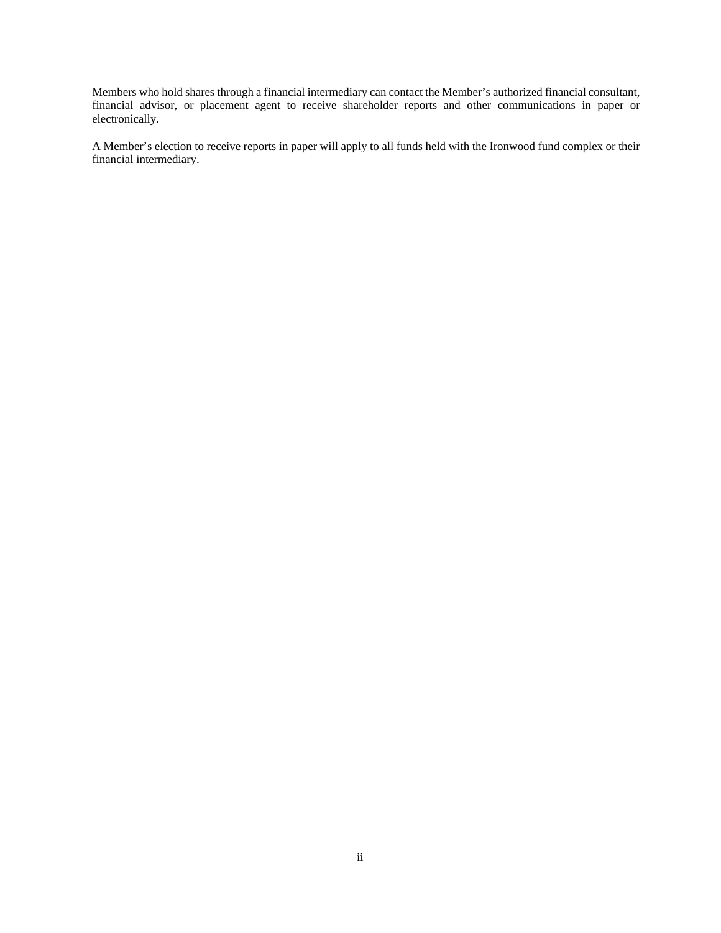Members who hold shares through a financial intermediary can contact the Member's authorized financial consultant, financial advisor, or placement agent to receive shareholder reports and other communications in paper or electronically.

A Member's election to receive reports in paper will apply to all funds held with the Ironwood fund complex or their financial intermediary.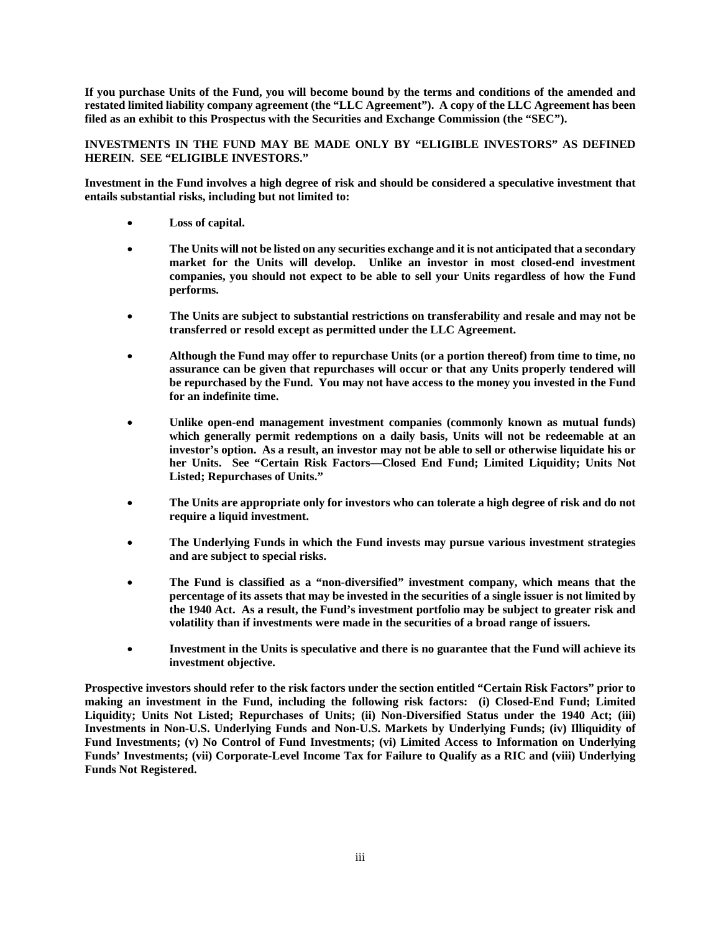**If you purchase Units of the Fund, you will become bound by the terms and conditions of the amended and restated limited liability company agreement (the "LLC Agreement"). A copy of the LLC Agreement has been filed as an exhibit to this Prospectus with the Securities and Exchange Commission (the "SEC").**

**INVESTMENTS IN THE FUND MAY BE MADE ONLY BY "ELIGIBLE INVESTORS" AS DEFINED HEREIN. SEE "ELIGIBLE INVESTORS."**

**Investment in the Fund involves a high degree of risk and should be considered a speculative investment that entails substantial risks, including but not limited to:**

- **Loss of capital.**
- **The Units will not be listed on any securities exchange and it is not anticipated that a secondary market for the Units will develop. Unlike an investor in most closed-end investment companies, you should not expect to be able to sell your Units regardless of how the Fund performs.**
- **The Units are subject to substantial restrictions on transferability and resale and may not be transferred or resold except as permitted under the LLC Agreement.**
- **Although the Fund may offer to repurchase Units (or a portion thereof) from time to time, no assurance can be given that repurchases will occur or that any Units properly tendered will be repurchased by the Fund. You may not have access to the money you invested in the Fund for an indefinite time.**
- Unlike open-end management investment companies (commonly known as mutual funds) **which generally permit redemptions on a daily basis, Units will not be redeemable at an investor's option. As a result, an investor may not be able to sell or otherwise liquidate his or her Units. See "Certain Risk Factors—Closed End Fund; Limited Liquidity; Units Not Listed; Repurchases of Units."**
- **The Units are appropriate only for investors who can tolerate a high degree of risk and do not require a liquid investment.**
- **The Underlying Funds in which the Fund invests may pursue various investment strategies and are subject to special risks.**
- **The Fund is classified as a "non-diversified" investment company, which means that the percentage of its assets that may be invested in the securities of a single issuer is not limited by the 1940 Act. As a result, the Fund's investment portfolio may be subject to greater risk and volatility than if investments were made in the securities of a broad range of issuers.**
- **Investment in the Units is speculative and there is no guarantee that the Fund will achieve its investment objective.**

**Prospective investors should refer to the risk factors under the section entitled "Certain Risk Factors" prior to making an investment in the Fund, including the following risk factors: (i) Closed-End Fund; Limited Liquidity; Units Not Listed; Repurchases of Units; (ii) Non-Diversified Status under the 1940 Act; (iii) Investments in Non-U.S. Underlying Funds and Non-U.S. Markets by Underlying Funds; (iv) Illiquidity of Fund Investments; (v) No Control of Fund Investments; (vi) Limited Access to Information on Underlying Funds' Investments; (vii) Corporate-Level Income Tax for Failure to Qualify as a RIC and (viii) Underlying Funds Not Registered.**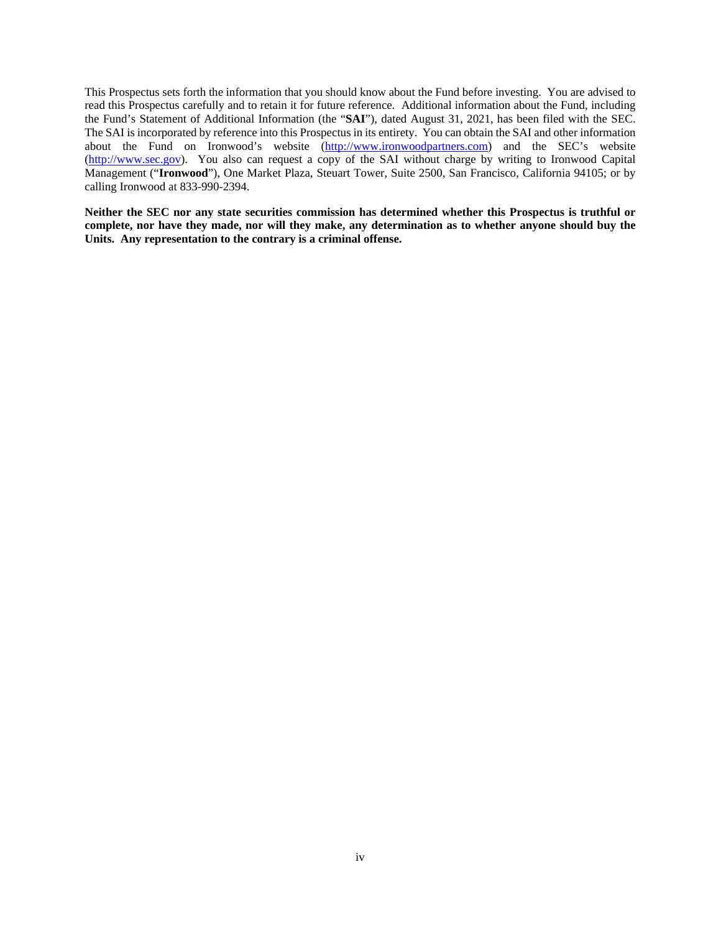This Prospectus sets forth the information that you should know about the Fund before investing. You are advised to read this Prospectus carefully and to retain it for future reference. Additional information about the Fund, including the Fund's Statement of Additional Information (the "**SAI**"), dated August 31, 2021, has been filed with the SEC. The SAI is incorporated by reference into this Prospectus in its entirety. You can obtain the SAI and other information about the Fund on Ironwood's website [\(http://www.ironwoodpartners.com\)](http://www.ironwoodpartners.com/) and the SEC's website [\(http://www.sec.gov\)](http://www.sec.gov/). You also can request a copy of the SAI without charge by writing to Ironwood Capital Management ("**Ironwood**"), One Market Plaza, Steuart Tower, Suite 2500, San Francisco, California 94105; or by calling Ironwood at 833-990-2394.

**Neither the SEC nor any state securities commission has determined whether this Prospectus is truthful or complete, nor have they made, nor will they make, any determination as to whether anyone should buy the Units. Any representation to the contrary is a criminal offense.**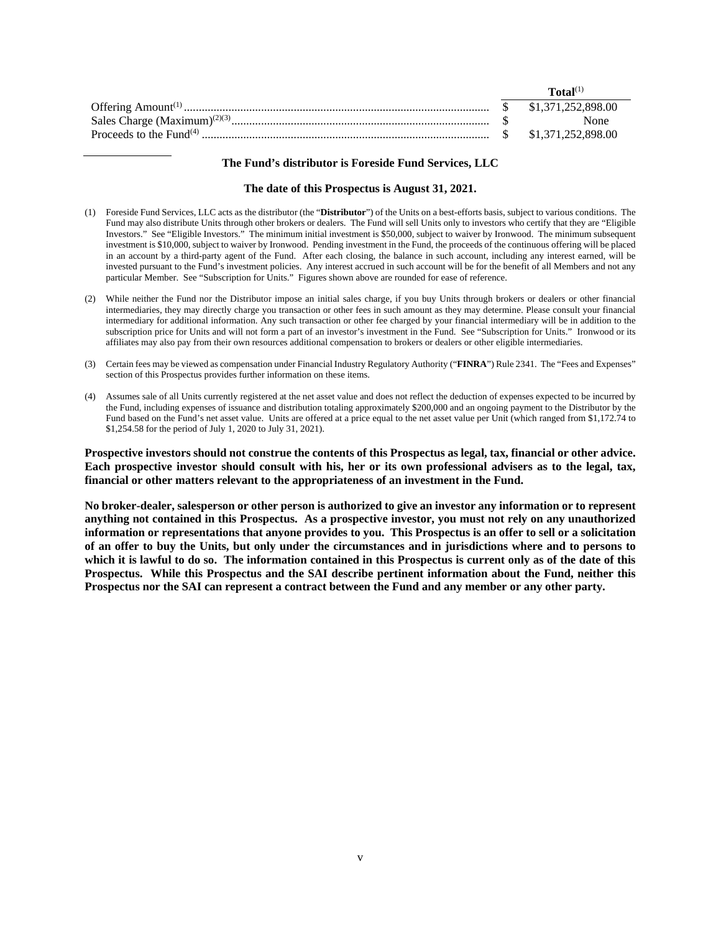|  | $\textbf{Total}^{(1)}$ |
|--|------------------------|
|  | \$1,371,252,898.00     |
|  | None                   |
|  |                        |

### **The Fund's distributor is Foreside Fund Services, LLC**

#### **The date of this Prospectus is August 31, 2021.**

- (1) Foreside Fund Services, LLC acts as the distributor (the "**Distributor**") of the Units on a best-efforts basis, subject to various conditions. The Fund may also distribute Units through other brokers or dealers. The Fund will sell Units only to investors who certify that they are "Eligible Investors." See "Eligible Investors." The minimum initial investment is \$50,000, subject to waiver by Ironwood. The minimum subsequent investment is \$10,000, subject to waiver by Ironwood. Pending investment in the Fund, the proceeds of the continuous offering will be placed in an account by a third-party agent of the Fund. After each closing, the balance in such account, including any interest earned, will be invested pursuant to the Fund's investment policies. Any interest accrued in such account will be for the benefit of all Members and not any particular Member. See "Subscription for Units." Figures shown above are rounded for ease of reference.
- (2) While neither the Fund nor the Distributor impose an initial sales charge, if you buy Units through brokers or dealers or other financial intermediaries, they may directly charge you transaction or other fees in such amount as they may determine. Please consult your financial intermediary for additional information. Any such transaction or other fee charged by your financial intermediary will be in addition to the subscription price for Units and will not form a part of an investor's investment in the Fund. See "Subscription for Units." Ironwood or its affiliates may also pay from their own resources additional compensation to brokers or dealers or other eligible intermediaries.
- (3) Certain fees may be viewed as compensation under Financial Industry Regulatory Authority ("**FINRA**") Rule 2341. The "Fees and Expenses" section of this Prospectus provides further information on these items.
- (4) Assumes sale of all Units currently registered at the net asset value and does not reflect the deduction of expenses expected to be incurred by the Fund, including expenses of issuance and distribution totaling approximately \$200,000 and an ongoing payment to the Distributor by the Fund based on the Fund's net asset value. Units are offered at a price equal to the net asset value per Unit (which ranged from \$1,172.74 to \$1,254.58 for the period of July 1, 2020 to July 31, 2021).

**Prospective investors should not construe the contents of this Prospectus as legal, tax, financial or other advice. Each prospective investor should consult with his, her or its own professional advisers as to the legal, tax, financial or other matters relevant to the appropriateness of an investment in the Fund.**

**No broker-dealer, salesperson or other person is authorized to give an investor any information or to represent anything not contained in this Prospectus. As a prospective investor, you must not rely on any unauthorized information or representations that anyone provides to you. This Prospectus is an offer to sell or a solicitation of an offer to buy the Units, but only under the circumstances and in jurisdictions where and to persons to which it is lawful to do so. The information contained in this Prospectus is current only as of the date of this Prospectus. While this Prospectus and the SAI describe pertinent information about the Fund, neither this Prospectus nor the SAI can represent a contract between the Fund and any member or any other party.**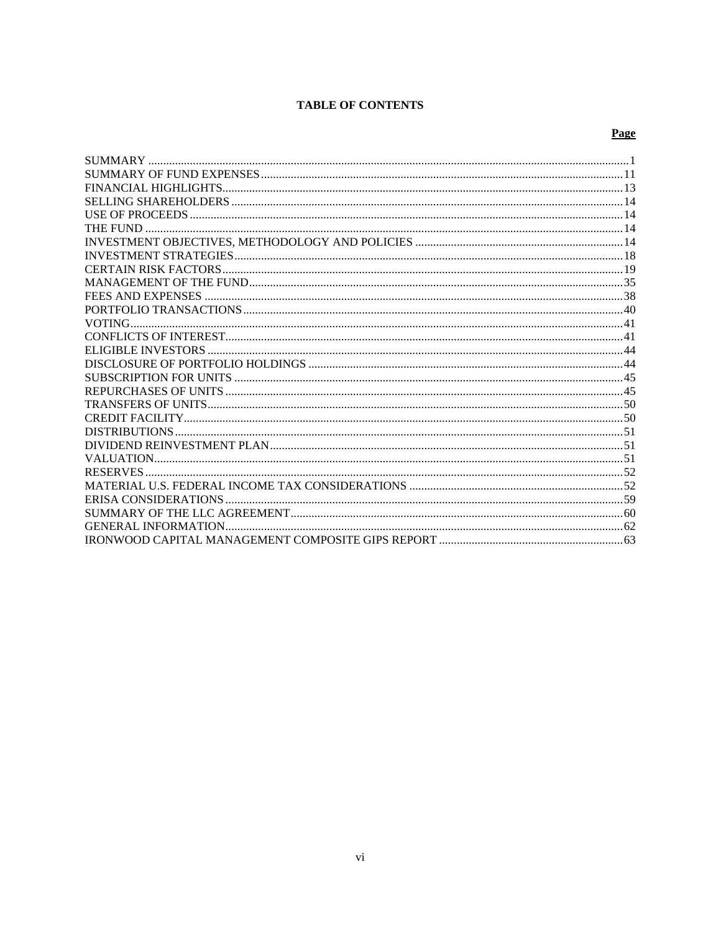# **TABLE OF CONTENTS**

# Page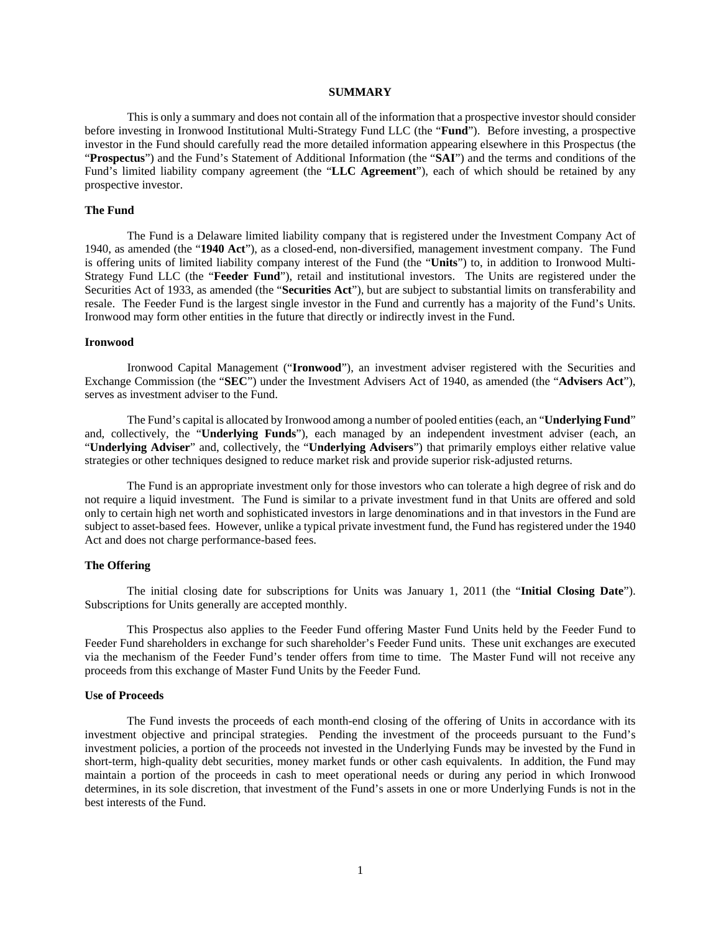## **SUMMARY**

<span id="page-6-0"></span>This is only a summary and does not contain all of the information that a prospective investor should consider before investing in Ironwood Institutional Multi-Strategy Fund LLC (the "**Fund**"). Before investing, a prospective investor in the Fund should carefully read the more detailed information appearing elsewhere in this Prospectus (the "**Prospectus**") and the Fund's Statement of Additional Information (the "**SAI**") and the terms and conditions of the Fund's limited liability company agreement (the "**LLC Agreement**"), each of which should be retained by any prospective investor.

### **The Fund**

The Fund is a Delaware limited liability company that is registered under the Investment Company Act of 1940, as amended (the "**1940 Act**"), as a closed-end, non-diversified, management investment company. The Fund is offering units of limited liability company interest of the Fund (the "**Units**") to, in addition to Ironwood Multi-Strategy Fund LLC (the "**Feeder Fund**"), retail and institutional investors. The Units are registered under the Securities Act of 1933, as amended (the "**Securities Act**"), but are subject to substantial limits on transferability and resale. The Feeder Fund is the largest single investor in the Fund and currently has a majority of the Fund's Units. Ironwood may form other entities in the future that directly or indirectly invest in the Fund.

#### **Ironwood**

Ironwood Capital Management ("**Ironwood**"), an investment adviser registered with the Securities and Exchange Commission (the "**SEC**") under the Investment Advisers Act of 1940, as amended (the "**Advisers Act**"), serves as investment adviser to the Fund.

The Fund's capital is allocated by Ironwood among a number of pooled entities (each, an "**Underlying Fund**" and, collectively, the "**Underlying Funds**"), each managed by an independent investment adviser (each, an "**Underlying Adviser**" and, collectively, the "**Underlying Advisers**") that primarily employs either relative value strategies or other techniques designed to reduce market risk and provide superior risk-adjusted returns.

The Fund is an appropriate investment only for those investors who can tolerate a high degree of risk and do not require a liquid investment. The Fund is similar to a private investment fund in that Units are offered and sold only to certain high net worth and sophisticated investors in large denominations and in that investors in the Fund are subject to asset-based fees. However, unlike a typical private investment fund, the Fund has registered under the 1940 Act and does not charge performance-based fees.

#### **The Offering**

The initial closing date for subscriptions for Units was January 1, 2011 (the "**Initial Closing Date**"). Subscriptions for Units generally are accepted monthly.

This Prospectus also applies to the Feeder Fund offering Master Fund Units held by the Feeder Fund to Feeder Fund shareholders in exchange for such shareholder's Feeder Fund units. These unit exchanges are executed via the mechanism of the Feeder Fund's tender offers from time to time. The Master Fund will not receive any proceeds from this exchange of Master Fund Units by the Feeder Fund.

#### **Use of Proceeds**

The Fund invests the proceeds of each month-end closing of the offering of Units in accordance with its investment objective and principal strategies. Pending the investment of the proceeds pursuant to the Fund's investment policies, a portion of the proceeds not invested in the Underlying Funds may be invested by the Fund in short-term, high-quality debt securities, money market funds or other cash equivalents. In addition, the Fund may maintain a portion of the proceeds in cash to meet operational needs or during any period in which Ironwood determines, in its sole discretion, that investment of the Fund's assets in one or more Underlying Funds is not in the best interests of the Fund.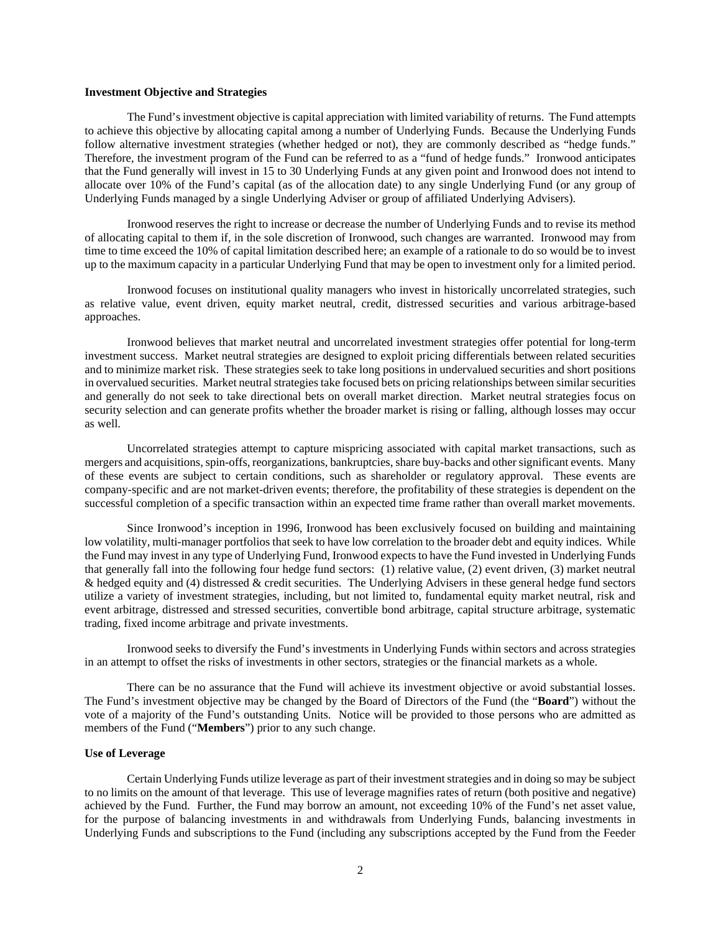## **Investment Objective and Strategies**

The Fund's investment objective is capital appreciation with limited variability of returns. The Fund attempts to achieve this objective by allocating capital among a number of Underlying Funds. Because the Underlying Funds follow alternative investment strategies (whether hedged or not), they are commonly described as "hedge funds." Therefore, the investment program of the Fund can be referred to as a "fund of hedge funds." Ironwood anticipates that the Fund generally will invest in 15 to 30 Underlying Funds at any given point and Ironwood does not intend to allocate over 10% of the Fund's capital (as of the allocation date) to any single Underlying Fund (or any group of Underlying Funds managed by a single Underlying Adviser or group of affiliated Underlying Advisers).

Ironwood reserves the right to increase or decrease the number of Underlying Funds and to revise its method of allocating capital to them if, in the sole discretion of Ironwood, such changes are warranted. Ironwood may from time to time exceed the 10% of capital limitation described here; an example of a rationale to do so would be to invest up to the maximum capacity in a particular Underlying Fund that may be open to investment only for a limited period.

Ironwood focuses on institutional quality managers who invest in historically uncorrelated strategies, such as relative value, event driven, equity market neutral, credit, distressed securities and various arbitrage-based approaches.

Ironwood believes that market neutral and uncorrelated investment strategies offer potential for long-term investment success. Market neutral strategies are designed to exploit pricing differentials between related securities and to minimize market risk. These strategies seek to take long positions in undervalued securities and short positions in overvalued securities. Market neutral strategies take focused bets on pricing relationships between similar securities and generally do not seek to take directional bets on overall market direction. Market neutral strategies focus on security selection and can generate profits whether the broader market is rising or falling, although losses may occur as well.

Uncorrelated strategies attempt to capture mispricing associated with capital market transactions, such as mergers and acquisitions, spin-offs, reorganizations, bankruptcies, share buy-backs and other significant events. Many of these events are subject to certain conditions, such as shareholder or regulatory approval. These events are company-specific and are not market-driven events; therefore, the profitability of these strategies is dependent on the successful completion of a specific transaction within an expected time frame rather than overall market movements.

Since Ironwood's inception in 1996, Ironwood has been exclusively focused on building and maintaining low volatility, multi-manager portfolios that seek to have low correlation to the broader debt and equity indices. While the Fund may invest in any type of Underlying Fund, Ironwood expects to have the Fund invested in Underlying Funds that generally fall into the following four hedge fund sectors: (1) relative value, (2) event driven, (3) market neutral & hedged equity and (4) distressed & credit securities. The Underlying Advisers in these general hedge fund sectors utilize a variety of investment strategies, including, but not limited to, fundamental equity market neutral, risk and event arbitrage, distressed and stressed securities, convertible bond arbitrage, capital structure arbitrage, systematic trading, fixed income arbitrage and private investments.

Ironwood seeks to diversify the Fund's investments in Underlying Funds within sectors and across strategies in an attempt to offset the risks of investments in other sectors, strategies or the financial markets as a whole.

There can be no assurance that the Fund will achieve its investment objective or avoid substantial losses. The Fund's investment objective may be changed by the Board of Directors of the Fund (the "**Board**") without the vote of a majority of the Fund's outstanding Units. Notice will be provided to those persons who are admitted as members of the Fund ("**Members**") prior to any such change.

## **Use of Leverage**

Certain Underlying Funds utilize leverage as part of their investment strategies and in doing so may be subject to no limits on the amount of that leverage. This use of leverage magnifies rates of return (both positive and negative) achieved by the Fund. Further, the Fund may borrow an amount, not exceeding 10% of the Fund's net asset value, for the purpose of balancing investments in and withdrawals from Underlying Funds, balancing investments in Underlying Funds and subscriptions to the Fund (including any subscriptions accepted by the Fund from the Feeder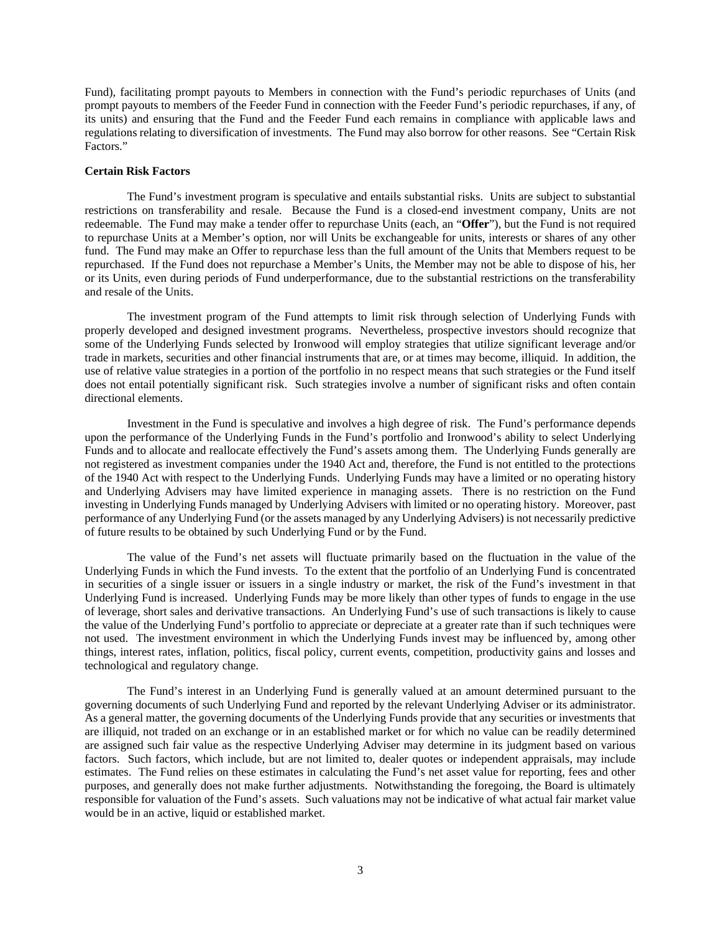Fund), facilitating prompt payouts to Members in connection with the Fund's periodic repurchases of Units (and prompt payouts to members of the Feeder Fund in connection with the Feeder Fund's periodic repurchases, if any, of its units) and ensuring that the Fund and the Feeder Fund each remains in compliance with applicable laws and regulations relating to diversification of investments. The Fund may also borrow for other reasons. See "Certain Risk Factors."

### **Certain Risk Factors**

The Fund's investment program is speculative and entails substantial risks. Units are subject to substantial restrictions on transferability and resale. Because the Fund is a closed-end investment company, Units are not redeemable. The Fund may make a tender offer to repurchase Units (each, an "**Offer**"), but the Fund is not required to repurchase Units at a Member's option, nor will Units be exchangeable for units, interests or shares of any other fund. The Fund may make an Offer to repurchase less than the full amount of the Units that Members request to be repurchased. If the Fund does not repurchase a Member's Units, the Member may not be able to dispose of his, her or its Units, even during periods of Fund underperformance, due to the substantial restrictions on the transferability and resale of the Units.

The investment program of the Fund attempts to limit risk through selection of Underlying Funds with properly developed and designed investment programs. Nevertheless, prospective investors should recognize that some of the Underlying Funds selected by Ironwood will employ strategies that utilize significant leverage and/or trade in markets, securities and other financial instruments that are, or at times may become, illiquid. In addition, the use of relative value strategies in a portion of the portfolio in no respect means that such strategies or the Fund itself does not entail potentially significant risk. Such strategies involve a number of significant risks and often contain directional elements.

Investment in the Fund is speculative and involves a high degree of risk. The Fund's performance depends upon the performance of the Underlying Funds in the Fund's portfolio and Ironwood's ability to select Underlying Funds and to allocate and reallocate effectively the Fund's assets among them. The Underlying Funds generally are not registered as investment companies under the 1940 Act and, therefore, the Fund is not entitled to the protections of the 1940 Act with respect to the Underlying Funds. Underlying Funds may have a limited or no operating history and Underlying Advisers may have limited experience in managing assets. There is no restriction on the Fund investing in Underlying Funds managed by Underlying Advisers with limited or no operating history. Moreover, past performance of any Underlying Fund (or the assets managed by any Underlying Advisers) is not necessarily predictive of future results to be obtained by such Underlying Fund or by the Fund.

The value of the Fund's net assets will fluctuate primarily based on the fluctuation in the value of the Underlying Funds in which the Fund invests. To the extent that the portfolio of an Underlying Fund is concentrated in securities of a single issuer or issuers in a single industry or market, the risk of the Fund's investment in that Underlying Fund is increased. Underlying Funds may be more likely than other types of funds to engage in the use of leverage, short sales and derivative transactions. An Underlying Fund's use of such transactions is likely to cause the value of the Underlying Fund's portfolio to appreciate or depreciate at a greater rate than if such techniques were not used. The investment environment in which the Underlying Funds invest may be influenced by, among other things, interest rates, inflation, politics, fiscal policy, current events, competition, productivity gains and losses and technological and regulatory change.

The Fund's interest in an Underlying Fund is generally valued at an amount determined pursuant to the governing documents of such Underlying Fund and reported by the relevant Underlying Adviser or its administrator. As a general matter, the governing documents of the Underlying Funds provide that any securities or investments that are illiquid, not traded on an exchange or in an established market or for which no value can be readily determined are assigned such fair value as the respective Underlying Adviser may determine in its judgment based on various factors. Such factors, which include, but are not limited to, dealer quotes or independent appraisals, may include estimates. The Fund relies on these estimates in calculating the Fund's net asset value for reporting, fees and other purposes, and generally does not make further adjustments. Notwithstanding the foregoing, the Board is ultimately responsible for valuation of the Fund's assets. Such valuations may not be indicative of what actual fair market value would be in an active, liquid or established market.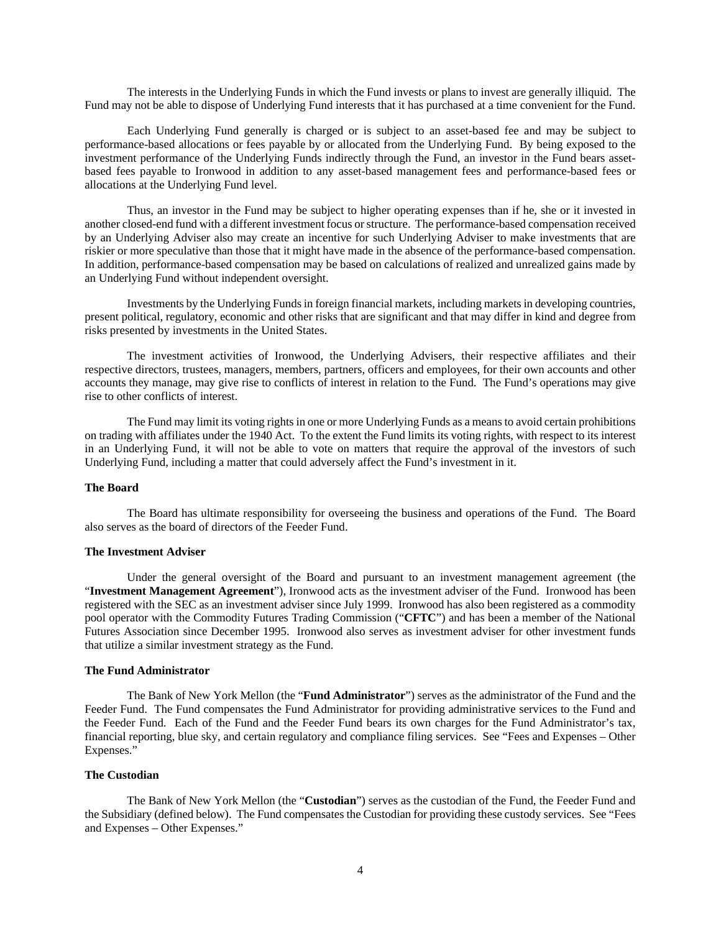The interests in the Underlying Funds in which the Fund invests or plans to invest are generally illiquid. The Fund may not be able to dispose of Underlying Fund interests that it has purchased at a time convenient for the Fund.

Each Underlying Fund generally is charged or is subject to an asset-based fee and may be subject to performance-based allocations or fees payable by or allocated from the Underlying Fund. By being exposed to the investment performance of the Underlying Funds indirectly through the Fund, an investor in the Fund bears assetbased fees payable to Ironwood in addition to any asset-based management fees and performance-based fees or allocations at the Underlying Fund level.

Thus, an investor in the Fund may be subject to higher operating expenses than if he, she or it invested in another closed-end fund with a different investment focus or structure. The performance-based compensation received by an Underlying Adviser also may create an incentive for such Underlying Adviser to make investments that are riskier or more speculative than those that it might have made in the absence of the performance-based compensation. In addition, performance-based compensation may be based on calculations of realized and unrealized gains made by an Underlying Fund without independent oversight.

Investments by the Underlying Funds in foreign financial markets, including markets in developing countries, present political, regulatory, economic and other risks that are significant and that may differ in kind and degree from risks presented by investments in the United States.

The investment activities of Ironwood, the Underlying Advisers, their respective affiliates and their respective directors, trustees, managers, members, partners, officers and employees, for their own accounts and other accounts they manage, may give rise to conflicts of interest in relation to the Fund. The Fund's operations may give rise to other conflicts of interest.

The Fund may limit its voting rights in one or more Underlying Funds as a means to avoid certain prohibitions on trading with affiliates under the 1940 Act. To the extent the Fund limits its voting rights, with respect to its interest in an Underlying Fund, it will not be able to vote on matters that require the approval of the investors of such Underlying Fund, including a matter that could adversely affect the Fund's investment in it.

#### **The Board**

The Board has ultimate responsibility for overseeing the business and operations of the Fund. The Board also serves as the board of directors of the Feeder Fund.

### **The Investment Adviser**

Under the general oversight of the Board and pursuant to an investment management agreement (the "**Investment Management Agreement**"), Ironwood acts as the investment adviser of the Fund. Ironwood has been registered with the SEC as an investment adviser since July 1999. Ironwood has also been registered as a commodity pool operator with the Commodity Futures Trading Commission ("**CFTC**") and has been a member of the National Futures Association since December 1995. Ironwood also serves as investment adviser for other investment funds that utilize a similar investment strategy as the Fund.

## **The Fund Administrator**

The Bank of New York Mellon (the "**Fund Administrator**") serves as the administrator of the Fund and the Feeder Fund. The Fund compensates the Fund Administrator for providing administrative services to the Fund and the Feeder Fund. Each of the Fund and the Feeder Fund bears its own charges for the Fund Administrator's tax, financial reporting, blue sky, and certain regulatory and compliance filing services. See "Fees and Expenses – Other Expenses."

## **The Custodian**

The Bank of New York Mellon (the "**Custodian**") serves as the custodian of the Fund, the Feeder Fund and the Subsidiary (defined below). The Fund compensates the Custodian for providing these custody services. See "Fees and Expenses – Other Expenses."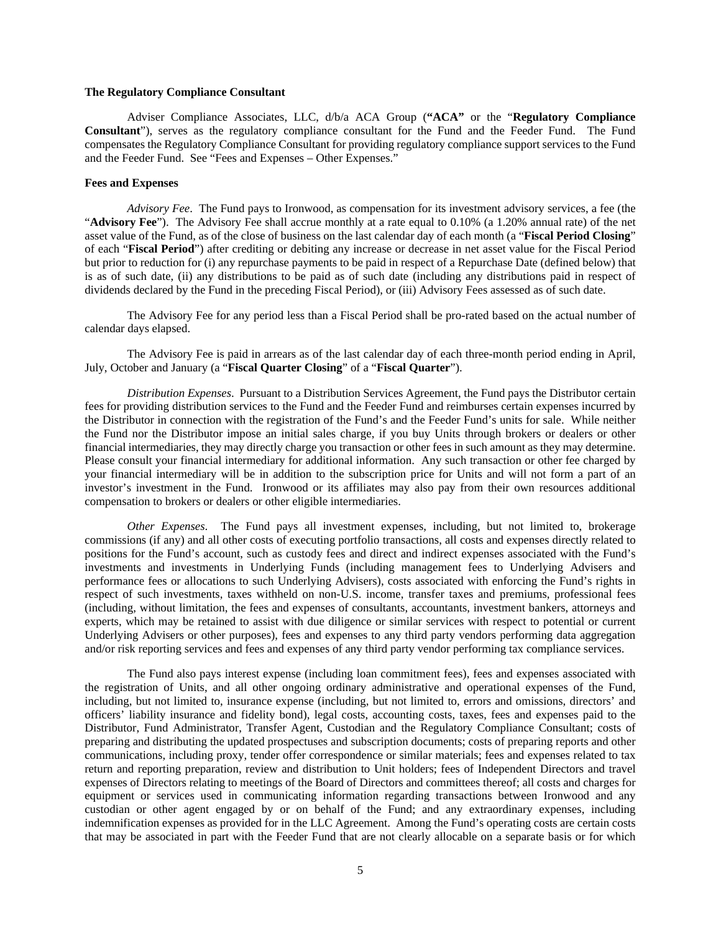## **The Regulatory Compliance Consultant**

Adviser Compliance Associates, LLC, d/b/a ACA Group (**"ACA"** or the "**Regulatory Compliance Consultant**"), serves as the regulatory compliance consultant for the Fund and the Feeder Fund. The Fund compensates the Regulatory Compliance Consultant for providing regulatory compliance support services to the Fund and the Feeder Fund. See "Fees and Expenses – Other Expenses."

#### **Fees and Expenses**

*Advisory Fee*.The Fund pays to Ironwood, as compensation for its investment advisory services, a fee (the "**Advisory Fee**"). The Advisory Fee shall accrue monthly at a rate equal to 0.10% (a 1.20% annual rate) of the net asset value of the Fund, as of the close of business on the last calendar day of each month (a "**Fiscal Period Closing**" of each "**Fiscal Period**") after crediting or debiting any increase or decrease in net asset value for the Fiscal Period but prior to reduction for (i) any repurchase payments to be paid in respect of a Repurchase Date (defined below) that is as of such date, (ii) any distributions to be paid as of such date (including any distributions paid in respect of dividends declared by the Fund in the preceding Fiscal Period), or (iii) Advisory Fees assessed as of such date.

The Advisory Fee for any period less than a Fiscal Period shall be pro-rated based on the actual number of calendar days elapsed.

The Advisory Fee is paid in arrears as of the last calendar day of each three-month period ending in April, July, October and January (a "**Fiscal Quarter Closing**" of a "**Fiscal Quarter**").

*Distribution Expenses*.Pursuant to a Distribution Services Agreement, the Fund pays the Distributor certain fees for providing distribution services to the Fund and the Feeder Fund and reimburses certain expenses incurred by the Distributor in connection with the registration of the Fund's and the Feeder Fund's units for sale. While neither the Fund nor the Distributor impose an initial sales charge, if you buy Units through brokers or dealers or other financial intermediaries, they may directly charge you transaction or other fees in such amount as they may determine. Please consult your financial intermediary for additional information. Any such transaction or other fee charged by your financial intermediary will be in addition to the subscription price for Units and will not form a part of an investor's investment in the Fund. Ironwood or its affiliates may also pay from their own resources additional compensation to brokers or dealers or other eligible intermediaries.

*Other Expenses*.The Fund pays all investment expenses, including, but not limited to, brokerage commissions (if any) and all other costs of executing portfolio transactions, all costs and expenses directly related to positions for the Fund's account, such as custody fees and direct and indirect expenses associated with the Fund's investments and investments in Underlying Funds (including management fees to Underlying Advisers and performance fees or allocations to such Underlying Advisers), costs associated with enforcing the Fund's rights in respect of such investments, taxes withheld on non-U.S. income, transfer taxes and premiums, professional fees (including, without limitation, the fees and expenses of consultants, accountants, investment bankers, attorneys and experts, which may be retained to assist with due diligence or similar services with respect to potential or current Underlying Advisers or other purposes), fees and expenses to any third party vendors performing data aggregation and/or risk reporting services and fees and expenses of any third party vendor performing tax compliance services.

The Fund also pays interest expense (including loan commitment fees), fees and expenses associated with the registration of Units, and all other ongoing ordinary administrative and operational expenses of the Fund, including, but not limited to, insurance expense (including, but not limited to, errors and omissions, directors' and officers' liability insurance and fidelity bond), legal costs, accounting costs, taxes, fees and expenses paid to the Distributor, Fund Administrator, Transfer Agent, Custodian and the Regulatory Compliance Consultant; costs of preparing and distributing the updated prospectuses and subscription documents; costs of preparing reports and other communications, including proxy, tender offer correspondence or similar materials; fees and expenses related to tax return and reporting preparation, review and distribution to Unit holders; fees of Independent Directors and travel expenses of Directors relating to meetings of the Board of Directors and committees thereof; all costs and charges for equipment or services used in communicating information regarding transactions between Ironwood and any custodian or other agent engaged by or on behalf of the Fund; and any extraordinary expenses, including indemnification expenses as provided for in the LLC Agreement. Among the Fund's operating costs are certain costs that may be associated in part with the Feeder Fund that are not clearly allocable on a separate basis or for which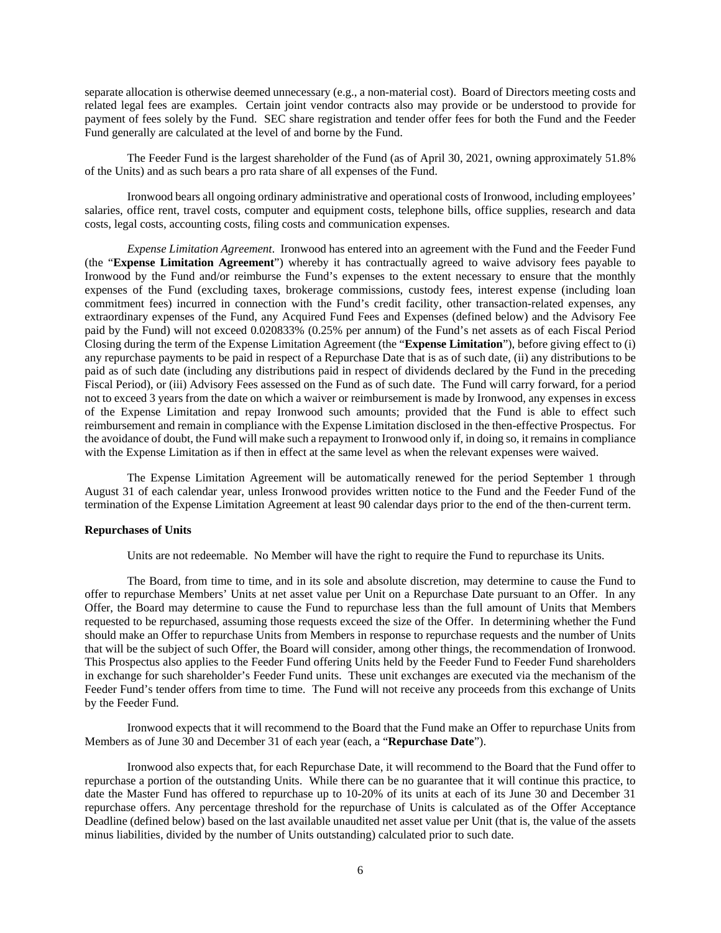separate allocation is otherwise deemed unnecessary (e.g., a non-material cost). Board of Directors meeting costs and related legal fees are examples. Certain joint vendor contracts also may provide or be understood to provide for payment of fees solely by the Fund. SEC share registration and tender offer fees for both the Fund and the Feeder Fund generally are calculated at the level of and borne by the Fund.

The Feeder Fund is the largest shareholder of the Fund (as of April 30, 2021, owning approximately 51.8% of the Units) and as such bears a pro rata share of all expenses of the Fund.

Ironwood bears all ongoing ordinary administrative and operational costs of Ironwood, including employees' salaries, office rent, travel costs, computer and equipment costs, telephone bills, office supplies, research and data costs, legal costs, accounting costs, filing costs and communication expenses.

*Expense Limitation Agreement*.Ironwood has entered into an agreement with the Fund and the Feeder Fund (the "**Expense Limitation Agreement**") whereby it has contractually agreed to waive advisory fees payable to Ironwood by the Fund and/or reimburse the Fund's expenses to the extent necessary to ensure that the monthly expenses of the Fund (excluding taxes, brokerage commissions, custody fees, interest expense (including loan commitment fees) incurred in connection with the Fund's credit facility, other transaction-related expenses, any extraordinary expenses of the Fund, any Acquired Fund Fees and Expenses (defined below) and the Advisory Fee paid by the Fund) will not exceed 0.020833% (0.25% per annum) of the Fund's net assets as of each Fiscal Period Closing during the term of the Expense Limitation Agreement (the "**Expense Limitation**"), before giving effect to (i) any repurchase payments to be paid in respect of a Repurchase Date that is as of such date, (ii) any distributions to be paid as of such date (including any distributions paid in respect of dividends declared by the Fund in the preceding Fiscal Period), or (iii) Advisory Fees assessed on the Fund as of such date. The Fund will carry forward, for a period not to exceed 3 years from the date on which a waiver or reimbursement is made by Ironwood, any expenses in excess of the Expense Limitation and repay Ironwood such amounts; provided that the Fund is able to effect such reimbursement and remain in compliance with the Expense Limitation disclosed in the then-effective Prospectus. For the avoidance of doubt, the Fund will make such a repayment to Ironwood only if, in doing so, it remains in compliance with the Expense Limitation as if then in effect at the same level as when the relevant expenses were waived.

The Expense Limitation Agreement will be automatically renewed for the period September 1 through August 31 of each calendar year, unless Ironwood provides written notice to the Fund and the Feeder Fund of the termination of the Expense Limitation Agreement at least 90 calendar days prior to the end of the then-current term.

## **Repurchases of Units**

Units are not redeemable. No Member will have the right to require the Fund to repurchase its Units.

The Board, from time to time, and in its sole and absolute discretion, may determine to cause the Fund to offer to repurchase Members' Units at net asset value per Unit on a Repurchase Date pursuant to an Offer. In any Offer, the Board may determine to cause the Fund to repurchase less than the full amount of Units that Members requested to be repurchased, assuming those requests exceed the size of the Offer. In determining whether the Fund should make an Offer to repurchase Units from Members in response to repurchase requests and the number of Units that will be the subject of such Offer, the Board will consider, among other things, the recommendation of Ironwood. This Prospectus also applies to the Feeder Fund offering Units held by the Feeder Fund to Feeder Fund shareholders in exchange for such shareholder's Feeder Fund units. These unit exchanges are executed via the mechanism of the Feeder Fund's tender offers from time to time. The Fund will not receive any proceeds from this exchange of Units by the Feeder Fund.

Ironwood expects that it will recommend to the Board that the Fund make an Offer to repurchase Units from Members as of June 30 and December 31 of each year (each, a "**Repurchase Date**").

Ironwood also expects that, for each Repurchase Date, it will recommend to the Board that the Fund offer to repurchase a portion of the outstanding Units. While there can be no guarantee that it will continue this practice, to date the Master Fund has offered to repurchase up to 10-20% of its units at each of its June 30 and December 31 repurchase offers. Any percentage threshold for the repurchase of Units is calculated as of the Offer Acceptance Deadline (defined below) based on the last available unaudited net asset value per Unit (that is, the value of the assets minus liabilities, divided by the number of Units outstanding) calculated prior to such date.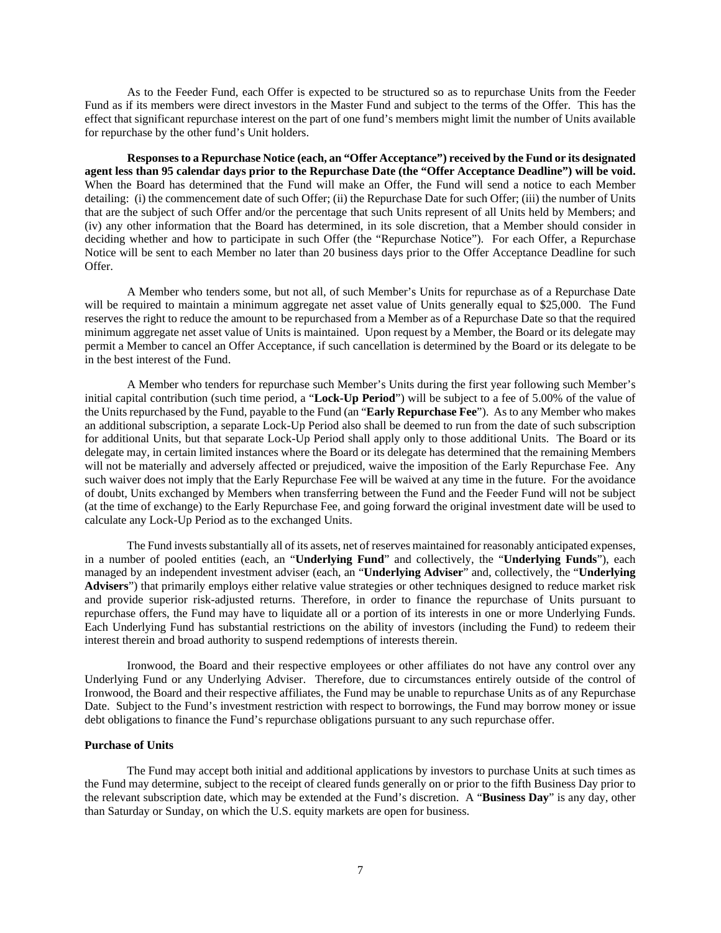As to the Feeder Fund, each Offer is expected to be structured so as to repurchase Units from the Feeder Fund as if its members were direct investors in the Master Fund and subject to the terms of the Offer. This has the effect that significant repurchase interest on the part of one fund's members might limit the number of Units available for repurchase by the other fund's Unit holders.

**Responses to a Repurchase Notice (each, an "Offer Acceptance") received by the Fund or its designated agent less than 95 calendar days prior to the Repurchase Date (the "Offer Acceptance Deadline") will be void.** When the Board has determined that the Fund will make an Offer, the Fund will send a notice to each Member detailing: (i) the commencement date of such Offer; (ii) the Repurchase Date for such Offer; (iii) the number of Units that are the subject of such Offer and/or the percentage that such Units represent of all Units held by Members; and (iv) any other information that the Board has determined, in its sole discretion, that a Member should consider in deciding whether and how to participate in such Offer (the "Repurchase Notice"). For each Offer, a Repurchase Notice will be sent to each Member no later than 20 business days prior to the Offer Acceptance Deadline for such Offer.

A Member who tenders some, but not all, of such Member's Units for repurchase as of a Repurchase Date will be required to maintain a minimum aggregate net asset value of Units generally equal to \$25,000. The Fund reserves the right to reduce the amount to be repurchased from a Member as of a Repurchase Date so that the required minimum aggregate net asset value of Units is maintained. Upon request by a Member, the Board or its delegate may permit a Member to cancel an Offer Acceptance, if such cancellation is determined by the Board or its delegate to be in the best interest of the Fund.

A Member who tenders for repurchase such Member's Units during the first year following such Member's initial capital contribution (such time period, a "**Lock-Up Period**") will be subject to a fee of 5.00% of the value of the Units repurchased by the Fund, payable to the Fund (an "**Early Repurchase Fee**"). As to any Member who makes an additional subscription, a separate Lock-Up Period also shall be deemed to run from the date of such subscription for additional Units, but that separate Lock-Up Period shall apply only to those additional Units. The Board or its delegate may, in certain limited instances where the Board or its delegate has determined that the remaining Members will not be materially and adversely affected or prejudiced, waive the imposition of the Early Repurchase Fee. Any such waiver does not imply that the Early Repurchase Fee will be waived at any time in the future. For the avoidance of doubt, Units exchanged by Members when transferring between the Fund and the Feeder Fund will not be subject (at the time of exchange) to the Early Repurchase Fee, and going forward the original investment date will be used to calculate any Lock-Up Period as to the exchanged Units.

The Fund invests substantially all of its assets, net of reserves maintained for reasonably anticipated expenses, in a number of pooled entities (each, an "**Underlying Fund**" and collectively, the "**Underlying Funds**"), each managed by an independent investment adviser (each, an "**Underlying Adviser**" and, collectively, the "**Underlying Advisers**") that primarily employs either relative value strategies or other techniques designed to reduce market risk and provide superior risk-adjusted returns. Therefore, in order to finance the repurchase of Units pursuant to repurchase offers, the Fund may have to liquidate all or a portion of its interests in one or more Underlying Funds. Each Underlying Fund has substantial restrictions on the ability of investors (including the Fund) to redeem their interest therein and broad authority to suspend redemptions of interests therein.

Ironwood, the Board and their respective employees or other affiliates do not have any control over any Underlying Fund or any Underlying Adviser. Therefore, due to circumstances entirely outside of the control of Ironwood, the Board and their respective affiliates, the Fund may be unable to repurchase Units as of any Repurchase Date. Subject to the Fund's investment restriction with respect to borrowings, the Fund may borrow money or issue debt obligations to finance the Fund's repurchase obligations pursuant to any such repurchase offer.

## **Purchase of Units**

The Fund may accept both initial and additional applications by investors to purchase Units at such times as the Fund may determine, subject to the receipt of cleared funds generally on or prior to the fifth Business Day prior to the relevant subscription date, which may be extended at the Fund's discretion. A "**Business Day**" is any day, other than Saturday or Sunday, on which the U.S. equity markets are open for business.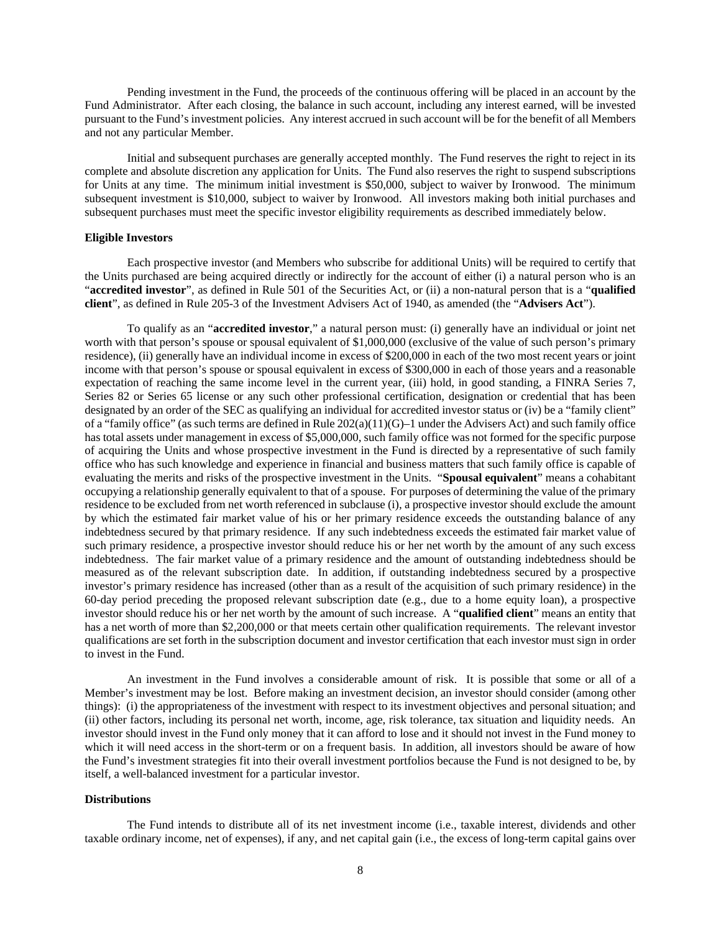Pending investment in the Fund, the proceeds of the continuous offering will be placed in an account by the Fund Administrator. After each closing, the balance in such account, including any interest earned, will be invested pursuant to the Fund's investment policies. Any interest accrued in such account will be for the benefit of all Members and not any particular Member.

Initial and subsequent purchases are generally accepted monthly. The Fund reserves the right to reject in its complete and absolute discretion any application for Units. The Fund also reserves the right to suspend subscriptions for Units at any time. The minimum initial investment is \$50,000, subject to waiver by Ironwood. The minimum subsequent investment is \$10,000, subject to waiver by Ironwood. All investors making both initial purchases and subsequent purchases must meet the specific investor eligibility requirements as described immediately below.

### **Eligible Investors**

Each prospective investor (and Members who subscribe for additional Units) will be required to certify that the Units purchased are being acquired directly or indirectly for the account of either (i) a natural person who is an "**accredited investor**", as defined in Rule 501 of the Securities Act, or (ii) a non-natural person that is a "**qualified client**", as defined in Rule 205-3 of the Investment Advisers Act of 1940, as amended (the "**Advisers Act**").

To qualify as an "**accredited investor**," a natural person must: (i) generally have an individual or joint net worth with that person's spouse or spousal equivalent of \$1,000,000 (exclusive of the value of such person's primary residence), (ii) generally have an individual income in excess of \$200,000 in each of the two most recent years or joint income with that person's spouse or spousal equivalent in excess of \$300,000 in each of those years and a reasonable expectation of reaching the same income level in the current year, (iii) hold, in good standing, a FINRA Series 7, Series 82 or Series 65 license or any such other professional certification, designation or credential that has been designated by an order of the SEC as qualifying an individual for accredited investor status or (iv) be a "family client" of a "family office" (as such terms are defined in Rule 202(a)(11)(G)–1 under the Advisers Act) and such family office has total assets under management in excess of \$5,000,000, such family office was not formed for the specific purpose of acquiring the Units and whose prospective investment in the Fund is directed by a representative of such family office who has such knowledge and experience in financial and business matters that such family office is capable of evaluating the merits and risks of the prospective investment in the Units. "**Spousal equivalent**" means a cohabitant occupying a relationship generally equivalent to that of a spouse. For purposes of determining the value of the primary residence to be excluded from net worth referenced in subclause (i), a prospective investor should exclude the amount by which the estimated fair market value of his or her primary residence exceeds the outstanding balance of any indebtedness secured by that primary residence. If any such indebtedness exceeds the estimated fair market value of such primary residence, a prospective investor should reduce his or her net worth by the amount of any such excess indebtedness. The fair market value of a primary residence and the amount of outstanding indebtedness should be measured as of the relevant subscription date. In addition, if outstanding indebtedness secured by a prospective investor's primary residence has increased (other than as a result of the acquisition of such primary residence) in the 60-day period preceding the proposed relevant subscription date (e.g., due to a home equity loan), a prospective investor should reduce his or her net worth by the amount of such increase. A "**qualified client**" means an entity that has a net worth of more than \$2,200,000 or that meets certain other qualification requirements. The relevant investor qualifications are set forth in the subscription document and investor certification that each investor must sign in order to invest in the Fund.

An investment in the Fund involves a considerable amount of risk. It is possible that some or all of a Member's investment may be lost. Before making an investment decision, an investor should consider (among other things): (i) the appropriateness of the investment with respect to its investment objectives and personal situation; and (ii) other factors, including its personal net worth, income, age, risk tolerance, tax situation and liquidity needs. An investor should invest in the Fund only money that it can afford to lose and it should not invest in the Fund money to which it will need access in the short-term or on a frequent basis. In addition, all investors should be aware of how the Fund's investment strategies fit into their overall investment portfolios because the Fund is not designed to be, by itself, a well-balanced investment for a particular investor.

#### **Distributions**

The Fund intends to distribute all of its net investment income (i.e., taxable interest, dividends and other taxable ordinary income, net of expenses), if any, and net capital gain (i.e., the excess of long-term capital gains over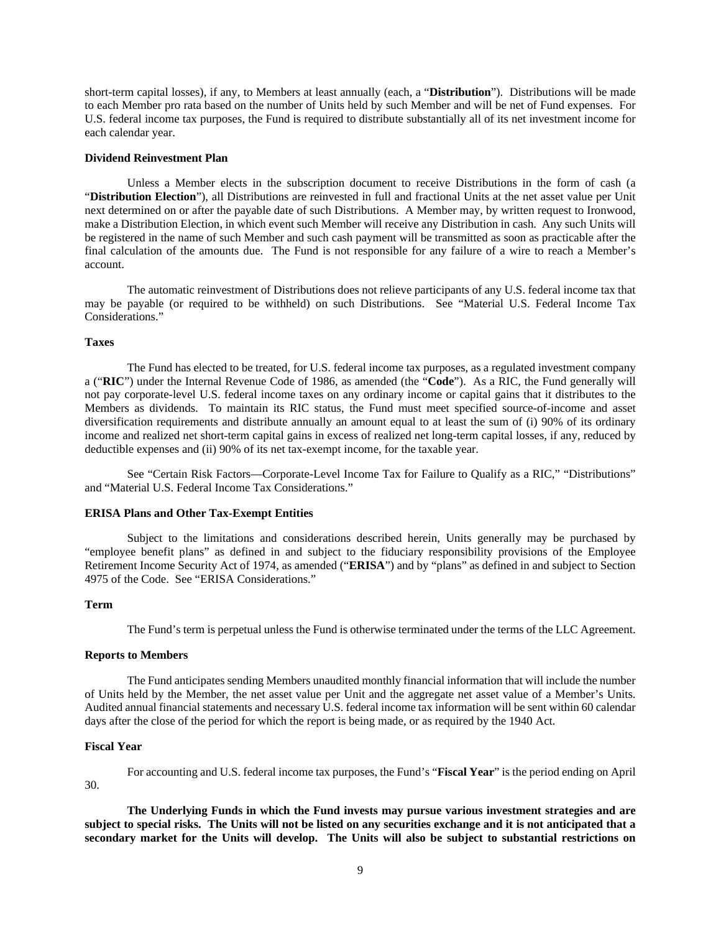short-term capital losses), if any, to Members at least annually (each, a "**Distribution**"). Distributions will be made to each Member pro rata based on the number of Units held by such Member and will be net of Fund expenses. For U.S. federal income tax purposes, the Fund is required to distribute substantially all of its net investment income for each calendar year.

#### **Dividend Reinvestment Plan**

Unless a Member elects in the subscription document to receive Distributions in the form of cash (a "**Distribution Election**"), all Distributions are reinvested in full and fractional Units at the net asset value per Unit next determined on or after the payable date of such Distributions. A Member may, by written request to Ironwood, make a Distribution Election, in which event such Member will receive any Distribution in cash. Any such Units will be registered in the name of such Member and such cash payment will be transmitted as soon as practicable after the final calculation of the amounts due. The Fund is not responsible for any failure of a wire to reach a Member's account.

The automatic reinvestment of Distributions does not relieve participants of any U.S. federal income tax that may be payable (or required to be withheld) on such Distributions. See "Material U.S. Federal Income Tax Considerations."

### **Taxes**

The Fund has elected to be treated, for U.S. federal income tax purposes, as a regulated investment company a ("**RIC**") under the Internal Revenue Code of 1986, as amended (the "**Code**"). As a RIC, the Fund generally will not pay corporate-level U.S. federal income taxes on any ordinary income or capital gains that it distributes to the Members as dividends. To maintain its RIC status, the Fund must meet specified source-of-income and asset diversification requirements and distribute annually an amount equal to at least the sum of (i) 90% of its ordinary income and realized net short-term capital gains in excess of realized net long-term capital losses, if any, reduced by deductible expenses and (ii) 90% of its net tax-exempt income, for the taxable year.

See "Certain Risk Factors—Corporate-Level Income Tax for Failure to Qualify as a RIC," "Distributions" and "Material U.S. Federal Income Tax Considerations."

#### **ERISA Plans and Other Tax-Exempt Entities**

Subject to the limitations and considerations described herein, Units generally may be purchased by "employee benefit plans" as defined in and subject to the fiduciary responsibility provisions of the Employee Retirement Income Security Act of 1974, as amended ("**ERISA**") and by "plans" as defined in and subject to Section 4975 of the Code. See "ERISA Considerations."

## **Term**

The Fund's term is perpetual unless the Fund is otherwise terminated under the terms of the LLC Agreement.

## **Reports to Members**

The Fund anticipates sending Members unaudited monthly financial information that will include the number of Units held by the Member, the net asset value per Unit and the aggregate net asset value of a Member's Units. Audited annual financial statements and necessary U.S. federal income tax information will be sent within 60 calendar days after the close of the period for which the report is being made, or as required by the 1940 Act.

### **Fiscal Year**

For accounting and U.S. federal income tax purposes, the Fund's "**Fiscal Year**" is the period ending on April 30.

**The Underlying Funds in which the Fund invests may pursue various investment strategies and are subject to special risks. The Units will not be listed on any securities exchange and it is not anticipated that a secondary market for the Units will develop. The Units will also be subject to substantial restrictions on**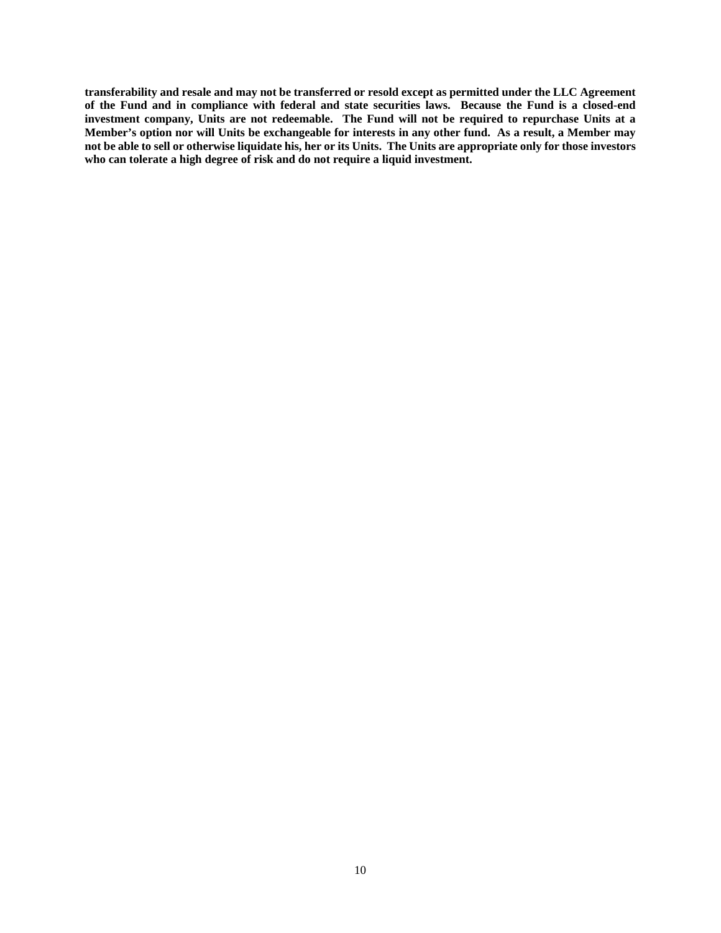**transferability and resale and may not be transferred or resold except as permitted under the LLC Agreement of the Fund and in compliance with federal and state securities laws. Because the Fund is a closed-end investment company, Units are not redeemable. The Fund will not be required to repurchase Units at a Member's option nor will Units be exchangeable for interests in any other fund. As a result, a Member may not be able to sell or otherwise liquidate his, her or its Units. The Units are appropriate only for those investors who can tolerate a high degree of risk and do not require a liquid investment.**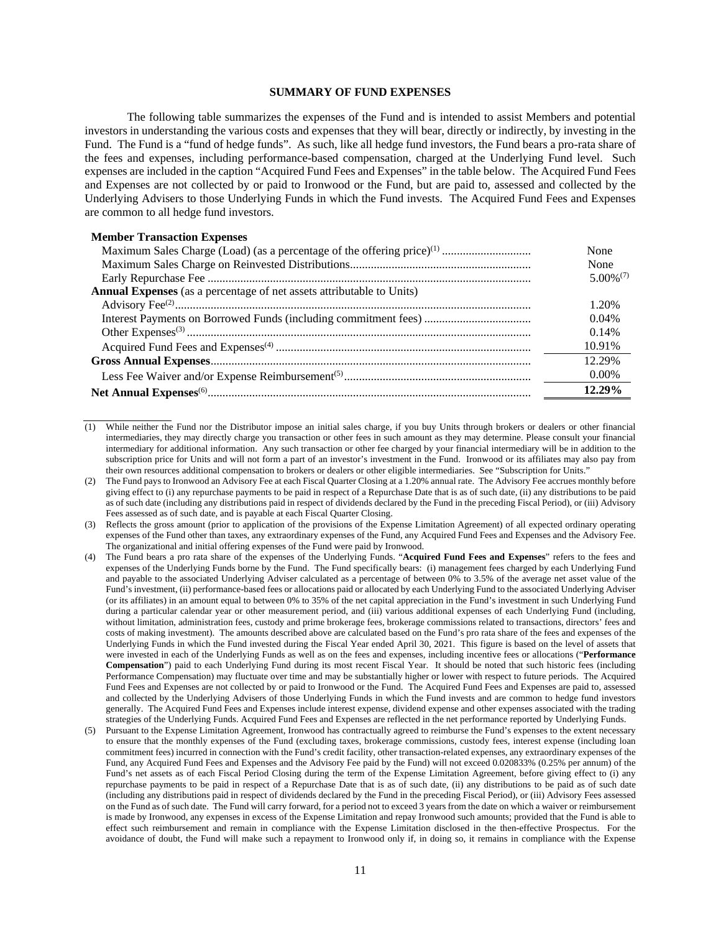## **SUMMARY OF FUND EXPENSES**

<span id="page-16-0"></span>The following table summarizes the expenses of the Fund and is intended to assist Members and potential investors in understanding the various costs and expenses that they will bear, directly or indirectly, by investing in the Fund. The Fund is a "fund of hedge funds". As such, like all hedge fund investors, the Fund bears a pro-rata share of the fees and expenses, including performance-based compensation, charged at the Underlying Fund level. Such expenses are included in the caption "Acquired Fund Fees and Expenses" in the table below. The Acquired Fund Fees and Expenses are not collected by or paid to Ironwood or the Fund, but are paid to, assessed and collected by the Underlying Advisers to those Underlying Funds in which the Fund invests. The Acquired Fund Fees and Expenses are common to all hedge fund investors.

| <b>Member Transaction Expenses</b>                                           |                |
|------------------------------------------------------------------------------|----------------|
|                                                                              | None           |
|                                                                              | None           |
|                                                                              | $5.00\%^{(7)}$ |
| <b>Annual Expenses</b> (as a percentage of net assets attributable to Units) |                |
|                                                                              | 1.20%          |
|                                                                              | $0.04\%$       |
|                                                                              | 0.14%          |
|                                                                              | 10.91%         |
|                                                                              | 12.29%         |
|                                                                              | $0.00\%$       |
|                                                                              | 12.29%         |

 $(1)$  While neither the Fund nor the Distributor impose an initial sales charge, if you buy Units through brokers or dealers or other financial intermediaries, they may directly charge you transaction or other fees in such amount as they may determine. Please consult your financial intermediary for additional information. Any such transaction or other fee charged by your financial intermediary will be in addition to the subscription price for Units and will not form a part of an investor's investment in the Fund. Ironwood or its affiliates may also pay from their own resources additional compensation to brokers or dealers or other eligible intermediaries. See "Subscription for Units."

<sup>(2)</sup> The Fund pays to Ironwood an Advisory Fee at each Fiscal Quarter Closing at a 1.20% annual rate. The Advisory Fee accrues monthly before giving effect to (i) any repurchase payments to be paid in respect of a Repurchase Date that is as of such date, (ii) any distributions to be paid as of such date (including any distributions paid in respect of dividends declared by the Fund in the preceding Fiscal Period), or (iii) Advisory Fees assessed as of such date, and is payable at each Fiscal Quarter Closing.

<sup>(3)</sup> Reflects the gross amount (prior to application of the provisions of the Expense Limitation Agreement) of all expected ordinary operating expenses of the Fund other than taxes, any extraordinary expenses of the Fund, any Acquired Fund Fees and Expenses and the Advisory Fee. The organizational and initial offering expenses of the Fund were paid by Ironwood.

<sup>(4)</sup> The Fund bears a pro rata share of the expenses of the Underlying Funds. "**Acquired Fund Fees and Expenses**" refers to the fees and expenses of the Underlying Funds borne by the Fund. The Fund specifically bears: (i) management fees charged by each Underlying Fund and payable to the associated Underlying Adviser calculated as a percentage of between 0% to 3.5% of the average net asset value of the Fund's investment, (ii) performance-based fees or allocations paid or allocated by each Underlying Fund to the associated Underlying Adviser (or its affiliates) in an amount equal to between 0% to 35% of the net capital appreciation in the Fund's investment in such Underlying Fund during a particular calendar year or other measurement period, and (iii) various additional expenses of each Underlying Fund (including, without limitation, administration fees, custody and prime brokerage fees, brokerage commissions related to transactions, directors' fees and costs of making investment). The amounts described above are calculated based on the Fund's pro rata share of the fees and expenses of the Underlying Funds in which the Fund invested during the Fiscal Year ended April 30, 2021. This figure is based on the level of assets that were invested in each of the Underlying Funds as well as on the fees and expenses, including incentive fees or allocations ("**Performance Compensation**") paid to each Underlying Fund during its most recent Fiscal Year. It should be noted that such historic fees (including Performance Compensation) may fluctuate over time and may be substantially higher or lower with respect to future periods. The Acquired Fund Fees and Expenses are not collected by or paid to Ironwood or the Fund. The Acquired Fund Fees and Expenses are paid to, assessed and collected by the Underlying Advisers of those Underlying Funds in which the Fund invests and are common to hedge fund investors generally. The Acquired Fund Fees and Expenses include interest expense, dividend expense and other expenses associated with the trading strategies of the Underlying Funds. Acquired Fund Fees and Expenses are reflected in the net performance reported by Underlying Funds.

<sup>(5)</sup> Pursuant to the Expense Limitation Agreement, Ironwood has contractually agreed to reimburse the Fund's expenses to the extent necessary to ensure that the monthly expenses of the Fund (excluding taxes, brokerage commissions, custody fees, interest expense (including loan commitment fees) incurred in connection with the Fund's credit facility, other transaction-related expenses, any extraordinary expenses of the Fund, any Acquired Fund Fees and Expenses and the Advisory Fee paid by the Fund) will not exceed 0.020833% (0.25% per annum) of the Fund's net assets as of each Fiscal Period Closing during the term of the Expense Limitation Agreement, before giving effect to (i) any repurchase payments to be paid in respect of a Repurchase Date that is as of such date, (ii) any distributions to be paid as of such date (including any distributions paid in respect of dividends declared by the Fund in the preceding Fiscal Period), or (iii) Advisory Fees assessed on the Fund as of such date. The Fund will carry forward, for a period not to exceed 3 years from the date on which a waiver or reimbursement is made by Ironwood, any expenses in excess of the Expense Limitation and repay Ironwood such amounts; provided that the Fund is able to effect such reimbursement and remain in compliance with the Expense Limitation disclosed in the then-effective Prospectus. For the avoidance of doubt, the Fund will make such a repayment to Ironwood only if, in doing so, it remains in compliance with the Expense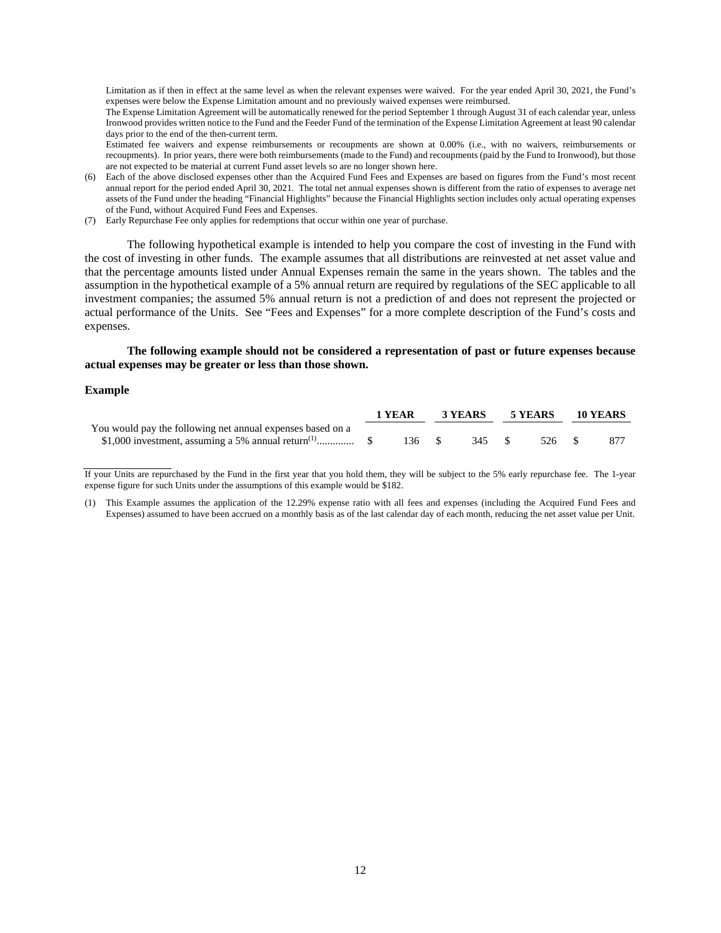Limitation as if then in effect at the same level as when the relevant expenses were waived. For the year ended April 30, 2021, the Fund's expenses were below the Expense Limitation amount and no previously waived expenses were reimbursed.

The Expense Limitation Agreement will be automatically renewed for the period September 1 through August 31 of each calendar year, unless Ironwood provides written notice to the Fund and the Feeder Fund of the termination of the Expense Limitation Agreement at least 90 calendar days prior to the end of the then-current term.

Estimated fee waivers and expense reimbursements or recoupments are shown at 0.00% (i.e., with no waivers, reimbursements or recoupments). In prior years, there were both reimbursements (made to the Fund) and recoupments (paid by the Fund to Ironwood), but those are not expected to be material at current Fund asset levels so are no longer shown here.

- (6) Each of the above disclosed expenses other than the Acquired Fund Fees and Expenses are based on figures from the Fund's most recent annual report for the period ended April 30, 2021. The total net annual expenses shown is different from the ratio of expenses to average net assets of the Fund under the heading "Financial Highlights" because the Financial Highlights section includes only actual operating expenses of the Fund, without Acquired Fund Fees and Expenses.
- (7) Early Repurchase Fee only applies for redemptions that occur within one year of purchase.

The following hypothetical example is intended to help you compare the cost of investing in the Fund with the cost of investing in other funds. The example assumes that all distributions are reinvested at net asset value and that the percentage amounts listed under Annual Expenses remain the same in the years shown. The tables and the assumption in the hypothetical example of a 5% annual return are required by regulations of the SEC applicable to all investment companies; the assumed 5% annual return is not a prediction of and does not represent the projected or actual performance of the Units. See "Fees and Expenses" for a more complete description of the Fund's costs and expenses.

## **The following example should not be considered a representation of past or future expenses because actual expenses may be greater or less than those shown.**

### **Example**

|                                                            | 1 YEAR | 3 YEARS | 5 YEARS | <b>10 YEARS</b> |
|------------------------------------------------------------|--------|---------|---------|-----------------|
| You would pay the following net annual expenses based on a |        |         |         |                 |
|                                                            | 136S   | 345 \$  | 526 \$  | 877             |

If your Units are repurchased by the Fund in the first year that you hold them, they will be subject to the 5% early repurchase fee. The 1-year expense figure for such Units under the assumptions of this example would be \$182.

<sup>(1)</sup> This Example assumes the application of the 12.29% expense ratio with all fees and expenses (including the Acquired Fund Fees and Expenses) assumed to have been accrued on a monthly basis as of the last calendar day of each month, reducing the net asset value per Unit.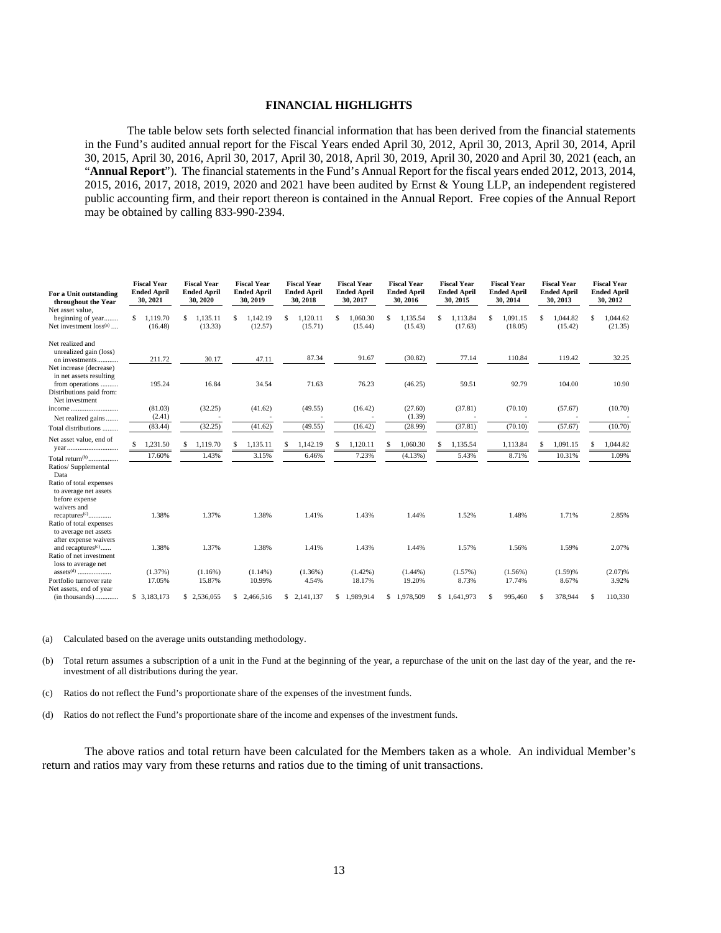## **FINANCIAL HIGHLIGHTS**

<span id="page-18-0"></span>The table below sets forth selected financial information that has been derived from the financial statements in the Fund's audited annual report for the Fiscal Years ended April 30, 2012, April 30, 2013, April 30, 2014, April 30, 2015, April 30, 2016, April 30, 2017, April 30, 2018, April 30, 2019, April 30, 2020 and April 30, 2021 (each, an "**Annual Report**"). The financial statements in the Fund's Annual Report for the fiscal years ended 2012, 2013, 2014, 2015, 2016, 2017, 2018, 2019, 2020 and 2021 have been audited by Ernst & Young LLP, an independent registered public accounting firm, and their report thereon is contained in the Annual Report. Free copies of the Annual Report may be obtained by calling 833-990-2394.

| For a Unit outstanding<br>throughout the Year                                                                                                    | <b>Fiscal Year</b><br><b>Ended April</b><br>30, 2021 | <b>Fiscal Year</b><br><b>Ended April</b><br>30, 2020 | <b>Fiscal Year</b><br><b>Ended April</b><br>30, 2019 | <b>Fiscal Year</b><br><b>Ended April</b><br>30, 2018 | <b>Fiscal Year</b><br><b>Ended April</b><br>30, 2017 | <b>Fiscal Year</b><br><b>Ended April</b><br>30, 2016 | <b>Fiscal Year</b><br><b>Ended April</b><br>30, 2015 | <b>Fiscal Year</b><br><b>Ended April</b><br>30, 2014 | <b>Fiscal Year</b><br><b>Ended April</b><br>30, 2013 | <b>Fiscal Year</b><br><b>Ended April</b><br>30, 2012 |
|--------------------------------------------------------------------------------------------------------------------------------------------------|------------------------------------------------------|------------------------------------------------------|------------------------------------------------------|------------------------------------------------------|------------------------------------------------------|------------------------------------------------------|------------------------------------------------------|------------------------------------------------------|------------------------------------------------------|------------------------------------------------------|
| Net asset value.<br>beginning of year<br>Net investment loss <sup>(a)</sup>                                                                      | 1.119.70<br>S<br>(16.48)                             | 1.135.11<br>S<br>(13.33)                             | 1.142.19<br>\$<br>(12.57)                            | 1,120.11<br>S<br>(15.71)                             | 1.060.30<br>\$<br>(15.44)                            | 1.135.54<br>S<br>(15.43)                             | 1.113.84<br>S<br>(17.63)                             | 1.091.15<br>\$.<br>(18.05)                           | Ŝ<br>1.044.82<br>(15.42)                             | 1.044.62<br>S<br>(21.35)                             |
| Net realized and<br>unrealized gain (loss)<br>on investments<br>Net increase (decrease)                                                          | 211.72                                               | 30.17                                                | 47.11                                                | 87.34                                                | 91.67                                                | (30.82)                                              | 77.14                                                | 110.84                                               | 119.42                                               | 32.25                                                |
| in net assets resulting<br>from operations<br>Distributions paid from:<br>Net investment                                                         | 195.24                                               | 16.84                                                | 34.54                                                | 71.63                                                | 76.23                                                | (46.25)                                              | 59.51                                                | 92.79                                                | 104.00                                               | 10.90                                                |
| income<br>Net realized gains                                                                                                                     | (81.03)<br>(2.41)                                    | (32.25)                                              | (41.62)                                              | (49.55)                                              | (16.42)                                              | (27.60)<br>(1.39)                                    | (37.81)                                              | (70.10)                                              | (57.67)                                              | (10.70)                                              |
| Total distributions                                                                                                                              | (83.44)                                              | (32.25)                                              | (41.62)                                              | (49.55)                                              | (16.42)                                              | (28.99)                                              | (37.81)                                              | (70.10)                                              | (57.67)                                              | (10.70)                                              |
| Net asset value, end of                                                                                                                          | 1,231.50<br>S                                        | 1,119.70<br>S.                                       | 1,135.11<br>S                                        | 1,142.19<br>\$                                       | 1,120.11<br>\$                                       | 1,060.30<br>S.                                       | 1,135.54<br>S                                        | 1,113.84                                             | 1,091.15<br>S                                        | 1,044.82                                             |
| Total return <sup>(b)</sup><br>Ratios/ Supplemental<br>Data<br>Ratio of total expenses<br>to average net assets<br>before expense<br>waivers and | 17.60%                                               | 1.43%                                                | 3.15%                                                | 6.46%                                                | 7.23%                                                | (4.13%)                                              | 5.43%                                                | 8.71%                                                | 10.31%                                               | 1.09%                                                |
| recaptures <sup>(c)</sup><br>Ratio of total expenses<br>to average net assets<br>after expense waivers                                           | 1.38%                                                | 1.37%                                                | 1.38%                                                | 1.41%                                                | 1.43%                                                | 1.44%                                                | 1.52%                                                | 1.48%                                                | 1.71%                                                | 2.85%                                                |
| and recaptures <sup>(c)</sup><br>Ratio of net investment<br>loss to average net                                                                  | 1.38%                                                | 1.37%                                                | 1.38%                                                | 1.41%                                                | 1.43%                                                | 1.44%                                                | 1.57%                                                | 1.56%                                                | 1.59%                                                | 2.07%                                                |
| Portfolio turnover rate<br>Net assets, end of year                                                                                               | (1.37%)<br>17.05%                                    | $(1.16\%)$<br>15.87%                                 | $(1.14\%)$<br>10.99%                                 | $(1.36\%)$<br>4.54%                                  | $(1.42\%)$<br>18.17%                                 | $(1.44\%)$<br>19.20%                                 | (1.57%)<br>8.73%                                     | $(1.56\%)$<br>17.74%                                 | (1.59)%<br>8.67%                                     | (2.07)%<br>3.92%                                     |
|                                                                                                                                                  | \$ 3.183,173                                         | \$2,536,055                                          | \$<br>2.466.516                                      | \$<br>2.141.137                                      | 1.989.914<br>S.                                      | 1.978.509<br>S                                       | 1.641.973<br>S                                       | \$.<br>995.460                                       | \$.<br>378,944                                       | 110,330<br>\$                                        |

(a) Calculated based on the average units outstanding methodology.

(b) Total return assumes a subscription of a unit in the Fund at the beginning of the year, a repurchase of the unit on the last day of the year, and the reinvestment of all distributions during the year.

(c) Ratios do not reflect the Fund's proportionate share of the expenses of the investment funds.

(d) Ratios do not reflect the Fund's proportionate share of the income and expenses of the investment funds.

The above ratios and total return have been calculated for the Members taken as a whole. An individual Member's return and ratios may vary from these returns and ratios due to the timing of unit transactions.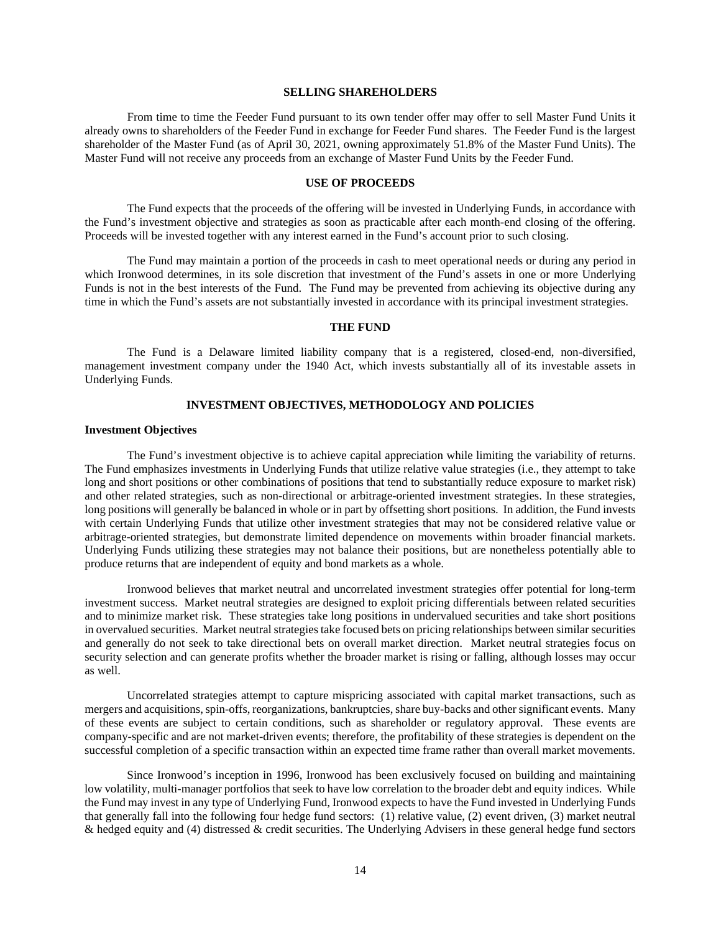## **SELLING SHAREHOLDERS**

<span id="page-19-0"></span>From time to time the Feeder Fund pursuant to its own tender offer may offer to sell Master Fund Units it already owns to shareholders of the Feeder Fund in exchange for Feeder Fund shares. The Feeder Fund is the largest shareholder of the Master Fund (as of April 30, 2021, owning approximately 51.8% of the Master Fund Units). The Master Fund will not receive any proceeds from an exchange of Master Fund Units by the Feeder Fund.

## **USE OF PROCEEDS**

<span id="page-19-1"></span>The Fund expects that the proceeds of the offering will be invested in Underlying Funds, in accordance with the Fund's investment objective and strategies as soon as practicable after each month-end closing of the offering. Proceeds will be invested together with any interest earned in the Fund's account prior to such closing.

The Fund may maintain a portion of the proceeds in cash to meet operational needs or during any period in which Ironwood determines, in its sole discretion that investment of the Fund's assets in one or more Underlying Funds is not in the best interests of the Fund. The Fund may be prevented from achieving its objective during any time in which the Fund's assets are not substantially invested in accordance with its principal investment strategies.

## **THE FUND**

<span id="page-19-2"></span>The Fund is a Delaware limited liability company that is a registered, closed-end, non-diversified, management investment company under the 1940 Act, which invests substantially all of its investable assets in Underlying Funds.

## **INVESTMENT OBJECTIVES, METHODOLOGY AND POLICIES**

## <span id="page-19-3"></span>**Investment Objectives**

The Fund's investment objective is to achieve capital appreciation while limiting the variability of returns. The Fund emphasizes investments in Underlying Funds that utilize relative value strategies (i.e., they attempt to take long and short positions or other combinations of positions that tend to substantially reduce exposure to market risk) and other related strategies, such as non-directional or arbitrage-oriented investment strategies. In these strategies, long positions will generally be balanced in whole or in part by offsetting short positions. In addition, the Fund invests with certain Underlying Funds that utilize other investment strategies that may not be considered relative value or arbitrage-oriented strategies, but demonstrate limited dependence on movements within broader financial markets. Underlying Funds utilizing these strategies may not balance their positions, but are nonetheless potentially able to produce returns that are independent of equity and bond markets as a whole.

Ironwood believes that market neutral and uncorrelated investment strategies offer potential for long-term investment success. Market neutral strategies are designed to exploit pricing differentials between related securities and to minimize market risk. These strategies take long positions in undervalued securities and take short positions in overvalued securities. Market neutral strategies take focused bets on pricing relationships between similar securities and generally do not seek to take directional bets on overall market direction. Market neutral strategies focus on security selection and can generate profits whether the broader market is rising or falling, although losses may occur as well.

Uncorrelated strategies attempt to capture mispricing associated with capital market transactions, such as mergers and acquisitions, spin-offs, reorganizations, bankruptcies, share buy-backs and other significant events. Many of these events are subject to certain conditions, such as shareholder or regulatory approval. These events are company-specific and are not market-driven events; therefore, the profitability of these strategies is dependent on the successful completion of a specific transaction within an expected time frame rather than overall market movements.

Since Ironwood's inception in 1996, Ironwood has been exclusively focused on building and maintaining low volatility, multi-manager portfolios that seek to have low correlation to the broader debt and equity indices. While the Fund may invest in any type of Underlying Fund, Ironwood expects to have the Fund invested in Underlying Funds that generally fall into the following four hedge fund sectors: (1) relative value, (2) event driven, (3) market neutral & hedged equity and (4) distressed & credit securities. The Underlying Advisers in these general hedge fund sectors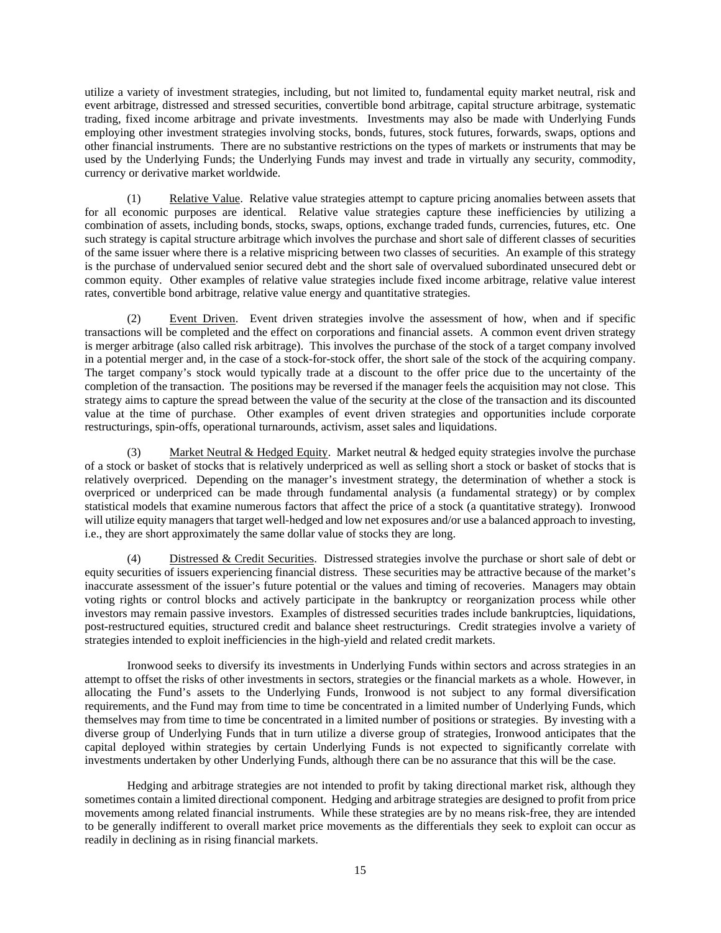utilize a variety of investment strategies, including, but not limited to, fundamental equity market neutral, risk and event arbitrage, distressed and stressed securities, convertible bond arbitrage, capital structure arbitrage, systematic trading, fixed income arbitrage and private investments. Investments may also be made with Underlying Funds employing other investment strategies involving stocks, bonds, futures, stock futures, forwards, swaps, options and other financial instruments. There are no substantive restrictions on the types of markets or instruments that may be used by the Underlying Funds; the Underlying Funds may invest and trade in virtually any security, commodity, currency or derivative market worldwide.

(1) Relative Value. Relative value strategies attempt to capture pricing anomalies between assets that for all economic purposes are identical. Relative value strategies capture these inefficiencies by utilizing a combination of assets, including bonds, stocks, swaps, options, exchange traded funds, currencies, futures, etc. One such strategy is capital structure arbitrage which involves the purchase and short sale of different classes of securities of the same issuer where there is a relative mispricing between two classes of securities. An example of this strategy is the purchase of undervalued senior secured debt and the short sale of overvalued subordinated unsecured debt or common equity. Other examples of relative value strategies include fixed income arbitrage, relative value interest rates, convertible bond arbitrage, relative value energy and quantitative strategies.

(2) Event Driven. Event driven strategies involve the assessment of how, when and if specific transactions will be completed and the effect on corporations and financial assets. A common event driven strategy is merger arbitrage (also called risk arbitrage). This involves the purchase of the stock of a target company involved in a potential merger and, in the case of a stock-for-stock offer, the short sale of the stock of the acquiring company. The target company's stock would typically trade at a discount to the offer price due to the uncertainty of the completion of the transaction. The positions may be reversed if the manager feels the acquisition may not close. This strategy aims to capture the spread between the value of the security at the close of the transaction and its discounted value at the time of purchase. Other examples of event driven strategies and opportunities include corporate restructurings, spin-offs, operational turnarounds, activism, asset sales and liquidations.

(3) Market Neutral & Hedged Equity. Market neutral & hedged equity strategies involve the purchase of a stock or basket of stocks that is relatively underpriced as well as selling short a stock or basket of stocks that is relatively overpriced. Depending on the manager's investment strategy, the determination of whether a stock is overpriced or underpriced can be made through fundamental analysis (a fundamental strategy) or by complex statistical models that examine numerous factors that affect the price of a stock (a quantitative strategy). Ironwood will utilize equity managers that target well-hedged and low net exposures and/or use a balanced approach to investing, i.e., they are short approximately the same dollar value of stocks they are long.

(4) Distressed & Credit Securities. Distressed strategies involve the purchase or short sale of debt or equity securities of issuers experiencing financial distress. These securities may be attractive because of the market's inaccurate assessment of the issuer's future potential or the values and timing of recoveries. Managers may obtain voting rights or control blocks and actively participate in the bankruptcy or reorganization process while other investors may remain passive investors. Examples of distressed securities trades include bankruptcies, liquidations, post-restructured equities, structured credit and balance sheet restructurings. Credit strategies involve a variety of strategies intended to exploit inefficiencies in the high-yield and related credit markets.

Ironwood seeks to diversify its investments in Underlying Funds within sectors and across strategies in an attempt to offset the risks of other investments in sectors, strategies or the financial markets as a whole. However, in allocating the Fund's assets to the Underlying Funds, Ironwood is not subject to any formal diversification requirements, and the Fund may from time to time be concentrated in a limited number of Underlying Funds, which themselves may from time to time be concentrated in a limited number of positions or strategies. By investing with a diverse group of Underlying Funds that in turn utilize a diverse group of strategies, Ironwood anticipates that the capital deployed within strategies by certain Underlying Funds is not expected to significantly correlate with investments undertaken by other Underlying Funds, although there can be no assurance that this will be the case.

Hedging and arbitrage strategies are not intended to profit by taking directional market risk, although they sometimes contain a limited directional component. Hedging and arbitrage strategies are designed to profit from price movements among related financial instruments. While these strategies are by no means risk-free, they are intended to be generally indifferent to overall market price movements as the differentials they seek to exploit can occur as readily in declining as in rising financial markets.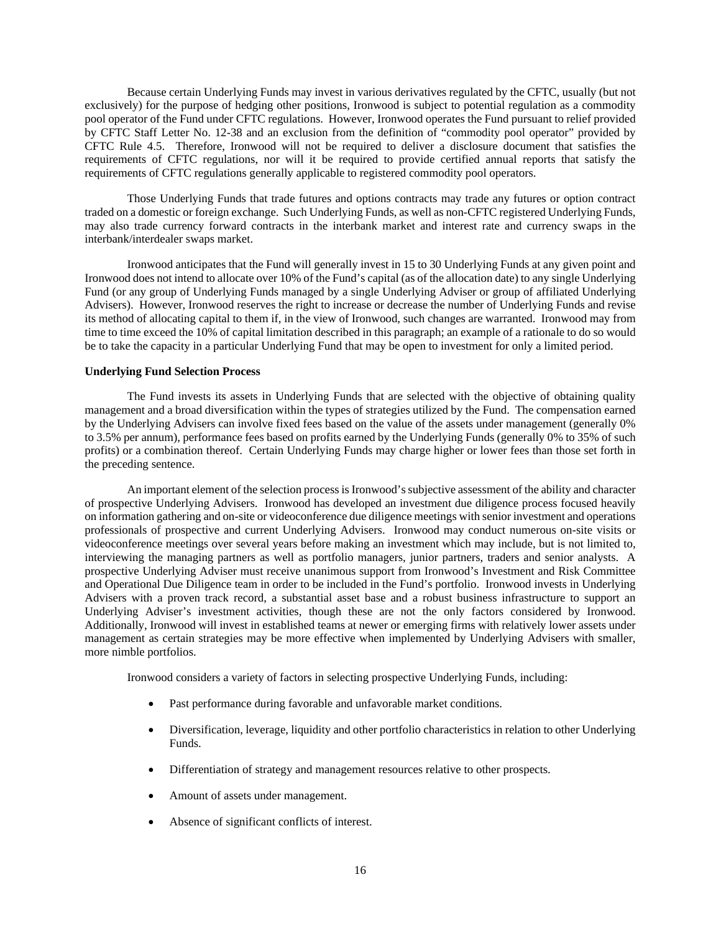Because certain Underlying Funds may invest in various derivatives regulated by the CFTC, usually (but not exclusively) for the purpose of hedging other positions, Ironwood is subject to potential regulation as a commodity pool operator of the Fund under CFTC regulations. However, Ironwood operates the Fund pursuant to relief provided by CFTC Staff Letter No. 12-38 and an exclusion from the definition of "commodity pool operator" provided by CFTC Rule 4.5. Therefore, Ironwood will not be required to deliver a disclosure document that satisfies the requirements of CFTC regulations, nor will it be required to provide certified annual reports that satisfy the requirements of CFTC regulations generally applicable to registered commodity pool operators.

Those Underlying Funds that trade futures and options contracts may trade any futures or option contract traded on a domestic or foreign exchange. Such Underlying Funds, as well as non-CFTC registered Underlying Funds, may also trade currency forward contracts in the interbank market and interest rate and currency swaps in the interbank/interdealer swaps market.

Ironwood anticipates that the Fund will generally invest in 15 to 30 Underlying Funds at any given point and Ironwood does not intend to allocate over 10% of the Fund's capital (as of the allocation date) to any single Underlying Fund (or any group of Underlying Funds managed by a single Underlying Adviser or group of affiliated Underlying Advisers). However, Ironwood reserves the right to increase or decrease the number of Underlying Funds and revise its method of allocating capital to them if, in the view of Ironwood, such changes are warranted. Ironwood may from time to time exceed the 10% of capital limitation described in this paragraph; an example of a rationale to do so would be to take the capacity in a particular Underlying Fund that may be open to investment for only a limited period.

## **Underlying Fund Selection Process**

The Fund invests its assets in Underlying Funds that are selected with the objective of obtaining quality management and a broad diversification within the types of strategies utilized by the Fund. The compensation earned by the Underlying Advisers can involve fixed fees based on the value of the assets under management (generally 0% to 3.5% per annum), performance fees based on profits earned by the Underlying Funds (generally 0% to 35% of such profits) or a combination thereof. Certain Underlying Funds may charge higher or lower fees than those set forth in the preceding sentence.

An important element of the selection process is Ironwood's subjective assessment of the ability and character of prospective Underlying Advisers. Ironwood has developed an investment due diligence process focused heavily on information gathering and on-site or videoconference due diligence meetings with senior investment and operations professionals of prospective and current Underlying Advisers. Ironwood may conduct numerous on-site visits or videoconference meetings over several years before making an investment which may include, but is not limited to, interviewing the managing partners as well as portfolio managers, junior partners, traders and senior analysts. A prospective Underlying Adviser must receive unanimous support from Ironwood's Investment and Risk Committee and Operational Due Diligence team in order to be included in the Fund's portfolio. Ironwood invests in Underlying Advisers with a proven track record, a substantial asset base and a robust business infrastructure to support an Underlying Adviser's investment activities, though these are not the only factors considered by Ironwood. Additionally, Ironwood will invest in established teams at newer or emerging firms with relatively lower assets under management as certain strategies may be more effective when implemented by Underlying Advisers with smaller, more nimble portfolios.

Ironwood considers a variety of factors in selecting prospective Underlying Funds, including:

- Past performance during favorable and unfavorable market conditions.
- Diversification, leverage, liquidity and other portfolio characteristics in relation to other Underlying Funds.
- Differentiation of strategy and management resources relative to other prospects.
- Amount of assets under management.
- Absence of significant conflicts of interest.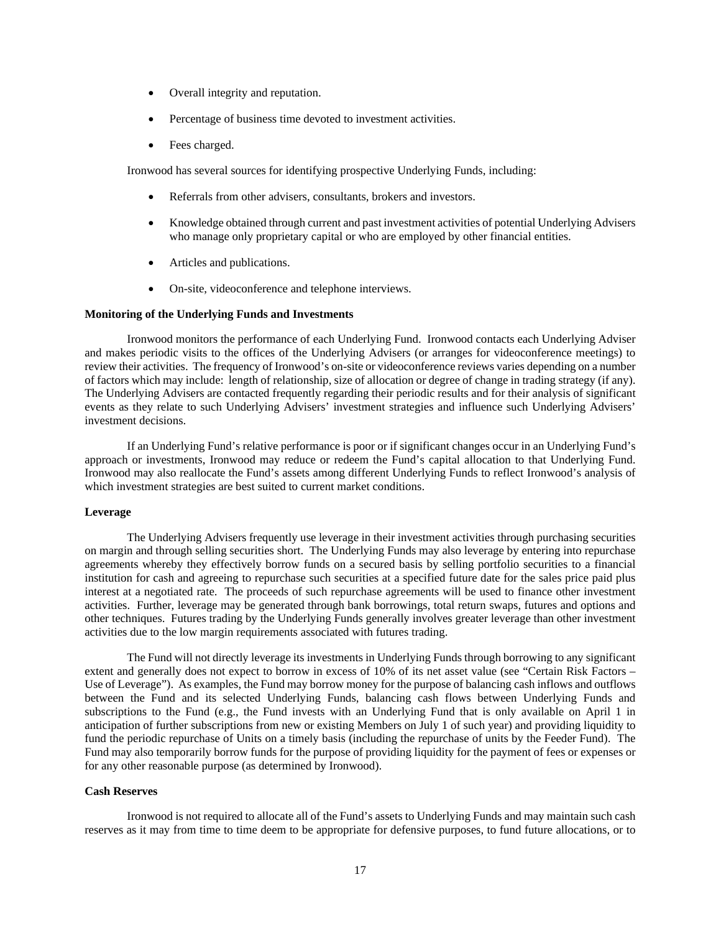- Overall integrity and reputation.
- Percentage of business time devoted to investment activities.
- Fees charged.

Ironwood has several sources for identifying prospective Underlying Funds, including:

- Referrals from other advisers, consultants, brokers and investors.
- Knowledge obtained through current and past investment activities of potential Underlying Advisers who manage only proprietary capital or who are employed by other financial entities.
- Articles and publications.
- On-site, videoconference and telephone interviews.

#### **Monitoring of the Underlying Funds and Investments**

Ironwood monitors the performance of each Underlying Fund. Ironwood contacts each Underlying Adviser and makes periodic visits to the offices of the Underlying Advisers (or arranges for videoconference meetings) to review their activities. The frequency of Ironwood's on-site or videoconference reviews varies depending on a number of factors which may include: length of relationship, size of allocation or degree of change in trading strategy (if any). The Underlying Advisers are contacted frequently regarding their periodic results and for their analysis of significant events as they relate to such Underlying Advisers' investment strategies and influence such Underlying Advisers' investment decisions.

If an Underlying Fund's relative performance is poor or if significant changes occur in an Underlying Fund's approach or investments, Ironwood may reduce or redeem the Fund's capital allocation to that Underlying Fund. Ironwood may also reallocate the Fund's assets among different Underlying Funds to reflect Ironwood's analysis of which investment strategies are best suited to current market conditions.

### **Leverage**

The Underlying Advisers frequently use leverage in their investment activities through purchasing securities on margin and through selling securities short. The Underlying Funds may also leverage by entering into repurchase agreements whereby they effectively borrow funds on a secured basis by selling portfolio securities to a financial institution for cash and agreeing to repurchase such securities at a specified future date for the sales price paid plus interest at a negotiated rate. The proceeds of such repurchase agreements will be used to finance other investment activities. Further, leverage may be generated through bank borrowings, total return swaps, futures and options and other techniques. Futures trading by the Underlying Funds generally involves greater leverage than other investment activities due to the low margin requirements associated with futures trading.

The Fund will not directly leverage its investments in Underlying Funds through borrowing to any significant extent and generally does not expect to borrow in excess of 10% of its net asset value (see "Certain Risk Factors – Use of Leverage"). As examples, the Fund may borrow money for the purpose of balancing cash inflows and outflows between the Fund and its selected Underlying Funds, balancing cash flows between Underlying Funds and subscriptions to the Fund (e.g., the Fund invests with an Underlying Fund that is only available on April 1 in anticipation of further subscriptions from new or existing Members on July 1 of such year) and providing liquidity to fund the periodic repurchase of Units on a timely basis (including the repurchase of units by the Feeder Fund). The Fund may also temporarily borrow funds for the purpose of providing liquidity for the payment of fees or expenses or for any other reasonable purpose (as determined by Ironwood).

## **Cash Reserves**

Ironwood is not required to allocate all of the Fund's assets to Underlying Funds and may maintain such cash reserves as it may from time to time deem to be appropriate for defensive purposes, to fund future allocations, or to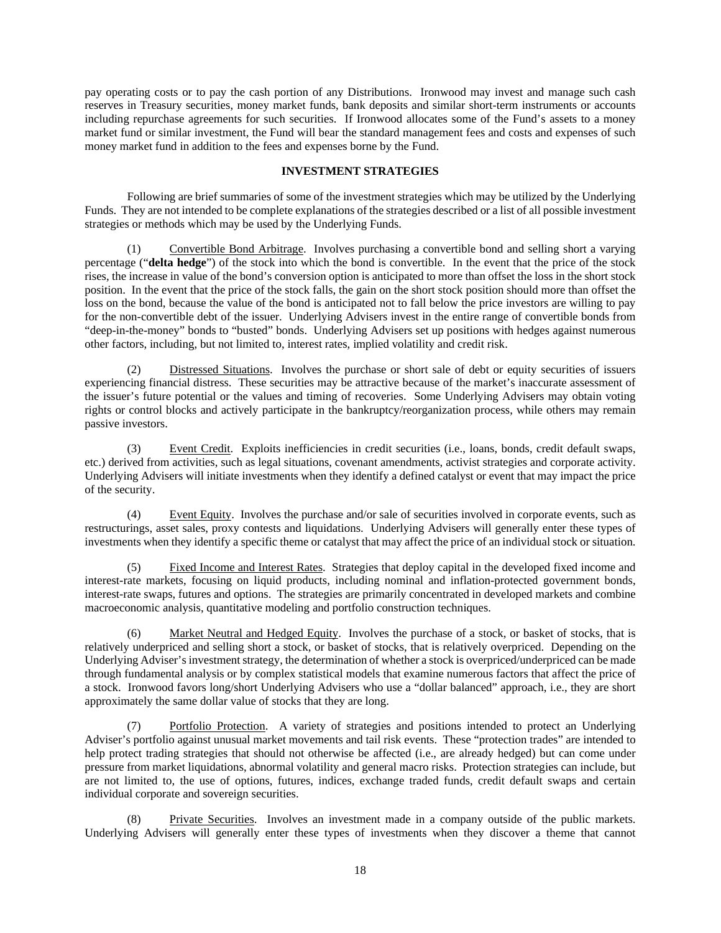pay operating costs or to pay the cash portion of any Distributions. Ironwood may invest and manage such cash reserves in Treasury securities, money market funds, bank deposits and similar short-term instruments or accounts including repurchase agreements for such securities. If Ironwood allocates some of the Fund's assets to a money market fund or similar investment, the Fund will bear the standard management fees and costs and expenses of such money market fund in addition to the fees and expenses borne by the Fund.

## **INVESTMENT STRATEGIES**

<span id="page-23-0"></span>Following are brief summaries of some of the investment strategies which may be utilized by the Underlying Funds. They are not intended to be complete explanations of the strategies described or a list of all possible investment strategies or methods which may be used by the Underlying Funds.

(1) Convertible Bond Arbitrage. Involves purchasing a convertible bond and selling short a varying percentage ("**delta hedge**") of the stock into which the bond is convertible. In the event that the price of the stock rises, the increase in value of the bond's conversion option is anticipated to more than offset the loss in the short stock position. In the event that the price of the stock falls, the gain on the short stock position should more than offset the loss on the bond, because the value of the bond is anticipated not to fall below the price investors are willing to pay for the non-convertible debt of the issuer. Underlying Advisers invest in the entire range of convertible bonds from "deep-in-the-money" bonds to "busted" bonds. Underlying Advisers set up positions with hedges against numerous other factors, including, but not limited to, interest rates, implied volatility and credit risk.

(2) Distressed Situations. Involves the purchase or short sale of debt or equity securities of issuers experiencing financial distress. These securities may be attractive because of the market's inaccurate assessment of the issuer's future potential or the values and timing of recoveries. Some Underlying Advisers may obtain voting rights or control blocks and actively participate in the bankruptcy/reorganization process, while others may remain passive investors.

(3) Event Credit. Exploits inefficiencies in credit securities (i.e., loans, bonds, credit default swaps, etc.) derived from activities, such as legal situations, covenant amendments, activist strategies and corporate activity. Underlying Advisers will initiate investments when they identify a defined catalyst or event that may impact the price of the security.

(4) Event Equity. Involves the purchase and/or sale of securities involved in corporate events, such as restructurings, asset sales, proxy contests and liquidations. Underlying Advisers will generally enter these types of investments when they identify a specific theme or catalyst that may affect the price of an individual stock or situation.

(5) Fixed Income and Interest Rates. Strategies that deploy capital in the developed fixed income and interest-rate markets, focusing on liquid products, including nominal and inflation-protected government bonds, interest-rate swaps, futures and options. The strategies are primarily concentrated in developed markets and combine macroeconomic analysis, quantitative modeling and portfolio construction techniques.

(6) Market Neutral and Hedged Equity. Involves the purchase of a stock, or basket of stocks, that is relatively underpriced and selling short a stock, or basket of stocks, that is relatively overpriced. Depending on the Underlying Adviser's investment strategy, the determination of whether a stock is overpriced/underpriced can be made through fundamental analysis or by complex statistical models that examine numerous factors that affect the price of a stock. Ironwood favors long/short Underlying Advisers who use a "dollar balanced" approach, i.e., they are short approximately the same dollar value of stocks that they are long.

(7) Portfolio Protection. A variety of strategies and positions intended to protect an Underlying Adviser's portfolio against unusual market movements and tail risk events. These "protection trades" are intended to help protect trading strategies that should not otherwise be affected (i.e., are already hedged) but can come under pressure from market liquidations, abnormal volatility and general macro risks. Protection strategies can include, but are not limited to, the use of options, futures, indices, exchange traded funds, credit default swaps and certain individual corporate and sovereign securities.

(8) Private Securities. Involves an investment made in a company outside of the public markets. Underlying Advisers will generally enter these types of investments when they discover a theme that cannot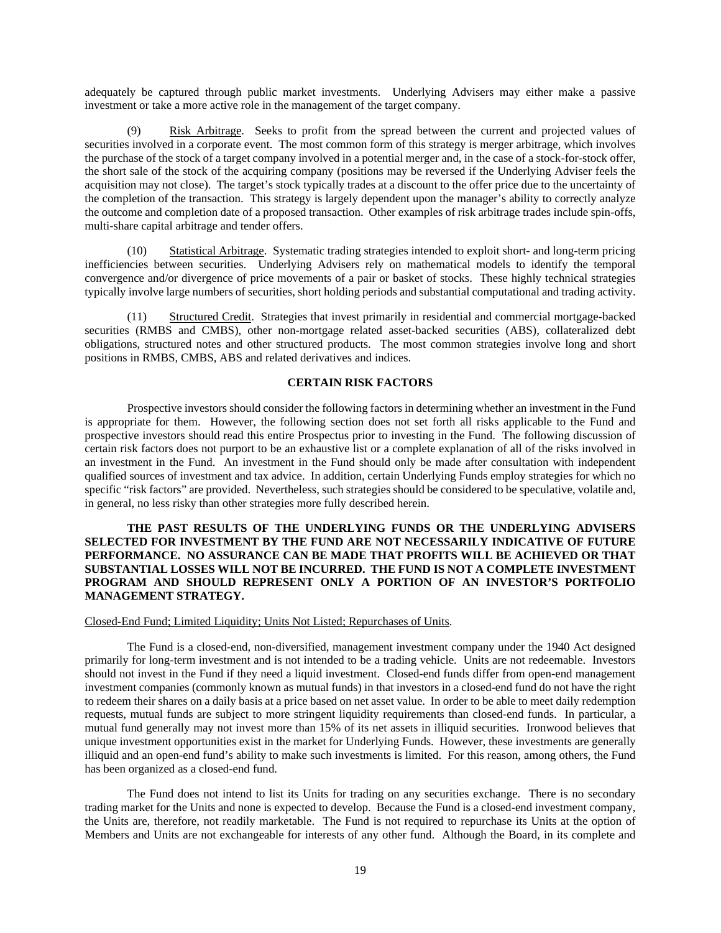adequately be captured through public market investments. Underlying Advisers may either make a passive investment or take a more active role in the management of the target company.

(9) Risk Arbitrage. Seeks to profit from the spread between the current and projected values of securities involved in a corporate event. The most common form of this strategy is merger arbitrage, which involves the purchase of the stock of a target company involved in a potential merger and, in the case of a stock-for-stock offer, the short sale of the stock of the acquiring company (positions may be reversed if the Underlying Adviser feels the acquisition may not close). The target's stock typically trades at a discount to the offer price due to the uncertainty of the completion of the transaction. This strategy is largely dependent upon the manager's ability to correctly analyze the outcome and completion date of a proposed transaction. Other examples of risk arbitrage trades include spin-offs, multi-share capital arbitrage and tender offers.

(10) Statistical Arbitrage. Systematic trading strategies intended to exploit short- and long-term pricing inefficiencies between securities. Underlying Advisers rely on mathematical models to identify the temporal convergence and/or divergence of price movements of a pair or basket of stocks. These highly technical strategies typically involve large numbers of securities, short holding periods and substantial computational and trading activity.

(11) Structured Credit. Strategies that invest primarily in residential and commercial mortgage-backed securities (RMBS and CMBS), other non-mortgage related asset-backed securities (ABS), collateralized debt obligations, structured notes and other structured products. The most common strategies involve long and short positions in RMBS, CMBS, ABS and related derivatives and indices.

## **CERTAIN RISK FACTORS**

<span id="page-24-0"></span>Prospective investors should consider the following factors in determining whether an investment in the Fund is appropriate for them. However, the following section does not set forth all risks applicable to the Fund and prospective investors should read this entire Prospectus prior to investing in the Fund. The following discussion of certain risk factors does not purport to be an exhaustive list or a complete explanation of all of the risks involved in an investment in the Fund. An investment in the Fund should only be made after consultation with independent qualified sources of investment and tax advice. In addition, certain Underlying Funds employ strategies for which no specific "risk factors" are provided. Nevertheless, such strategies should be considered to be speculative, volatile and, in general, no less risky than other strategies more fully described herein.

## **THE PAST RESULTS OF THE UNDERLYING FUNDS OR THE UNDERLYING ADVISERS SELECTED FOR INVESTMENT BY THE FUND ARE NOT NECESSARILY INDICATIVE OF FUTURE PERFORMANCE. NO ASSURANCE CAN BE MADE THAT PROFITS WILL BE ACHIEVED OR THAT SUBSTANTIAL LOSSES WILL NOT BE INCURRED. THE FUND IS NOT A COMPLETE INVESTMENT PROGRAM AND SHOULD REPRESENT ONLY A PORTION OF AN INVESTOR'S PORTFOLIO MANAGEMENT STRATEGY.**

## Closed-End Fund; Limited Liquidity; Units Not Listed; Repurchases of Units.

The Fund is a closed-end, non-diversified, management investment company under the 1940 Act designed primarily for long-term investment and is not intended to be a trading vehicle. Units are not redeemable. Investors should not invest in the Fund if they need a liquid investment. Closed-end funds differ from open-end management investment companies (commonly known as mutual funds) in that investors in a closed-end fund do not have the right to redeem their shares on a daily basis at a price based on net asset value. In order to be able to meet daily redemption requests, mutual funds are subject to more stringent liquidity requirements than closed-end funds. In particular, a mutual fund generally may not invest more than 15% of its net assets in illiquid securities. Ironwood believes that unique investment opportunities exist in the market for Underlying Funds. However, these investments are generally illiquid and an open-end fund's ability to make such investments is limited. For this reason, among others, the Fund has been organized as a closed-end fund.

The Fund does not intend to list its Units for trading on any securities exchange. There is no secondary trading market for the Units and none is expected to develop. Because the Fund is a closed-end investment company, the Units are, therefore, not readily marketable. The Fund is not required to repurchase its Units at the option of Members and Units are not exchangeable for interests of any other fund. Although the Board, in its complete and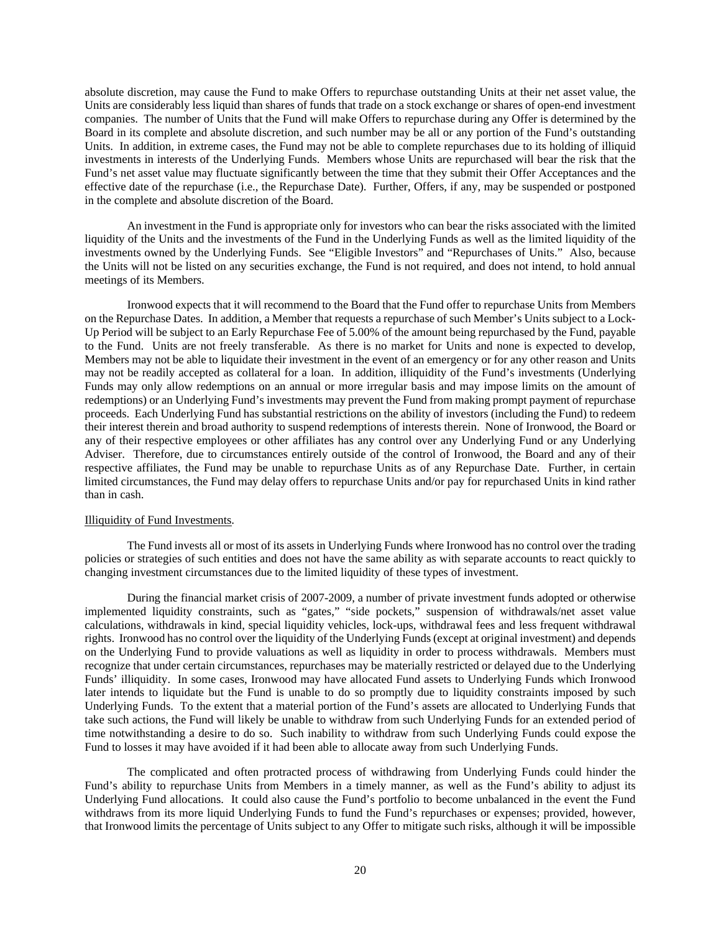absolute discretion, may cause the Fund to make Offers to repurchase outstanding Units at their net asset value, the Units are considerably less liquid than shares of funds that trade on a stock exchange or shares of open-end investment companies. The number of Units that the Fund will make Offers to repurchase during any Offer is determined by the Board in its complete and absolute discretion, and such number may be all or any portion of the Fund's outstanding Units. In addition, in extreme cases, the Fund may not be able to complete repurchases due to its holding of illiquid investments in interests of the Underlying Funds. Members whose Units are repurchased will bear the risk that the Fund's net asset value may fluctuate significantly between the time that they submit their Offer Acceptances and the effective date of the repurchase (i.e., the Repurchase Date). Further, Offers, if any, may be suspended or postponed in the complete and absolute discretion of the Board.

An investment in the Fund is appropriate only for investors who can bear the risks associated with the limited liquidity of the Units and the investments of the Fund in the Underlying Funds as well as the limited liquidity of the investments owned by the Underlying Funds. See "Eligible Investors" and "Repurchases of Units." Also, because the Units will not be listed on any securities exchange, the Fund is not required, and does not intend, to hold annual meetings of its Members.

Ironwood expects that it will recommend to the Board that the Fund offer to repurchase Units from Members on the Repurchase Dates. In addition, a Member that requests a repurchase of such Member's Units subject to a Lock-Up Period will be subject to an Early Repurchase Fee of 5.00% of the amount being repurchased by the Fund, payable to the Fund. Units are not freely transferable. As there is no market for Units and none is expected to develop, Members may not be able to liquidate their investment in the event of an emergency or for any other reason and Units may not be readily accepted as collateral for a loan. In addition, illiquidity of the Fund's investments (Underlying Funds may only allow redemptions on an annual or more irregular basis and may impose limits on the amount of redemptions) or an Underlying Fund's investments may prevent the Fund from making prompt payment of repurchase proceeds. Each Underlying Fund has substantial restrictions on the ability of investors (including the Fund) to redeem their interest therein and broad authority to suspend redemptions of interests therein. None of Ironwood, the Board or any of their respective employees or other affiliates has any control over any Underlying Fund or any Underlying Adviser. Therefore, due to circumstances entirely outside of the control of Ironwood, the Board and any of their respective affiliates, the Fund may be unable to repurchase Units as of any Repurchase Date. Further, in certain limited circumstances, the Fund may delay offers to repurchase Units and/or pay for repurchased Units in kind rather than in cash.

#### Illiquidity of Fund Investments.

The Fund invests all or most of its assets in Underlying Funds where Ironwood has no control over the trading policies or strategies of such entities and does not have the same ability as with separate accounts to react quickly to changing investment circumstances due to the limited liquidity of these types of investment.

During the financial market crisis of 2007-2009, a number of private investment funds adopted or otherwise implemented liquidity constraints, such as "gates," "side pockets," suspension of withdrawals/net asset value calculations, withdrawals in kind, special liquidity vehicles, lock-ups, withdrawal fees and less frequent withdrawal rights. Ironwood has no control over the liquidity of the Underlying Funds (except at original investment) and depends on the Underlying Fund to provide valuations as well as liquidity in order to process withdrawals. Members must recognize that under certain circumstances, repurchases may be materially restricted or delayed due to the Underlying Funds' illiquidity. In some cases, Ironwood may have allocated Fund assets to Underlying Funds which Ironwood later intends to liquidate but the Fund is unable to do so promptly due to liquidity constraints imposed by such Underlying Funds. To the extent that a material portion of the Fund's assets are allocated to Underlying Funds that take such actions, the Fund will likely be unable to withdraw from such Underlying Funds for an extended period of time notwithstanding a desire to do so. Such inability to withdraw from such Underlying Funds could expose the Fund to losses it may have avoided if it had been able to allocate away from such Underlying Funds.

The complicated and often protracted process of withdrawing from Underlying Funds could hinder the Fund's ability to repurchase Units from Members in a timely manner, as well as the Fund's ability to adjust its Underlying Fund allocations. It could also cause the Fund's portfolio to become unbalanced in the event the Fund withdraws from its more liquid Underlying Funds to fund the Fund's repurchases or expenses; provided, however, that Ironwood limits the percentage of Units subject to any Offer to mitigate such risks, although it will be impossible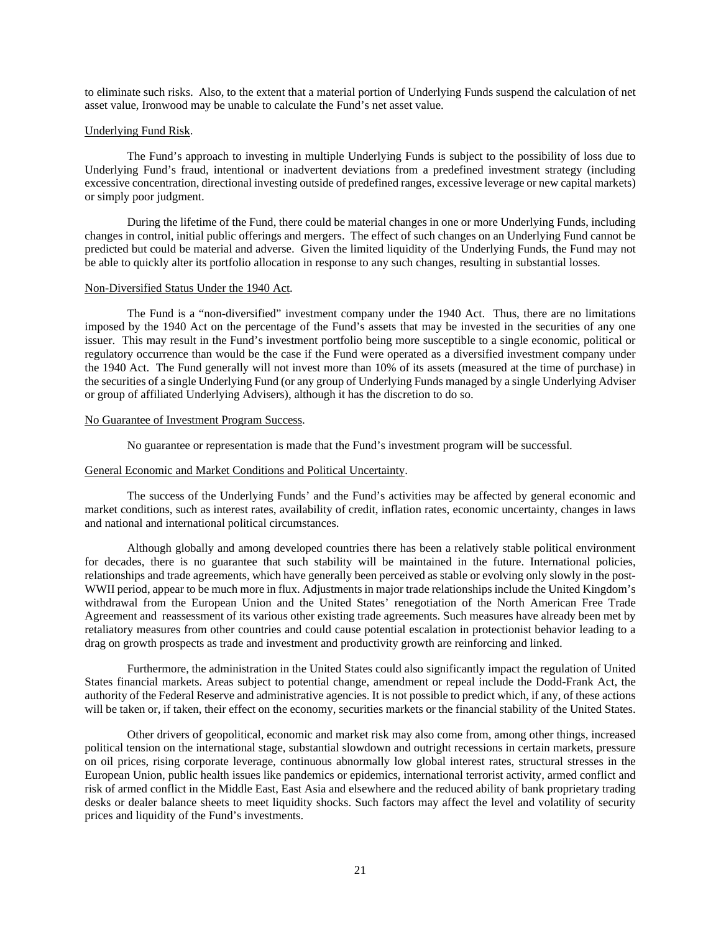to eliminate such risks. Also, to the extent that a material portion of Underlying Funds suspend the calculation of net asset value, Ironwood may be unable to calculate the Fund's net asset value.

## Underlying Fund Risk.

The Fund's approach to investing in multiple Underlying Funds is subject to the possibility of loss due to Underlying Fund's fraud, intentional or inadvertent deviations from a predefined investment strategy (including excessive concentration, directional investing outside of predefined ranges, excessive leverage or new capital markets) or simply poor judgment.

During the lifetime of the Fund, there could be material changes in one or more Underlying Funds, including changes in control, initial public offerings and mergers. The effect of such changes on an Underlying Fund cannot be predicted but could be material and adverse. Given the limited liquidity of the Underlying Funds, the Fund may not be able to quickly alter its portfolio allocation in response to any such changes, resulting in substantial losses.

## Non-Diversified Status Under the 1940 Act.

The Fund is a "non-diversified" investment company under the 1940 Act. Thus, there are no limitations imposed by the 1940 Act on the percentage of the Fund's assets that may be invested in the securities of any one issuer. This may result in the Fund's investment portfolio being more susceptible to a single economic, political or regulatory occurrence than would be the case if the Fund were operated as a diversified investment company under the 1940 Act. The Fund generally will not invest more than 10% of its assets (measured at the time of purchase) in the securities of a single Underlying Fund (or any group of Underlying Funds managed by a single Underlying Adviser or group of affiliated Underlying Advisers), although it has the discretion to do so.

## No Guarantee of Investment Program Success.

No guarantee or representation is made that the Fund's investment program will be successful.

## General Economic and Market Conditions and Political Uncertainty.

The success of the Underlying Funds' and the Fund's activities may be affected by general economic and market conditions, such as interest rates, availability of credit, inflation rates, economic uncertainty, changes in laws and national and international political circumstances.

Although globally and among developed countries there has been a relatively stable political environment for decades, there is no guarantee that such stability will be maintained in the future. International policies, relationships and trade agreements, which have generally been perceived as stable or evolving only slowly in the post-WWII period, appear to be much more in flux. Adjustments in major trade relationships include the United Kingdom's withdrawal from the European Union and the United States' renegotiation of the North American Free Trade Agreement and reassessment of its various other existing trade agreements. Such measures have already been met by retaliatory measures from other countries and could cause potential escalation in protectionist behavior leading to a drag on growth prospects as trade and investment and productivity growth are reinforcing and linked.

Furthermore, the administration in the United States could also significantly impact the regulation of United States financial markets. Areas subject to potential change, amendment or repeal include the Dodd-Frank Act, the authority of the Federal Reserve and administrative agencies. It is not possible to predict which, if any, of these actions will be taken or, if taken, their effect on the economy, securities markets or the financial stability of the United States.

Other drivers of geopolitical, economic and market risk may also come from, among other things, increased political tension on the international stage, substantial slowdown and outright recessions in certain markets, pressure on oil prices, rising corporate leverage, continuous abnormally low global interest rates, structural stresses in the European Union, public health issues like pandemics or epidemics, international terrorist activity, armed conflict and risk of armed conflict in the Middle East, East Asia and elsewhere and the reduced ability of bank proprietary trading desks or dealer balance sheets to meet liquidity shocks. Such factors may affect the level and volatility of security prices and liquidity of the Fund's investments.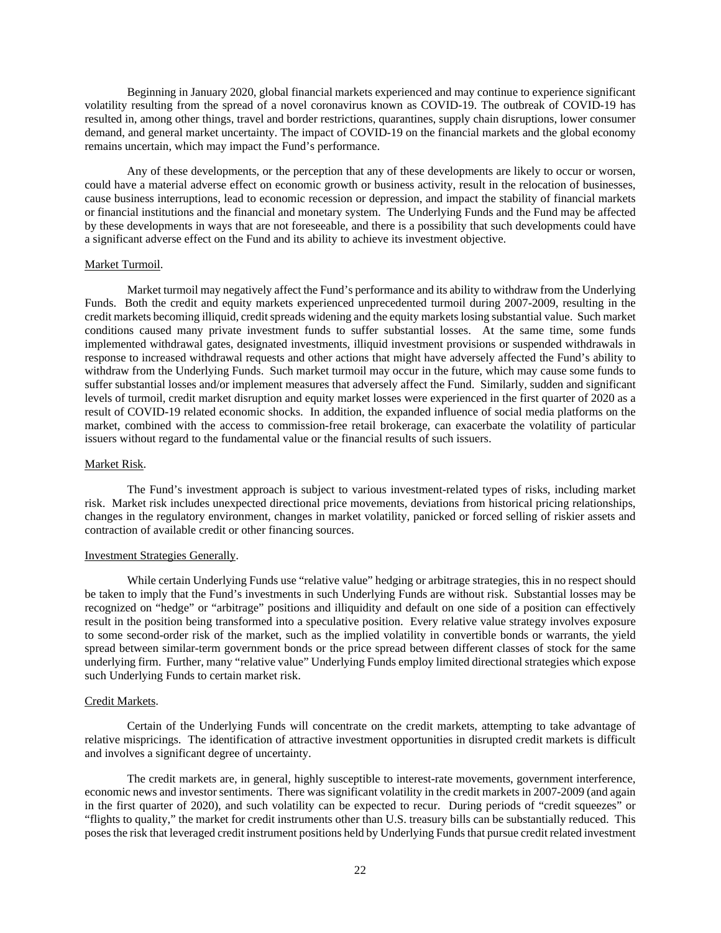Beginning in January 2020, global financial markets experienced and may continue to experience significant volatility resulting from the spread of a novel coronavirus known as COVID-19. The outbreak of COVID-19 has resulted in, among other things, travel and border restrictions, quarantines, supply chain disruptions, lower consumer demand, and general market uncertainty. The impact of COVID-19 on the financial markets and the global economy remains uncertain, which may impact the Fund's performance.

Any of these developments, or the perception that any of these developments are likely to occur or worsen, could have a material adverse effect on economic growth or business activity, result in the relocation of businesses, cause business interruptions, lead to economic recession or depression, and impact the stability of financial markets or financial institutions and the financial and monetary system. The Underlying Funds and the Fund may be affected by these developments in ways that are not foreseeable, and there is a possibility that such developments could have a significant adverse effect on the Fund and its ability to achieve its investment objective.

## Market Turmoil.

Market turmoil may negatively affect the Fund's performance and its ability to withdraw from the Underlying Funds. Both the credit and equity markets experienced unprecedented turmoil during 2007-2009, resulting in the credit markets becoming illiquid, credit spreads widening and the equity markets losing substantial value. Such market conditions caused many private investment funds to suffer substantial losses. At the same time, some funds implemented withdrawal gates, designated investments, illiquid investment provisions or suspended withdrawals in response to increased withdrawal requests and other actions that might have adversely affected the Fund's ability to withdraw from the Underlying Funds. Such market turmoil may occur in the future, which may cause some funds to suffer substantial losses and/or implement measures that adversely affect the Fund. Similarly, sudden and significant levels of turmoil, credit market disruption and equity market losses were experienced in the first quarter of 2020 as a result of COVID-19 related economic shocks. In addition, the expanded influence of social media platforms on the market, combined with the access to commission-free retail brokerage, can exacerbate the volatility of particular issuers without regard to the fundamental value or the financial results of such issuers.

#### Market Risk.

The Fund's investment approach is subject to various investment-related types of risks, including market risk. Market risk includes unexpected directional price movements, deviations from historical pricing relationships, changes in the regulatory environment, changes in market volatility, panicked or forced selling of riskier assets and contraction of available credit or other financing sources.

#### Investment Strategies Generally.

While certain Underlying Funds use "relative value" hedging or arbitrage strategies, this in no respect should be taken to imply that the Fund's investments in such Underlying Funds are without risk. Substantial losses may be recognized on "hedge" or "arbitrage" positions and illiquidity and default on one side of a position can effectively result in the position being transformed into a speculative position. Every relative value strategy involves exposure to some second-order risk of the market, such as the implied volatility in convertible bonds or warrants, the yield spread between similar-term government bonds or the price spread between different classes of stock for the same underlying firm. Further, many "relative value" Underlying Funds employ limited directional strategies which expose such Underlying Funds to certain market risk.

## Credit Markets.

Certain of the Underlying Funds will concentrate on the credit markets, attempting to take advantage of relative mispricings. The identification of attractive investment opportunities in disrupted credit markets is difficult and involves a significant degree of uncertainty.

The credit markets are, in general, highly susceptible to interest-rate movements, government interference, economic news and investor sentiments. There was significant volatility in the credit markets in 2007-2009 (and again in the first quarter of 2020), and such volatility can be expected to recur. During periods of "credit squeezes" or "flights to quality," the market for credit instruments other than U.S. treasury bills can be substantially reduced. This poses the risk that leveraged credit instrument positions held by Underlying Funds that pursue credit related investment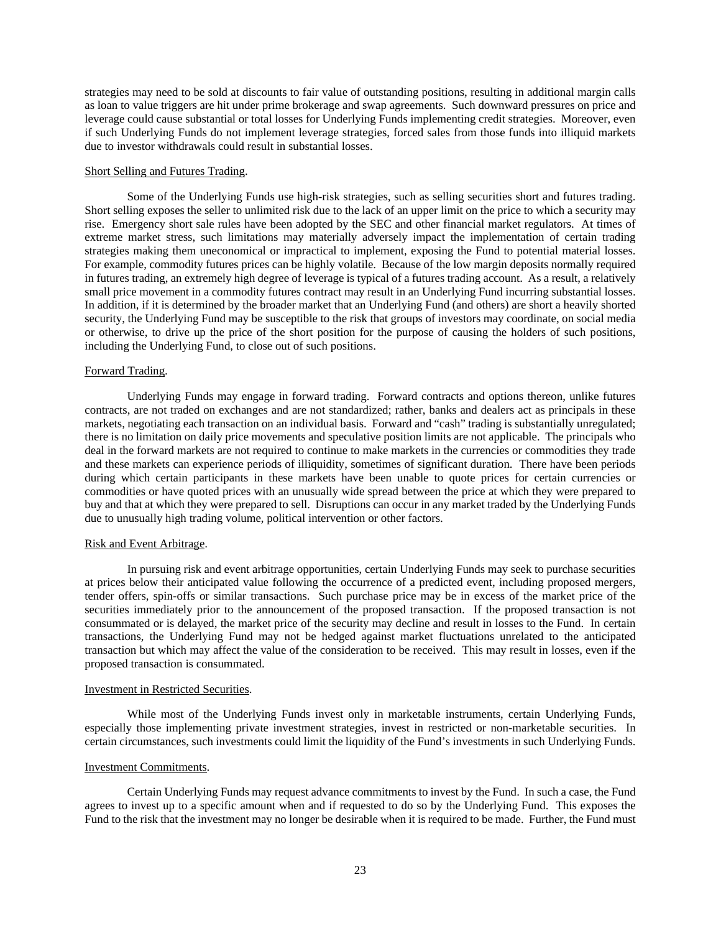strategies may need to be sold at discounts to fair value of outstanding positions, resulting in additional margin calls as loan to value triggers are hit under prime brokerage and swap agreements. Such downward pressures on price and leverage could cause substantial or total losses for Underlying Funds implementing credit strategies. Moreover, even if such Underlying Funds do not implement leverage strategies, forced sales from those funds into illiquid markets due to investor withdrawals could result in substantial losses.

### Short Selling and Futures Trading.

Some of the Underlying Funds use high-risk strategies, such as selling securities short and futures trading. Short selling exposes the seller to unlimited risk due to the lack of an upper limit on the price to which a security may rise. Emergency short sale rules have been adopted by the SEC and other financial market regulators. At times of extreme market stress, such limitations may materially adversely impact the implementation of certain trading strategies making them uneconomical or impractical to implement, exposing the Fund to potential material losses. For example, commodity futures prices can be highly volatile. Because of the low margin deposits normally required in futures trading, an extremely high degree of leverage is typical of a futures trading account. As a result, a relatively small price movement in a commodity futures contract may result in an Underlying Fund incurring substantial losses. In addition, if it is determined by the broader market that an Underlying Fund (and others) are short a heavily shorted security, the Underlying Fund may be susceptible to the risk that groups of investors may coordinate, on social media or otherwise, to drive up the price of the short position for the purpose of causing the holders of such positions, including the Underlying Fund, to close out of such positions.

### Forward Trading.

Underlying Funds may engage in forward trading. Forward contracts and options thereon, unlike futures contracts, are not traded on exchanges and are not standardized; rather, banks and dealers act as principals in these markets, negotiating each transaction on an individual basis. Forward and "cash" trading is substantially unregulated; there is no limitation on daily price movements and speculative position limits are not applicable. The principals who deal in the forward markets are not required to continue to make markets in the currencies or commodities they trade and these markets can experience periods of illiquidity, sometimes of significant duration. There have been periods during which certain participants in these markets have been unable to quote prices for certain currencies or commodities or have quoted prices with an unusually wide spread between the price at which they were prepared to buy and that at which they were prepared to sell. Disruptions can occur in any market traded by the Underlying Funds due to unusually high trading volume, political intervention or other factors.

## Risk and Event Arbitrage.

In pursuing risk and event arbitrage opportunities, certain Underlying Funds may seek to purchase securities at prices below their anticipated value following the occurrence of a predicted event, including proposed mergers, tender offers, spin-offs or similar transactions. Such purchase price may be in excess of the market price of the securities immediately prior to the announcement of the proposed transaction. If the proposed transaction is not consummated or is delayed, the market price of the security may decline and result in losses to the Fund. In certain transactions, the Underlying Fund may not be hedged against market fluctuations unrelated to the anticipated transaction but which may affect the value of the consideration to be received. This may result in losses, even if the proposed transaction is consummated.

#### Investment in Restricted Securities.

While most of the Underlying Funds invest only in marketable instruments, certain Underlying Funds, especially those implementing private investment strategies, invest in restricted or non-marketable securities. In certain circumstances, such investments could limit the liquidity of the Fund's investments in such Underlying Funds.

### Investment Commitments.

Certain Underlying Funds may request advance commitments to invest by the Fund. In such a case, the Fund agrees to invest up to a specific amount when and if requested to do so by the Underlying Fund. This exposes the Fund to the risk that the investment may no longer be desirable when it is required to be made. Further, the Fund must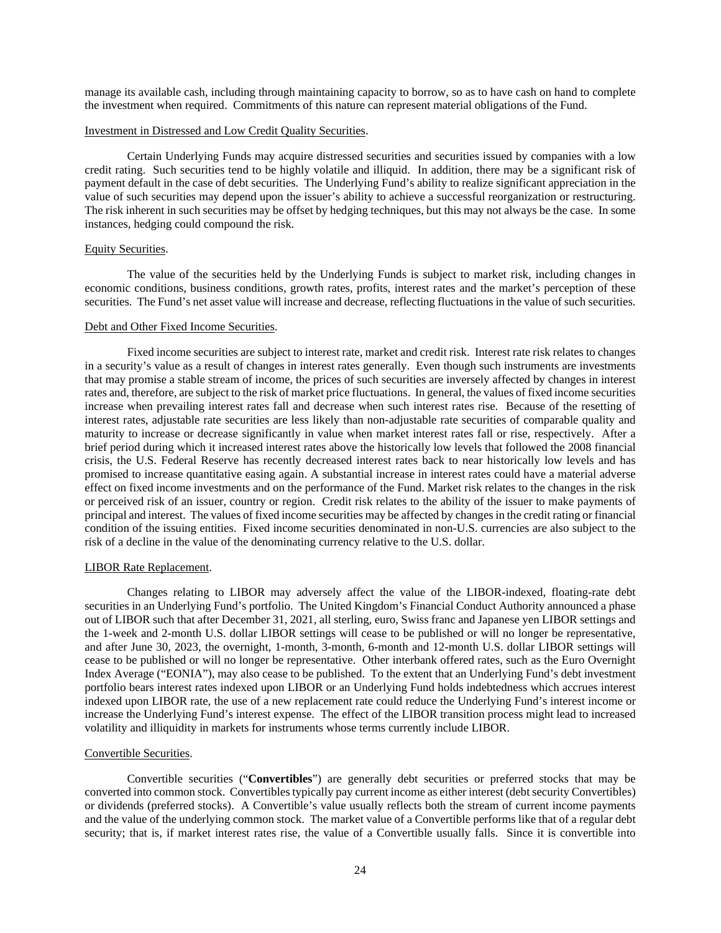manage its available cash, including through maintaining capacity to borrow, so as to have cash on hand to complete the investment when required. Commitments of this nature can represent material obligations of the Fund.

## Investment in Distressed and Low Credit Quality Securities.

Certain Underlying Funds may acquire distressed securities and securities issued by companies with a low credit rating. Such securities tend to be highly volatile and illiquid. In addition, there may be a significant risk of payment default in the case of debt securities. The Underlying Fund's ability to realize significant appreciation in the value of such securities may depend upon the issuer's ability to achieve a successful reorganization or restructuring. The risk inherent in such securities may be offset by hedging techniques, but this may not always be the case. In some instances, hedging could compound the risk.

#### Equity Securities.

The value of the securities held by the Underlying Funds is subject to market risk, including changes in economic conditions, business conditions, growth rates, profits, interest rates and the market's perception of these securities. The Fund's net asset value will increase and decrease, reflecting fluctuations in the value of such securities.

### Debt and Other Fixed Income Securities.

Fixed income securities are subject to interest rate, market and credit risk. Interest rate risk relates to changes in a security's value as a result of changes in interest rates generally. Even though such instruments are investments that may promise a stable stream of income, the prices of such securities are inversely affected by changes in interest rates and, therefore, are subject to the risk of market price fluctuations. In general, the values of fixed income securities increase when prevailing interest rates fall and decrease when such interest rates rise. Because of the resetting of interest rates, adjustable rate securities are less likely than non-adjustable rate securities of comparable quality and maturity to increase or decrease significantly in value when market interest rates fall or rise, respectively. After a brief period during which it increased interest rates above the historically low levels that followed the 2008 financial crisis, the U.S. Federal Reserve has recently decreased interest rates back to near historically low levels and has promised to increase quantitative easing again. A substantial increase in interest rates could have a material adverse effect on fixed income investments and on the performance of the Fund. Market risk relates to the changes in the risk or perceived risk of an issuer, country or region. Credit risk relates to the ability of the issuer to make payments of principal and interest. The values of fixed income securities may be affected by changes in the credit rating or financial condition of the issuing entities. Fixed income securities denominated in non-U.S. currencies are also subject to the risk of a decline in the value of the denominating currency relative to the U.S. dollar.

#### LIBOR Rate Replacement.

Changes relating to LIBOR may adversely affect the value of the LIBOR-indexed, floating-rate debt securities in an Underlying Fund's portfolio. The United Kingdom's Financial Conduct Authority announced a phase out of LIBOR such that after December 31, 2021, all sterling, euro, Swiss franc and Japanese yen LIBOR settings and the 1-week and 2-month U.S. dollar LIBOR settings will cease to be published or will no longer be representative, and after June 30, 2023, the overnight, 1-month, 3-month, 6-month and 12-month U.S. dollar LIBOR settings will cease to be published or will no longer be representative. Other interbank offered rates, such as the Euro Overnight Index Average ("EONIA"), may also cease to be published. To the extent that an Underlying Fund's debt investment portfolio bears interest rates indexed upon LIBOR or an Underlying Fund holds indebtedness which accrues interest indexed upon LIBOR rate, the use of a new replacement rate could reduce the Underlying Fund's interest income or increase the Underlying Fund's interest expense. The effect of the LIBOR transition process might lead to increased volatility and illiquidity in markets for instruments whose terms currently include LIBOR.

### Convertible Securities.

Convertible securities ("**Convertibles**") are generally debt securities or preferred stocks that may be converted into common stock. Convertibles typically pay current income as either interest (debt security Convertibles) or dividends (preferred stocks). A Convertible's value usually reflects both the stream of current income payments and the value of the underlying common stock. The market value of a Convertible performs like that of a regular debt security; that is, if market interest rates rise, the value of a Convertible usually falls. Since it is convertible into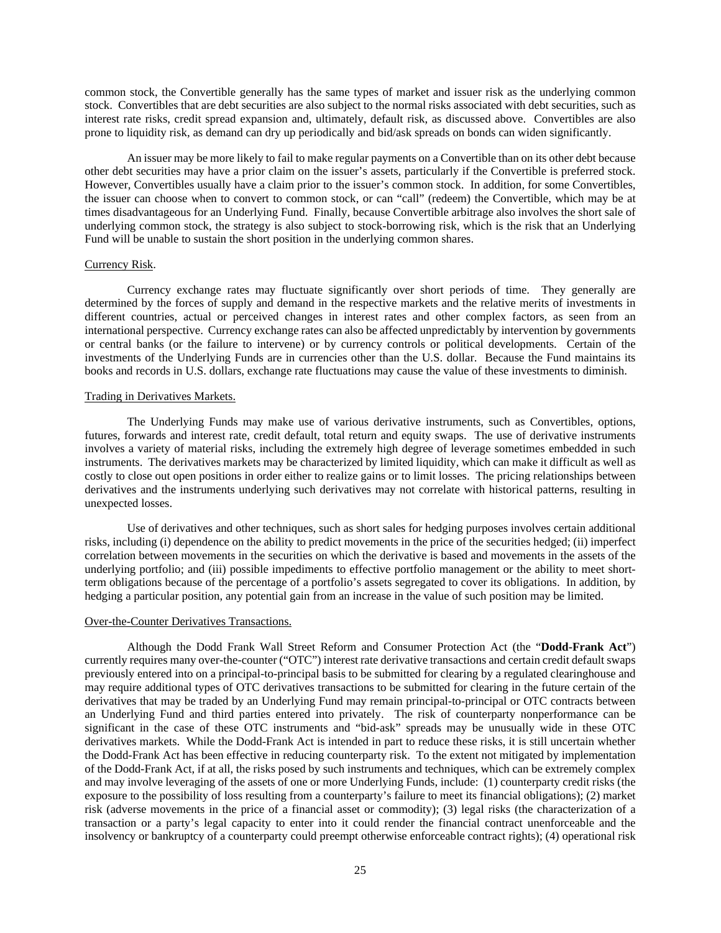common stock, the Convertible generally has the same types of market and issuer risk as the underlying common stock. Convertibles that are debt securities are also subject to the normal risks associated with debt securities, such as interest rate risks, credit spread expansion and, ultimately, default risk, as discussed above. Convertibles are also prone to liquidity risk, as demand can dry up periodically and bid/ask spreads on bonds can widen significantly.

An issuer may be more likely to fail to make regular payments on a Convertible than on its other debt because other debt securities may have a prior claim on the issuer's assets, particularly if the Convertible is preferred stock. However, Convertibles usually have a claim prior to the issuer's common stock. In addition, for some Convertibles, the issuer can choose when to convert to common stock, or can "call" (redeem) the Convertible, which may be at times disadvantageous for an Underlying Fund. Finally, because Convertible arbitrage also involves the short sale of underlying common stock, the strategy is also subject to stock-borrowing risk, which is the risk that an Underlying Fund will be unable to sustain the short position in the underlying common shares.

## Currency Risk.

Currency exchange rates may fluctuate significantly over short periods of time. They generally are determined by the forces of supply and demand in the respective markets and the relative merits of investments in different countries, actual or perceived changes in interest rates and other complex factors, as seen from an international perspective. Currency exchange rates can also be affected unpredictably by intervention by governments or central banks (or the failure to intervene) or by currency controls or political developments. Certain of the investments of the Underlying Funds are in currencies other than the U.S. dollar. Because the Fund maintains its books and records in U.S. dollars, exchange rate fluctuations may cause the value of these investments to diminish.

#### Trading in Derivatives Markets.

The Underlying Funds may make use of various derivative instruments, such as Convertibles, options, futures, forwards and interest rate, credit default, total return and equity swaps. The use of derivative instruments involves a variety of material risks, including the extremely high degree of leverage sometimes embedded in such instruments. The derivatives markets may be characterized by limited liquidity, which can make it difficult as well as costly to close out open positions in order either to realize gains or to limit losses. The pricing relationships between derivatives and the instruments underlying such derivatives may not correlate with historical patterns, resulting in unexpected losses.

Use of derivatives and other techniques, such as short sales for hedging purposes involves certain additional risks, including (i) dependence on the ability to predict movements in the price of the securities hedged; (ii) imperfect correlation between movements in the securities on which the derivative is based and movements in the assets of the underlying portfolio; and (iii) possible impediments to effective portfolio management or the ability to meet shortterm obligations because of the percentage of a portfolio's assets segregated to cover its obligations. In addition, by hedging a particular position, any potential gain from an increase in the value of such position may be limited.

## Over-the-Counter Derivatives Transactions.

Although the Dodd Frank Wall Street Reform and Consumer Protection Act (the "**Dodd-Frank Act**") currently requires many over-the-counter ("OTC") interest rate derivative transactions and certain credit default swaps previously entered into on a principal-to-principal basis to be submitted for clearing by a regulated clearinghouse and may require additional types of OTC derivatives transactions to be submitted for clearing in the future certain of the derivatives that may be traded by an Underlying Fund may remain principal-to-principal or OTC contracts between an Underlying Fund and third parties entered into privately. The risk of counterparty nonperformance can be significant in the case of these OTC instruments and "bid-ask" spreads may be unusually wide in these OTC derivatives markets. While the Dodd-Frank Act is intended in part to reduce these risks, it is still uncertain whether the Dodd-Frank Act has been effective in reducing counterparty risk. To the extent not mitigated by implementation of the Dodd-Frank Act, if at all, the risks posed by such instruments and techniques, which can be extremely complex and may involve leveraging of the assets of one or more Underlying Funds, include: (1) counterparty credit risks (the exposure to the possibility of loss resulting from a counterparty's failure to meet its financial obligations); (2) market risk (adverse movements in the price of a financial asset or commodity); (3) legal risks (the characterization of a transaction or a party's legal capacity to enter into it could render the financial contract unenforceable and the insolvency or bankruptcy of a counterparty could preempt otherwise enforceable contract rights); (4) operational risk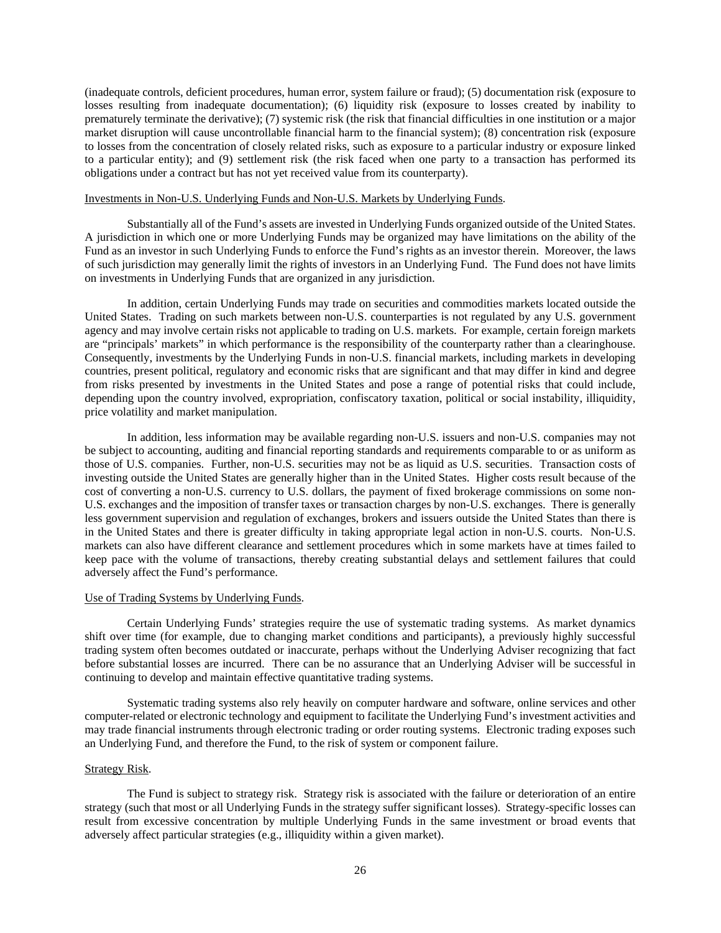(inadequate controls, deficient procedures, human error, system failure or fraud); (5) documentation risk (exposure to losses resulting from inadequate documentation); (6) liquidity risk (exposure to losses created by inability to prematurely terminate the derivative); (7) systemic risk (the risk that financial difficulties in one institution or a major market disruption will cause uncontrollable financial harm to the financial system); (8) concentration risk (exposure to losses from the concentration of closely related risks, such as exposure to a particular industry or exposure linked to a particular entity); and (9) settlement risk (the risk faced when one party to a transaction has performed its obligations under a contract but has not yet received value from its counterparty).

### Investments in Non-U.S. Underlying Funds and Non-U.S. Markets by Underlying Funds.

Substantially all of the Fund's assets are invested in Underlying Funds organized outside of the United States. A jurisdiction in which one or more Underlying Funds may be organized may have limitations on the ability of the Fund as an investor in such Underlying Funds to enforce the Fund's rights as an investor therein. Moreover, the laws of such jurisdiction may generally limit the rights of investors in an Underlying Fund. The Fund does not have limits on investments in Underlying Funds that are organized in any jurisdiction.

In addition, certain Underlying Funds may trade on securities and commodities markets located outside the United States. Trading on such markets between non-U.S. counterparties is not regulated by any U.S. government agency and may involve certain risks not applicable to trading on U.S. markets. For example, certain foreign markets are "principals' markets" in which performance is the responsibility of the counterparty rather than a clearinghouse. Consequently, investments by the Underlying Funds in non-U.S. financial markets, including markets in developing countries, present political, regulatory and economic risks that are significant and that may differ in kind and degree from risks presented by investments in the United States and pose a range of potential risks that could include, depending upon the country involved, expropriation, confiscatory taxation, political or social instability, illiquidity, price volatility and market manipulation.

In addition, less information may be available regarding non-U.S. issuers and non-U.S. companies may not be subject to accounting, auditing and financial reporting standards and requirements comparable to or as uniform as those of U.S. companies. Further, non-U.S. securities may not be as liquid as U.S. securities. Transaction costs of investing outside the United States are generally higher than in the United States. Higher costs result because of the cost of converting a non-U.S. currency to U.S. dollars, the payment of fixed brokerage commissions on some non-U.S. exchanges and the imposition of transfer taxes or transaction charges by non-U.S. exchanges. There is generally less government supervision and regulation of exchanges, brokers and issuers outside the United States than there is in the United States and there is greater difficulty in taking appropriate legal action in non-U.S. courts. Non-U.S. markets can also have different clearance and settlement procedures which in some markets have at times failed to keep pace with the volume of transactions, thereby creating substantial delays and settlement failures that could adversely affect the Fund's performance.

### Use of Trading Systems by Underlying Funds.

Certain Underlying Funds' strategies require the use of systematic trading systems. As market dynamics shift over time (for example, due to changing market conditions and participants), a previously highly successful trading system often becomes outdated or inaccurate, perhaps without the Underlying Adviser recognizing that fact before substantial losses are incurred. There can be no assurance that an Underlying Adviser will be successful in continuing to develop and maintain effective quantitative trading systems.

Systematic trading systems also rely heavily on computer hardware and software, online services and other computer-related or electronic technology and equipment to facilitate the Underlying Fund's investment activities and may trade financial instruments through electronic trading or order routing systems. Electronic trading exposes such an Underlying Fund, and therefore the Fund, to the risk of system or component failure.

### Strategy Risk.

The Fund is subject to strategy risk. Strategy risk is associated with the failure or deterioration of an entire strategy (such that most or all Underlying Funds in the strategy suffer significant losses). Strategy-specific losses can result from excessive concentration by multiple Underlying Funds in the same investment or broad events that adversely affect particular strategies (e.g., illiquidity within a given market).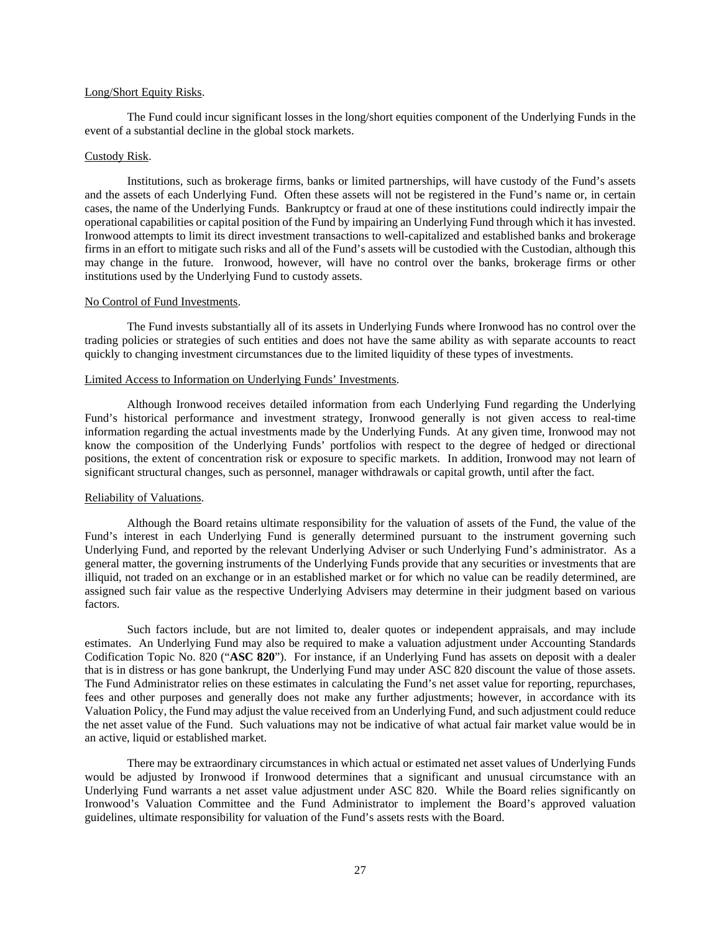### Long/Short Equity Risks.

The Fund could incur significant losses in the long/short equities component of the Underlying Funds in the event of a substantial decline in the global stock markets.

## Custody Risk.

Institutions, such as brokerage firms, banks or limited partnerships, will have custody of the Fund's assets and the assets of each Underlying Fund. Often these assets will not be registered in the Fund's name or, in certain cases, the name of the Underlying Funds. Bankruptcy or fraud at one of these institutions could indirectly impair the operational capabilities or capital position of the Fund by impairing an Underlying Fund through which it has invested. Ironwood attempts to limit its direct investment transactions to well-capitalized and established banks and brokerage firms in an effort to mitigate such risks and all of the Fund's assets will be custodied with the Custodian, although this may change in the future. Ironwood, however, will have no control over the banks, brokerage firms or other institutions used by the Underlying Fund to custody assets.

#### No Control of Fund Investments.

The Fund invests substantially all of its assets in Underlying Funds where Ironwood has no control over the trading policies or strategies of such entities and does not have the same ability as with separate accounts to react quickly to changing investment circumstances due to the limited liquidity of these types of investments.

#### Limited Access to Information on Underlying Funds' Investments.

Although Ironwood receives detailed information from each Underlying Fund regarding the Underlying Fund's historical performance and investment strategy, Ironwood generally is not given access to real-time information regarding the actual investments made by the Underlying Funds. At any given time, Ironwood may not know the composition of the Underlying Funds' portfolios with respect to the degree of hedged or directional positions, the extent of concentration risk or exposure to specific markets. In addition, Ironwood may not learn of significant structural changes, such as personnel, manager withdrawals or capital growth, until after the fact.

## Reliability of Valuations.

Although the Board retains ultimate responsibility for the valuation of assets of the Fund, the value of the Fund's interest in each Underlying Fund is generally determined pursuant to the instrument governing such Underlying Fund, and reported by the relevant Underlying Adviser or such Underlying Fund's administrator. As a general matter, the governing instruments of the Underlying Funds provide that any securities or investments that are illiquid, not traded on an exchange or in an established market or for which no value can be readily determined, are assigned such fair value as the respective Underlying Advisers may determine in their judgment based on various factors.

Such factors include, but are not limited to, dealer quotes or independent appraisals, and may include estimates. An Underlying Fund may also be required to make a valuation adjustment under Accounting Standards Codification Topic No. 820 ("**ASC 820**"). For instance, if an Underlying Fund has assets on deposit with a dealer that is in distress or has gone bankrupt, the Underlying Fund may under ASC 820 discount the value of those assets. The Fund Administrator relies on these estimates in calculating the Fund's net asset value for reporting, repurchases, fees and other purposes and generally does not make any further adjustments; however, in accordance with its Valuation Policy, the Fund may adjust the value received from an Underlying Fund, and such adjustment could reduce the net asset value of the Fund. Such valuations may not be indicative of what actual fair market value would be in an active, liquid or established market.

There may be extraordinary circumstances in which actual or estimated net asset values of Underlying Funds would be adjusted by Ironwood if Ironwood determines that a significant and unusual circumstance with an Underlying Fund warrants a net asset value adjustment under ASC 820. While the Board relies significantly on Ironwood's Valuation Committee and the Fund Administrator to implement the Board's approved valuation guidelines, ultimate responsibility for valuation of the Fund's assets rests with the Board.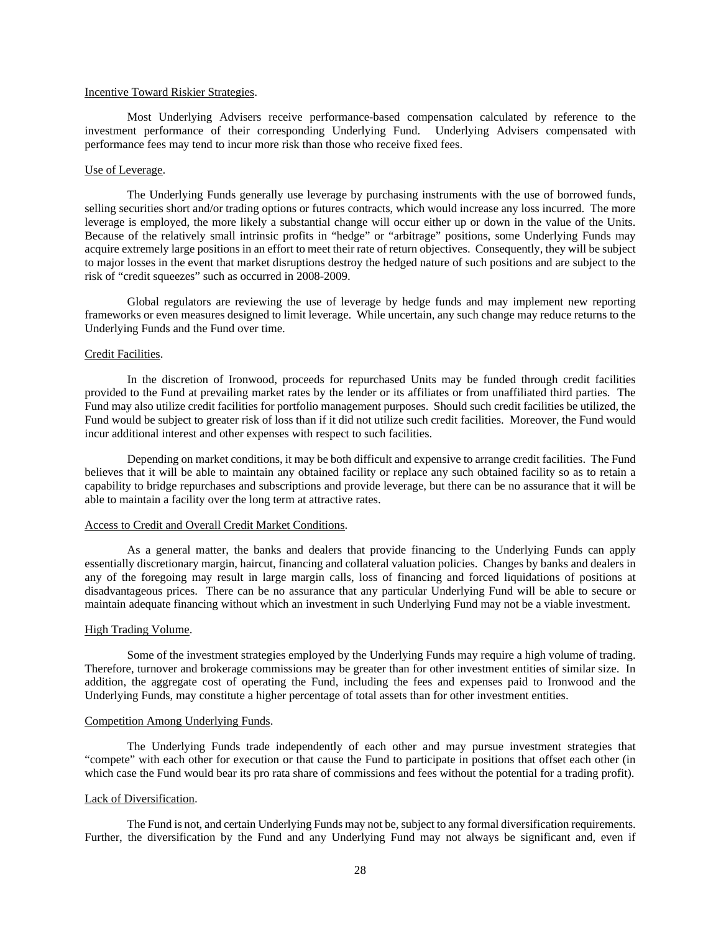## Incentive Toward Riskier Strategies.

Most Underlying Advisers receive performance-based compensation calculated by reference to the investment performance of their corresponding Underlying Fund. Underlying Advisers compensated with performance fees may tend to incur more risk than those who receive fixed fees.

### Use of Leverage.

The Underlying Funds generally use leverage by purchasing instruments with the use of borrowed funds, selling securities short and/or trading options or futures contracts, which would increase any loss incurred. The more leverage is employed, the more likely a substantial change will occur either up or down in the value of the Units. Because of the relatively small intrinsic profits in "hedge" or "arbitrage" positions, some Underlying Funds may acquire extremely large positions in an effort to meet their rate of return objectives. Consequently, they will be subject to major losses in the event that market disruptions destroy the hedged nature of such positions and are subject to the risk of "credit squeezes" such as occurred in 2008-2009.

Global regulators are reviewing the use of leverage by hedge funds and may implement new reporting frameworks or even measures designed to limit leverage. While uncertain, any such change may reduce returns to the Underlying Funds and the Fund over time.

#### Credit Facilities.

In the discretion of Ironwood, proceeds for repurchased Units may be funded through credit facilities provided to the Fund at prevailing market rates by the lender or its affiliates or from unaffiliated third parties. The Fund may also utilize credit facilities for portfolio management purposes. Should such credit facilities be utilized, the Fund would be subject to greater risk of loss than if it did not utilize such credit facilities. Moreover, the Fund would incur additional interest and other expenses with respect to such facilities.

Depending on market conditions, it may be both difficult and expensive to arrange credit facilities. The Fund believes that it will be able to maintain any obtained facility or replace any such obtained facility so as to retain a capability to bridge repurchases and subscriptions and provide leverage, but there can be no assurance that it will be able to maintain a facility over the long term at attractive rates.

## Access to Credit and Overall Credit Market Conditions.

As a general matter, the banks and dealers that provide financing to the Underlying Funds can apply essentially discretionary margin, haircut, financing and collateral valuation policies. Changes by banks and dealers in any of the foregoing may result in large margin calls, loss of financing and forced liquidations of positions at disadvantageous prices. There can be no assurance that any particular Underlying Fund will be able to secure or maintain adequate financing without which an investment in such Underlying Fund may not be a viable investment.

### High Trading Volume.

Some of the investment strategies employed by the Underlying Funds may require a high volume of trading. Therefore, turnover and brokerage commissions may be greater than for other investment entities of similar size. In addition, the aggregate cost of operating the Fund, including the fees and expenses paid to Ironwood and the Underlying Funds, may constitute a higher percentage of total assets than for other investment entities.

### Competition Among Underlying Funds.

The Underlying Funds trade independently of each other and may pursue investment strategies that "compete" with each other for execution or that cause the Fund to participate in positions that offset each other (in which case the Fund would bear its pro rata share of commissions and fees without the potential for a trading profit).

#### Lack of Diversification.

The Fund is not, and certain Underlying Funds may not be, subject to any formal diversification requirements. Further, the diversification by the Fund and any Underlying Fund may not always be significant and, even if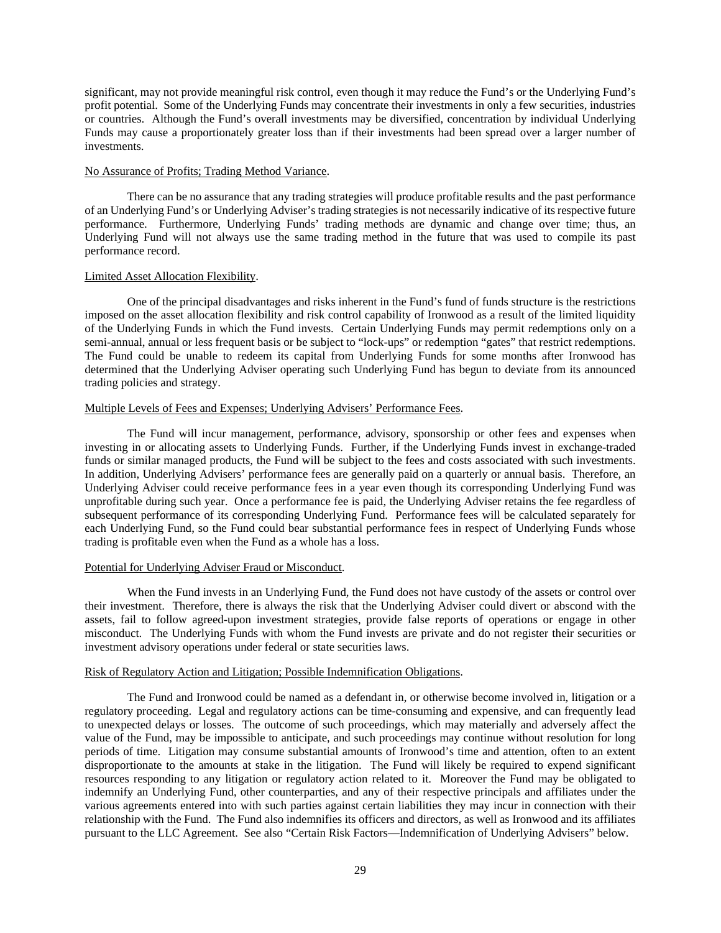significant, may not provide meaningful risk control, even though it may reduce the Fund's or the Underlying Fund's profit potential. Some of the Underlying Funds may concentrate their investments in only a few securities, industries or countries. Although the Fund's overall investments may be diversified, concentration by individual Underlying Funds may cause a proportionately greater loss than if their investments had been spread over a larger number of investments.

### No Assurance of Profits; Trading Method Variance.

There can be no assurance that any trading strategies will produce profitable results and the past performance of an Underlying Fund's or Underlying Adviser's trading strategies is not necessarily indicative of its respective future performance. Furthermore, Underlying Funds' trading methods are dynamic and change over time; thus, an Underlying Fund will not always use the same trading method in the future that was used to compile its past performance record.

### Limited Asset Allocation Flexibility.

One of the principal disadvantages and risks inherent in the Fund's fund of funds structure is the restrictions imposed on the asset allocation flexibility and risk control capability of Ironwood as a result of the limited liquidity of the Underlying Funds in which the Fund invests. Certain Underlying Funds may permit redemptions only on a semi-annual, annual or less frequent basis or be subject to "lock-ups" or redemption "gates" that restrict redemptions. The Fund could be unable to redeem its capital from Underlying Funds for some months after Ironwood has determined that the Underlying Adviser operating such Underlying Fund has begun to deviate from its announced trading policies and strategy.

## Multiple Levels of Fees and Expenses; Underlying Advisers' Performance Fees.

The Fund will incur management, performance, advisory, sponsorship or other fees and expenses when investing in or allocating assets to Underlying Funds. Further, if the Underlying Funds invest in exchange-traded funds or similar managed products, the Fund will be subject to the fees and costs associated with such investments. In addition, Underlying Advisers' performance fees are generally paid on a quarterly or annual basis. Therefore, an Underlying Adviser could receive performance fees in a year even though its corresponding Underlying Fund was unprofitable during such year. Once a performance fee is paid, the Underlying Adviser retains the fee regardless of subsequent performance of its corresponding Underlying Fund. Performance fees will be calculated separately for each Underlying Fund, so the Fund could bear substantial performance fees in respect of Underlying Funds whose trading is profitable even when the Fund as a whole has a loss.

## Potential for Underlying Adviser Fraud or Misconduct.

When the Fund invests in an Underlying Fund, the Fund does not have custody of the assets or control over their investment. Therefore, there is always the risk that the Underlying Adviser could divert or abscond with the assets, fail to follow agreed-upon investment strategies, provide false reports of operations or engage in other misconduct. The Underlying Funds with whom the Fund invests are private and do not register their securities or investment advisory operations under federal or state securities laws.

## Risk of Regulatory Action and Litigation; Possible Indemnification Obligations.

The Fund and Ironwood could be named as a defendant in, or otherwise become involved in, litigation or a regulatory proceeding. Legal and regulatory actions can be time-consuming and expensive, and can frequently lead to unexpected delays or losses. The outcome of such proceedings, which may materially and adversely affect the value of the Fund, may be impossible to anticipate, and such proceedings may continue without resolution for long periods of time. Litigation may consume substantial amounts of Ironwood's time and attention, often to an extent disproportionate to the amounts at stake in the litigation. The Fund will likely be required to expend significant resources responding to any litigation or regulatory action related to it. Moreover the Fund may be obligated to indemnify an Underlying Fund, other counterparties, and any of their respective principals and affiliates under the various agreements entered into with such parties against certain liabilities they may incur in connection with their relationship with the Fund. The Fund also indemnifies its officers and directors, as well as Ironwood and its affiliates pursuant to the LLC Agreement. See also "Certain Risk Factors—Indemnification of Underlying Advisers" below.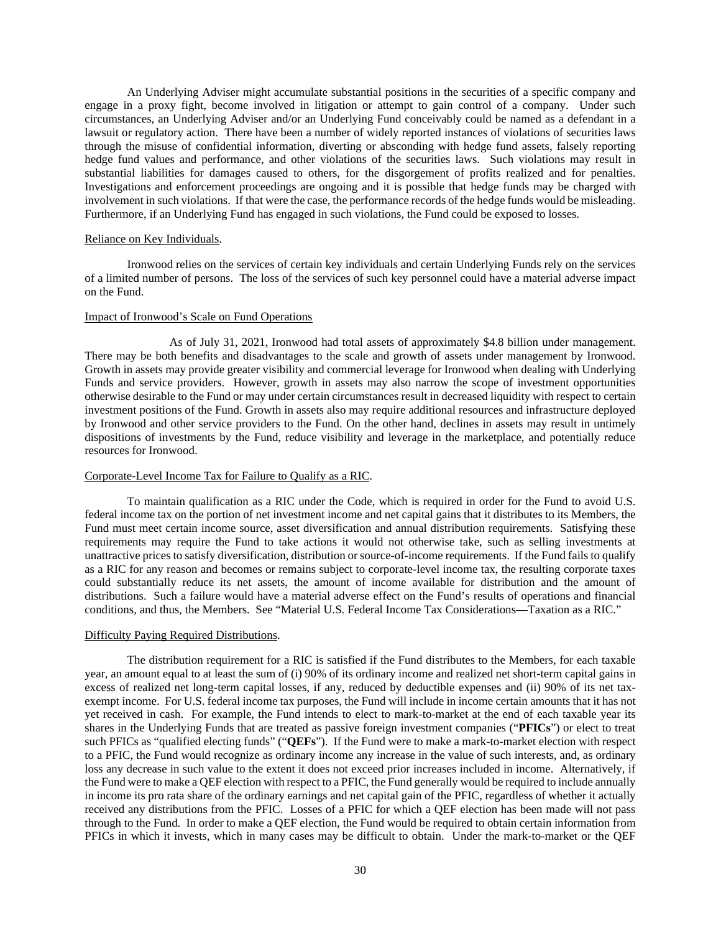An Underlying Adviser might accumulate substantial positions in the securities of a specific company and engage in a proxy fight, become involved in litigation or attempt to gain control of a company. Under such circumstances, an Underlying Adviser and/or an Underlying Fund conceivably could be named as a defendant in a lawsuit or regulatory action. There have been a number of widely reported instances of violations of securities laws through the misuse of confidential information, diverting or absconding with hedge fund assets, falsely reporting hedge fund values and performance, and other violations of the securities laws. Such violations may result in substantial liabilities for damages caused to others, for the disgorgement of profits realized and for penalties. Investigations and enforcement proceedings are ongoing and it is possible that hedge funds may be charged with involvement in such violations. If that were the case, the performance records of the hedge funds would be misleading. Furthermore, if an Underlying Fund has engaged in such violations, the Fund could be exposed to losses.

### Reliance on Key Individuals.

Ironwood relies on the services of certain key individuals and certain Underlying Funds rely on the services of a limited number of persons. The loss of the services of such key personnel could have a material adverse impact on the Fund.

### Impact of Ironwood's Scale on Fund Operations

As of July 31, 2021, Ironwood had total assets of approximately \$4.8 billion under management. There may be both benefits and disadvantages to the scale and growth of assets under management by Ironwood. Growth in assets may provide greater visibility and commercial leverage for Ironwood when dealing with Underlying Funds and service providers. However, growth in assets may also narrow the scope of investment opportunities otherwise desirable to the Fund or may under certain circumstances result in decreased liquidity with respect to certain investment positions of the Fund. Growth in assets also may require additional resources and infrastructure deployed by Ironwood and other service providers to the Fund. On the other hand, declines in assets may result in untimely dispositions of investments by the Fund, reduce visibility and leverage in the marketplace, and potentially reduce resources for Ironwood.

### Corporate-Level Income Tax for Failure to Qualify as a RIC.

To maintain qualification as a RIC under the Code, which is required in order for the Fund to avoid U.S. federal income tax on the portion of net investment income and net capital gains that it distributes to its Members, the Fund must meet certain income source, asset diversification and annual distribution requirements. Satisfying these requirements may require the Fund to take actions it would not otherwise take, such as selling investments at unattractive prices to satisfy diversification, distribution or source-of-income requirements. If the Fund fails to qualify as a RIC for any reason and becomes or remains subject to corporate-level income tax, the resulting corporate taxes could substantially reduce its net assets, the amount of income available for distribution and the amount of distributions. Such a failure would have a material adverse effect on the Fund's results of operations and financial conditions, and thus, the Members. See "Material U.S. Federal Income Tax Considerations—Taxation as a RIC."

## Difficulty Paying Required Distributions.

The distribution requirement for a RIC is satisfied if the Fund distributes to the Members, for each taxable year, an amount equal to at least the sum of (i) 90% of its ordinary income and realized net short-term capital gains in excess of realized net long-term capital losses, if any, reduced by deductible expenses and (ii) 90% of its net taxexempt income. For U.S. federal income tax purposes, the Fund will include in income certain amounts that it has not yet received in cash. For example, the Fund intends to elect to mark-to-market at the end of each taxable year its shares in the Underlying Funds that are treated as passive foreign investment companies ("**PFICs**") or elect to treat such PFICs as "qualified electing funds" ("**QEFs**"). If the Fund were to make a mark-to-market election with respect to a PFIC, the Fund would recognize as ordinary income any increase in the value of such interests, and, as ordinary loss any decrease in such value to the extent it does not exceed prior increases included in income. Alternatively, if the Fund were to make a QEF election with respect to a PFIC, the Fund generally would be required to include annually in income its pro rata share of the ordinary earnings and net capital gain of the PFIC, regardless of whether it actually received any distributions from the PFIC. Losses of a PFIC for which a QEF election has been made will not pass through to the Fund. In order to make a QEF election, the Fund would be required to obtain certain information from PFICs in which it invests, which in many cases may be difficult to obtain. Under the mark-to-market or the QEF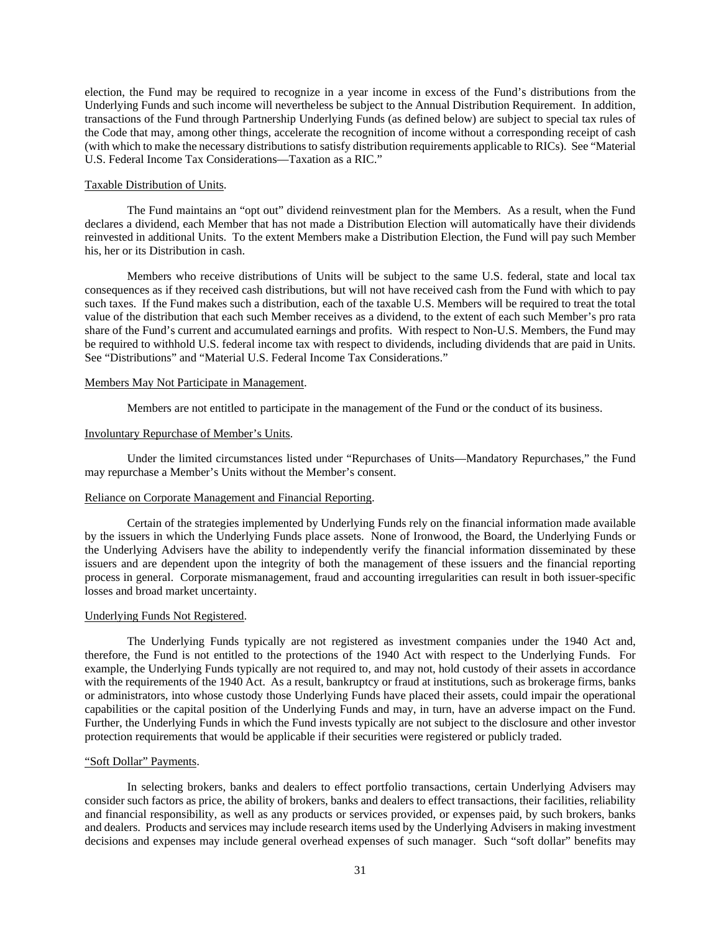election, the Fund may be required to recognize in a year income in excess of the Fund's distributions from the Underlying Funds and such income will nevertheless be subject to the Annual Distribution Requirement. In addition, transactions of the Fund through Partnership Underlying Funds (as defined below) are subject to special tax rules of the Code that may, among other things, accelerate the recognition of income without a corresponding receipt of cash (with which to make the necessary distributions to satisfy distribution requirements applicable to RICs). See "Material U.S. Federal Income Tax Considerations—Taxation as a RIC."

#### Taxable Distribution of Units.

The Fund maintains an "opt out" dividend reinvestment plan for the Members. As a result, when the Fund declares a dividend, each Member that has not made a Distribution Election will automatically have their dividends reinvested in additional Units. To the extent Members make a Distribution Election, the Fund will pay such Member his, her or its Distribution in cash.

Members who receive distributions of Units will be subject to the same U.S. federal, state and local tax consequences as if they received cash distributions, but will not have received cash from the Fund with which to pay such taxes. If the Fund makes such a distribution, each of the taxable U.S. Members will be required to treat the total value of the distribution that each such Member receives as a dividend, to the extent of each such Member's pro rata share of the Fund's current and accumulated earnings and profits. With respect to Non-U.S. Members, the Fund may be required to withhold U.S. federal income tax with respect to dividends, including dividends that are paid in Units. See "Distributions" and "Material U.S. Federal Income Tax Considerations."

## Members May Not Participate in Management.

Members are not entitled to participate in the management of the Fund or the conduct of its business.

### Involuntary Repurchase of Member's Units.

Under the limited circumstances listed under "Repurchases of Units—Mandatory Repurchases," the Fund may repurchase a Member's Units without the Member's consent.

## Reliance on Corporate Management and Financial Reporting.

Certain of the strategies implemented by Underlying Funds rely on the financial information made available by the issuers in which the Underlying Funds place assets. None of Ironwood, the Board, the Underlying Funds or the Underlying Advisers have the ability to independently verify the financial information disseminated by these issuers and are dependent upon the integrity of both the management of these issuers and the financial reporting process in general. Corporate mismanagement, fraud and accounting irregularities can result in both issuer-specific losses and broad market uncertainty.

### Underlying Funds Not Registered.

The Underlying Funds typically are not registered as investment companies under the 1940 Act and, therefore, the Fund is not entitled to the protections of the 1940 Act with respect to the Underlying Funds. For example, the Underlying Funds typically are not required to, and may not, hold custody of their assets in accordance with the requirements of the 1940 Act. As a result, bankruptcy or fraud at institutions, such as brokerage firms, banks or administrators, into whose custody those Underlying Funds have placed their assets, could impair the operational capabilities or the capital position of the Underlying Funds and may, in turn, have an adverse impact on the Fund. Further, the Underlying Funds in which the Fund invests typically are not subject to the disclosure and other investor protection requirements that would be applicable if their securities were registered or publicly traded.

#### "Soft Dollar" Payments.

In selecting brokers, banks and dealers to effect portfolio transactions, certain Underlying Advisers may consider such factors as price, the ability of brokers, banks and dealers to effect transactions, their facilities, reliability and financial responsibility, as well as any products or services provided, or expenses paid, by such brokers, banks and dealers. Products and services may include research items used by the Underlying Advisers in making investment decisions and expenses may include general overhead expenses of such manager. Such "soft dollar" benefits may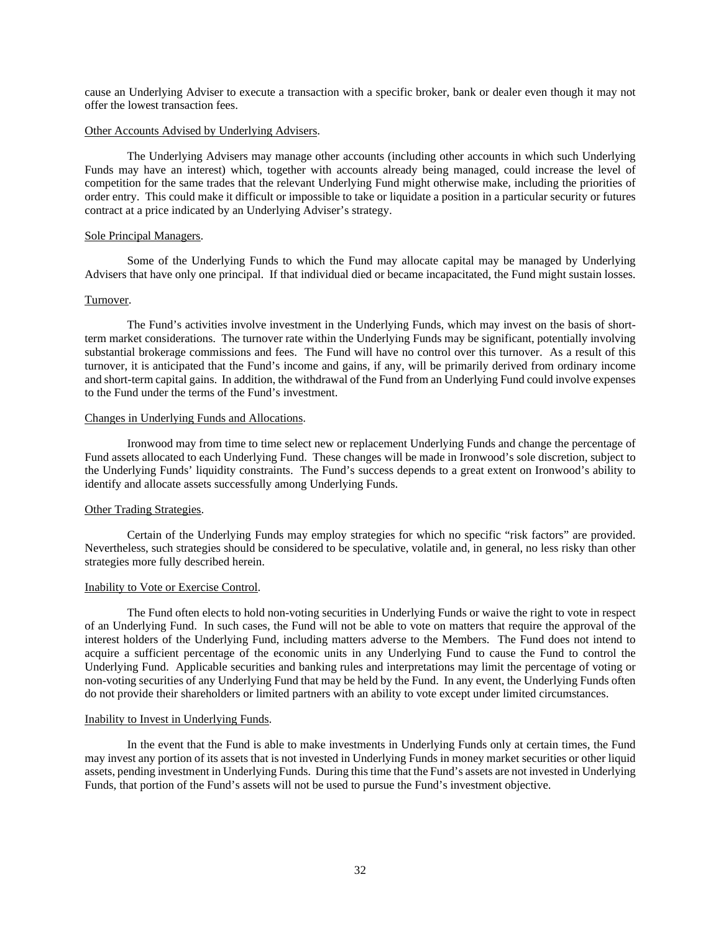cause an Underlying Adviser to execute a transaction with a specific broker, bank or dealer even though it may not offer the lowest transaction fees.

### Other Accounts Advised by Underlying Advisers.

The Underlying Advisers may manage other accounts (including other accounts in which such Underlying Funds may have an interest) which, together with accounts already being managed, could increase the level of competition for the same trades that the relevant Underlying Fund might otherwise make, including the priorities of order entry. This could make it difficult or impossible to take or liquidate a position in a particular security or futures contract at a price indicated by an Underlying Adviser's strategy.

### Sole Principal Managers.

Some of the Underlying Funds to which the Fund may allocate capital may be managed by Underlying Advisers that have only one principal. If that individual died or became incapacitated, the Fund might sustain losses.

## Turnover.

The Fund's activities involve investment in the Underlying Funds, which may invest on the basis of shortterm market considerations. The turnover rate within the Underlying Funds may be significant, potentially involving substantial brokerage commissions and fees. The Fund will have no control over this turnover. As a result of this turnover, it is anticipated that the Fund's income and gains, if any, will be primarily derived from ordinary income and short-term capital gains. In addition, the withdrawal of the Fund from an Underlying Fund could involve expenses to the Fund under the terms of the Fund's investment.

### Changes in Underlying Funds and Allocations.

Ironwood may from time to time select new or replacement Underlying Funds and change the percentage of Fund assets allocated to each Underlying Fund. These changes will be made in Ironwood's sole discretion, subject to the Underlying Funds' liquidity constraints. The Fund's success depends to a great extent on Ironwood's ability to identify and allocate assets successfully among Underlying Funds.

## Other Trading Strategies.

Certain of the Underlying Funds may employ strategies for which no specific "risk factors" are provided. Nevertheless, such strategies should be considered to be speculative, volatile and, in general, no less risky than other strategies more fully described herein.

## Inability to Vote or Exercise Control.

The Fund often elects to hold non-voting securities in Underlying Funds or waive the right to vote in respect of an Underlying Fund. In such cases, the Fund will not be able to vote on matters that require the approval of the interest holders of the Underlying Fund, including matters adverse to the Members. The Fund does not intend to acquire a sufficient percentage of the economic units in any Underlying Fund to cause the Fund to control the Underlying Fund. Applicable securities and banking rules and interpretations may limit the percentage of voting or non-voting securities of any Underlying Fund that may be held by the Fund. In any event, the Underlying Funds often do not provide their shareholders or limited partners with an ability to vote except under limited circumstances.

## Inability to Invest in Underlying Funds.

In the event that the Fund is able to make investments in Underlying Funds only at certain times, the Fund may invest any portion of its assets that is not invested in Underlying Funds in money market securities or other liquid assets, pending investment in Underlying Funds. During this time that the Fund's assets are not invested in Underlying Funds, that portion of the Fund's assets will not be used to pursue the Fund's investment objective.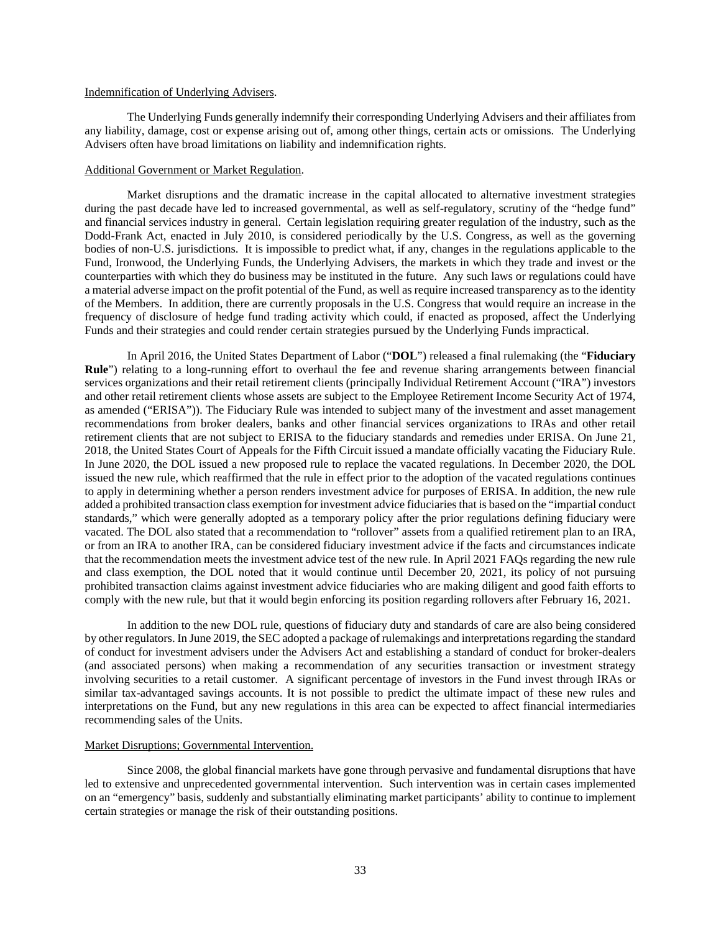### Indemnification of Underlying Advisers.

The Underlying Funds generally indemnify their corresponding Underlying Advisers and their affiliates from any liability, damage, cost or expense arising out of, among other things, certain acts or omissions. The Underlying Advisers often have broad limitations on liability and indemnification rights.

## Additional Government or Market Regulation.

Market disruptions and the dramatic increase in the capital allocated to alternative investment strategies during the past decade have led to increased governmental, as well as self-regulatory, scrutiny of the "hedge fund" and financial services industry in general. Certain legislation requiring greater regulation of the industry, such as the Dodd-Frank Act, enacted in July 2010, is considered periodically by the U.S. Congress, as well as the governing bodies of non-U.S. jurisdictions. It is impossible to predict what, if any, changes in the regulations applicable to the Fund, Ironwood, the Underlying Funds, the Underlying Advisers, the markets in which they trade and invest or the counterparties with which they do business may be instituted in the future. Any such laws or regulations could have a material adverse impact on the profit potential of the Fund, as well as require increased transparency as to the identity of the Members. In addition, there are currently proposals in the U.S. Congress that would require an increase in the frequency of disclosure of hedge fund trading activity which could, if enacted as proposed, affect the Underlying Funds and their strategies and could render certain strategies pursued by the Underlying Funds impractical.

In April 2016, the United States Department of Labor ("**DOL**") released a final rulemaking (the "**Fiduciary Rule**") relating to a long-running effort to overhaul the fee and revenue sharing arrangements between financial services organizations and their retail retirement clients (principally Individual Retirement Account ("IRA") investors and other retail retirement clients whose assets are subject to the Employee Retirement Income Security Act of 1974, as amended ("ERISA")). The Fiduciary Rule was intended to subject many of the investment and asset management recommendations from broker dealers, banks and other financial services organizations to IRAs and other retail retirement clients that are not subject to ERISA to the fiduciary standards and remedies under ERISA. On June 21, 2018, the United States Court of Appeals for the Fifth Circuit issued a mandate officially vacating the Fiduciary Rule. In June 2020, the DOL issued a new proposed rule to replace the vacated regulations. In December 2020, the DOL issued the new rule, which reaffirmed that the rule in effect prior to the adoption of the vacated regulations continues to apply in determining whether a person renders investment advice for purposes of ERISA. In addition, the new rule added a prohibited transaction class exemption for investment advice fiduciaries that is based on the "impartial conduct standards," which were generally adopted as a temporary policy after the prior regulations defining fiduciary were vacated. The DOL also stated that a recommendation to "rollover" assets from a qualified retirement plan to an IRA, or from an IRA to another IRA, can be considered fiduciary investment advice if the facts and circumstances indicate that the recommendation meets the investment advice test of the new rule. In April 2021 FAQs regarding the new rule and class exemption, the DOL noted that it would continue until December 20, 2021, its policy of not pursuing prohibited transaction claims against investment advice fiduciaries who are making diligent and good faith efforts to comply with the new rule, but that it would begin enforcing its position regarding rollovers after February 16, 2021.

In addition to the new DOL rule, questions of fiduciary duty and standards of care are also being considered by other regulators. In June 2019, the SEC adopted a package of rulemakings and interpretations regarding the standard of conduct for investment advisers under the Advisers Act and establishing a standard of conduct for broker-dealers (and associated persons) when making a recommendation of any securities transaction or investment strategy involving securities to a retail customer. A significant percentage of investors in the Fund invest through IRAs or similar tax-advantaged savings accounts. It is not possible to predict the ultimate impact of these new rules and interpretations on the Fund, but any new regulations in this area can be expected to affect financial intermediaries recommending sales of the Units.

## Market Disruptions; Governmental Intervention.

Since 2008, the global financial markets have gone through pervasive and fundamental disruptions that have led to extensive and unprecedented governmental intervention. Such intervention was in certain cases implemented on an "emergency" basis, suddenly and substantially eliminating market participants' ability to continue to implement certain strategies or manage the risk of their outstanding positions.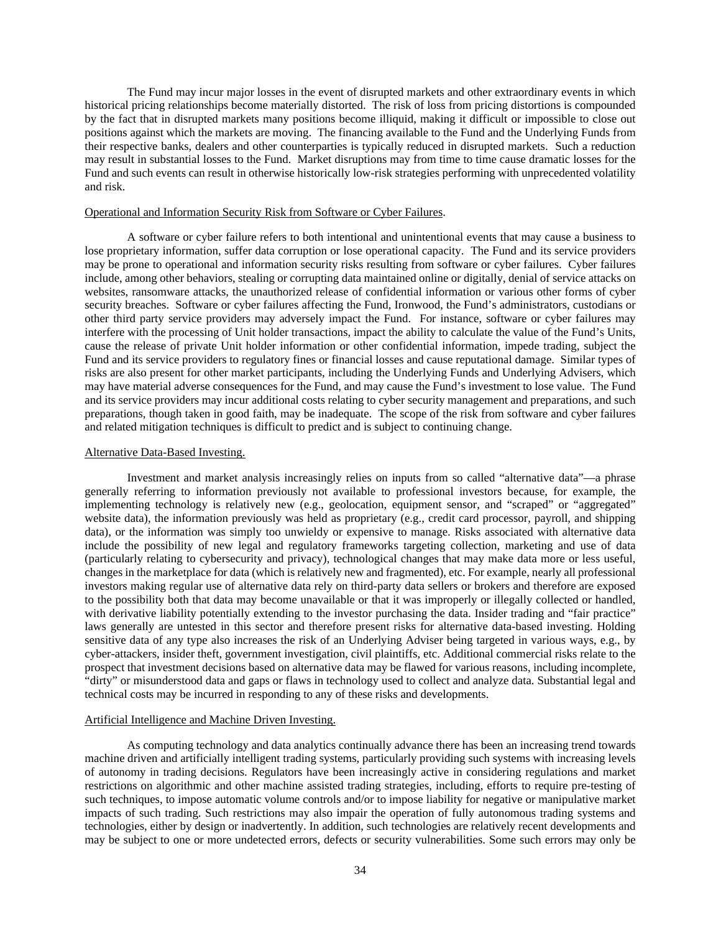The Fund may incur major losses in the event of disrupted markets and other extraordinary events in which historical pricing relationships become materially distorted. The risk of loss from pricing distortions is compounded by the fact that in disrupted markets many positions become illiquid, making it difficult or impossible to close out positions against which the markets are moving. The financing available to the Fund and the Underlying Funds from their respective banks, dealers and other counterparties is typically reduced in disrupted markets. Such a reduction may result in substantial losses to the Fund. Market disruptions may from time to time cause dramatic losses for the Fund and such events can result in otherwise historically low-risk strategies performing with unprecedented volatility and risk.

### Operational and Information Security Risk from Software or Cyber Failures.

A software or cyber failure refers to both intentional and unintentional events that may cause a business to lose proprietary information, suffer data corruption or lose operational capacity. The Fund and its service providers may be prone to operational and information security risks resulting from software or cyber failures. Cyber failures include, among other behaviors, stealing or corrupting data maintained online or digitally, denial of service attacks on websites, ransomware attacks, the unauthorized release of confidential information or various other forms of cyber security breaches. Software or cyber failures affecting the Fund, Ironwood, the Fund's administrators, custodians or other third party service providers may adversely impact the Fund. For instance, software or cyber failures may interfere with the processing of Unit holder transactions, impact the ability to calculate the value of the Fund's Units, cause the release of private Unit holder information or other confidential information, impede trading, subject the Fund and its service providers to regulatory fines or financial losses and cause reputational damage. Similar types of risks are also present for other market participants, including the Underlying Funds and Underlying Advisers, which may have material adverse consequences for the Fund, and may cause the Fund's investment to lose value. The Fund and its service providers may incur additional costs relating to cyber security management and preparations, and such preparations, though taken in good faith, may be inadequate. The scope of the risk from software and cyber failures and related mitigation techniques is difficult to predict and is subject to continuing change.

#### Alternative Data-Based Investing.

Investment and market analysis increasingly relies on inputs from so called "alternative data"—a phrase generally referring to information previously not available to professional investors because, for example, the implementing technology is relatively new (e.g., geolocation, equipment sensor, and "scraped" or "aggregated" website data), the information previously was held as proprietary (e.g., credit card processor, payroll, and shipping data), or the information was simply too unwieldy or expensive to manage. Risks associated with alternative data include the possibility of new legal and regulatory frameworks targeting collection, marketing and use of data (particularly relating to cybersecurity and privacy), technological changes that may make data more or less useful, changes in the marketplace for data (which is relatively new and fragmented), etc. For example, nearly all professional investors making regular use of alternative data rely on third-party data sellers or brokers and therefore are exposed to the possibility both that data may become unavailable or that it was improperly or illegally collected or handled, with derivative liability potentially extending to the investor purchasing the data. Insider trading and "fair practice" laws generally are untested in this sector and therefore present risks for alternative data-based investing. Holding sensitive data of any type also increases the risk of an Underlying Adviser being targeted in various ways, e.g., by cyber-attackers, insider theft, government investigation, civil plaintiffs, etc. Additional commercial risks relate to the prospect that investment decisions based on alternative data may be flawed for various reasons, including incomplete, "dirty" or misunderstood data and gaps or flaws in technology used to collect and analyze data. Substantial legal and technical costs may be incurred in responding to any of these risks and developments.

## Artificial Intelligence and Machine Driven Investing.

As computing technology and data analytics continually advance there has been an increasing trend towards machine driven and artificially intelligent trading systems, particularly providing such systems with increasing levels of autonomy in trading decisions. Regulators have been increasingly active in considering regulations and market restrictions on algorithmic and other machine assisted trading strategies, including, efforts to require pre-testing of such techniques, to impose automatic volume controls and/or to impose liability for negative or manipulative market impacts of such trading. Such restrictions may also impair the operation of fully autonomous trading systems and technologies, either by design or inadvertently. In addition, such technologies are relatively recent developments and may be subject to one or more undetected errors, defects or security vulnerabilities. Some such errors may only be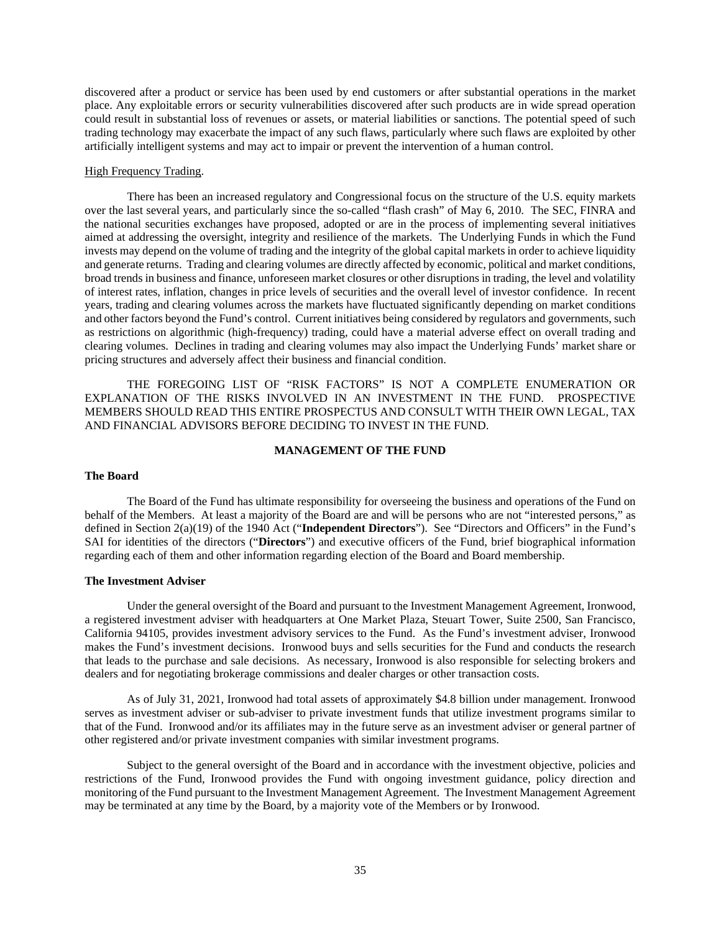discovered after a product or service has been used by end customers or after substantial operations in the market place. Any exploitable errors or security vulnerabilities discovered after such products are in wide spread operation could result in substantial loss of revenues or assets, or material liabilities or sanctions. The potential speed of such trading technology may exacerbate the impact of any such flaws, particularly where such flaws are exploited by other artificially intelligent systems and may act to impair or prevent the intervention of a human control.

### High Frequency Trading.

There has been an increased regulatory and Congressional focus on the structure of the U.S. equity markets over the last several years, and particularly since the so-called "flash crash" of May 6, 2010. The SEC, FINRA and the national securities exchanges have proposed, adopted or are in the process of implementing several initiatives aimed at addressing the oversight, integrity and resilience of the markets. The Underlying Funds in which the Fund invests may depend on the volume of trading and the integrity of the global capital markets in order to achieve liquidity and generate returns. Trading and clearing volumes are directly affected by economic, political and market conditions, broad trends in business and finance, unforeseen market closures or other disruptions in trading, the level and volatility of interest rates, inflation, changes in price levels of securities and the overall level of investor confidence. In recent years, trading and clearing volumes across the markets have fluctuated significantly depending on market conditions and other factors beyond the Fund's control. Current initiatives being considered by regulators and governments, such as restrictions on algorithmic (high-frequency) trading, could have a material adverse effect on overall trading and clearing volumes. Declines in trading and clearing volumes may also impact the Underlying Funds' market share or pricing structures and adversely affect their business and financial condition.

THE FOREGOING LIST OF "RISK FACTORS" IS NOT A COMPLETE ENUMERATION OR EXPLANATION OF THE RISKS INVOLVED IN AN INVESTMENT IN THE FUND. PROSPECTIVE MEMBERS SHOULD READ THIS ENTIRE PROSPECTUS AND CONSULT WITH THEIR OWN LEGAL, TAX AND FINANCIAL ADVISORS BEFORE DECIDING TO INVEST IN THE FUND.

### **MANAGEMENT OF THE FUND**

### <span id="page-40-0"></span>**The Board**

The Board of the Fund has ultimate responsibility for overseeing the business and operations of the Fund on behalf of the Members. At least a majority of the Board are and will be persons who are not "interested persons," as defined in Section 2(a)(19) of the 1940 Act ("**Independent Directors**"). See "Directors and Officers" in the Fund's SAI for identities of the directors ("**Directors**") and executive officers of the Fund, brief biographical information regarding each of them and other information regarding election of the Board and Board membership.

### **The Investment Adviser**

Under the general oversight of the Board and pursuant to the Investment Management Agreement, Ironwood, a registered investment adviser with headquarters at One Market Plaza, Steuart Tower, Suite 2500, San Francisco, California 94105, provides investment advisory services to the Fund. As the Fund's investment adviser, Ironwood makes the Fund's investment decisions. Ironwood buys and sells securities for the Fund and conducts the research that leads to the purchase and sale decisions. As necessary, Ironwood is also responsible for selecting brokers and dealers and for negotiating brokerage commissions and dealer charges or other transaction costs.

As of July 31, 2021, Ironwood had total assets of approximately \$4.8 billion under management. Ironwood serves as investment adviser or sub-adviser to private investment funds that utilize investment programs similar to that of the Fund. Ironwood and/or its affiliates may in the future serve as an investment adviser or general partner of other registered and/or private investment companies with similar investment programs.

Subject to the general oversight of the Board and in accordance with the investment objective, policies and restrictions of the Fund, Ironwood provides the Fund with ongoing investment guidance, policy direction and monitoring of the Fund pursuant to the Investment Management Agreement. The Investment Management Agreement may be terminated at any time by the Board, by a majority vote of the Members or by Ironwood.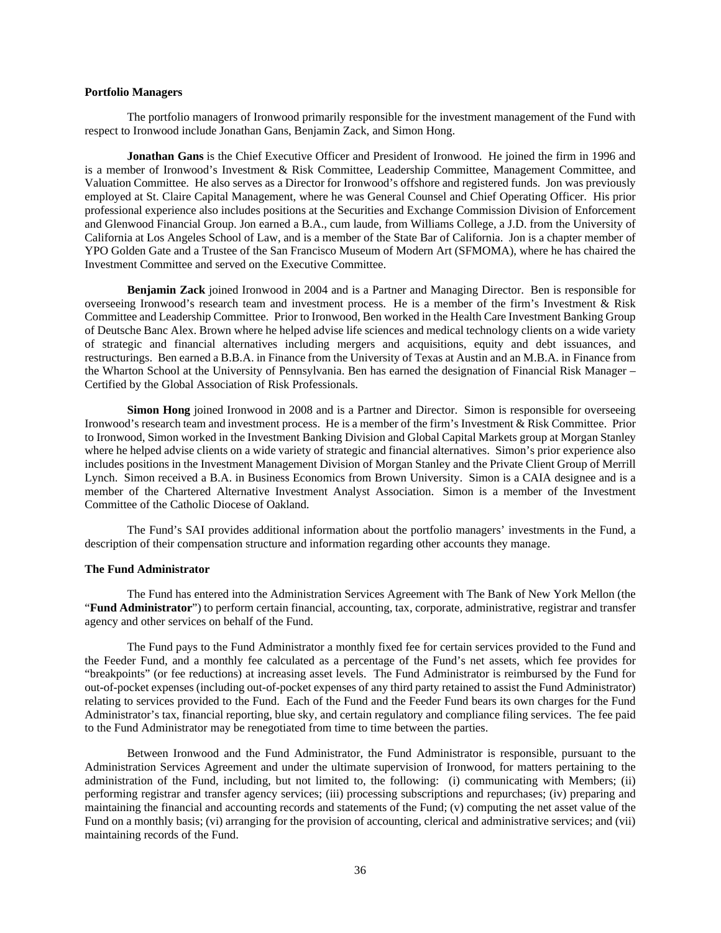## **Portfolio Managers**

The portfolio managers of Ironwood primarily responsible for the investment management of the Fund with respect to Ironwood include Jonathan Gans, Benjamin Zack, and Simon Hong.

**Jonathan Gans** is the Chief Executive Officer and President of Ironwood. He joined the firm in 1996 and is a member of Ironwood's Investment & Risk Committee, Leadership Committee, Management Committee, and Valuation Committee. He also serves as a Director for Ironwood's offshore and registered funds. Jon was previously employed at St. Claire Capital Management, where he was General Counsel and Chief Operating Officer. His prior professional experience also includes positions at the Securities and Exchange Commission Division of Enforcement and Glenwood Financial Group. Jon earned a B.A., cum laude, from Williams College, a J.D. from the University of California at Los Angeles School of Law, and is a member of the State Bar of California. Jon is a chapter member of YPO Golden Gate and a Trustee of the San Francisco Museum of Modern Art (SFMOMA), where he has chaired the Investment Committee and served on the Executive Committee.

**Benjamin Zack** joined Ironwood in 2004 and is a Partner and Managing Director. Ben is responsible for overseeing Ironwood's research team and investment process. He is a member of the firm's Investment & Risk Committee and Leadership Committee. Prior to Ironwood, Ben worked in the Health Care Investment Banking Group of Deutsche Banc Alex. Brown where he helped advise life sciences and medical technology clients on a wide variety of strategic and financial alternatives including mergers and acquisitions, equity and debt issuances, and restructurings. Ben earned a B.B.A. in Finance from the University of Texas at Austin and an M.B.A. in Finance from the Wharton School at the University of Pennsylvania. Ben has earned the designation of Financial Risk Manager – Certified by the Global Association of Risk Professionals.

**Simon Hong** joined Ironwood in 2008 and is a Partner and Director. Simon is responsible for overseeing Ironwood's research team and investment process. He is a member of the firm's Investment & Risk Committee. Prior to Ironwood, Simon worked in the Investment Banking Division and Global Capital Markets group at Morgan Stanley where he helped advise clients on a wide variety of strategic and financial alternatives. Simon's prior experience also includes positions in the Investment Management Division of Morgan Stanley and the Private Client Group of Merrill Lynch. Simon received a B.A. in Business Economics from Brown University. Simon is a CAIA designee and is a member of the Chartered Alternative Investment Analyst Association. Simon is a member of the Investment Committee of the Catholic Diocese of Oakland.

The Fund's SAI provides additional information about the portfolio managers' investments in the Fund, a description of their compensation structure and information regarding other accounts they manage.

## **The Fund Administrator**

The Fund has entered into the Administration Services Agreement with The Bank of New York Mellon (the "**Fund Administrator**") to perform certain financial, accounting, tax, corporate, administrative, registrar and transfer agency and other services on behalf of the Fund.

The Fund pays to the Fund Administrator a monthly fixed fee for certain services provided to the Fund and the Feeder Fund, and a monthly fee calculated as a percentage of the Fund's net assets, which fee provides for "breakpoints" (or fee reductions) at increasing asset levels. The Fund Administrator is reimbursed by the Fund for out-of-pocket expenses (including out-of-pocket expenses of any third party retained to assist the Fund Administrator) relating to services provided to the Fund. Each of the Fund and the Feeder Fund bears its own charges for the Fund Administrator's tax, financial reporting, blue sky, and certain regulatory and compliance filing services. The fee paid to the Fund Administrator may be renegotiated from time to time between the parties.

Between Ironwood and the Fund Administrator, the Fund Administrator is responsible, pursuant to the Administration Services Agreement and under the ultimate supervision of Ironwood, for matters pertaining to the administration of the Fund, including, but not limited to, the following: (i) communicating with Members; (ii) performing registrar and transfer agency services; (iii) processing subscriptions and repurchases; (iv) preparing and maintaining the financial and accounting records and statements of the Fund; (v) computing the net asset value of the Fund on a monthly basis; (vi) arranging for the provision of accounting, clerical and administrative services; and (vii) maintaining records of the Fund.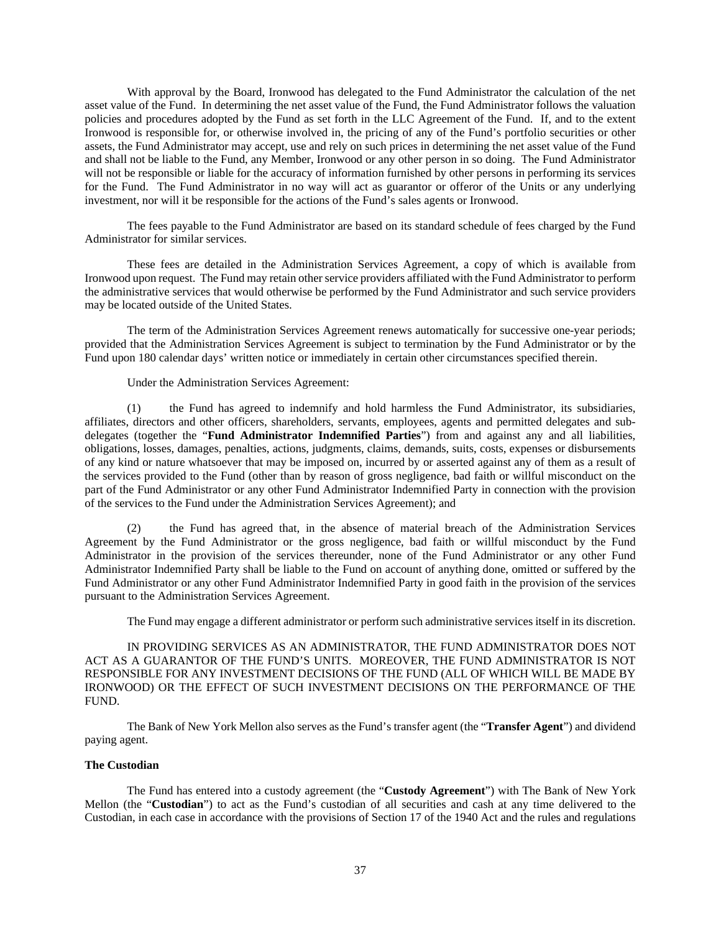With approval by the Board, Ironwood has delegated to the Fund Administrator the calculation of the net asset value of the Fund. In determining the net asset value of the Fund, the Fund Administrator follows the valuation policies and procedures adopted by the Fund as set forth in the LLC Agreement of the Fund. If, and to the extent Ironwood is responsible for, or otherwise involved in, the pricing of any of the Fund's portfolio securities or other assets, the Fund Administrator may accept, use and rely on such prices in determining the net asset value of the Fund and shall not be liable to the Fund, any Member, Ironwood or any other person in so doing. The Fund Administrator will not be responsible or liable for the accuracy of information furnished by other persons in performing its services for the Fund. The Fund Administrator in no way will act as guarantor or offeror of the Units or any underlying investment, nor will it be responsible for the actions of the Fund's sales agents or Ironwood.

The fees payable to the Fund Administrator are based on its standard schedule of fees charged by the Fund Administrator for similar services.

These fees are detailed in the Administration Services Agreement, a copy of which is available from Ironwood upon request. The Fund may retain other service providers affiliated with the Fund Administrator to perform the administrative services that would otherwise be performed by the Fund Administrator and such service providers may be located outside of the United States.

The term of the Administration Services Agreement renews automatically for successive one-year periods; provided that the Administration Services Agreement is subject to termination by the Fund Administrator or by the Fund upon 180 calendar days' written notice or immediately in certain other circumstances specified therein.

Under the Administration Services Agreement:

(1) the Fund has agreed to indemnify and hold harmless the Fund Administrator, its subsidiaries, affiliates, directors and other officers, shareholders, servants, employees, agents and permitted delegates and subdelegates (together the "**Fund Administrator Indemnified Parties**") from and against any and all liabilities, obligations, losses, damages, penalties, actions, judgments, claims, demands, suits, costs, expenses or disbursements of any kind or nature whatsoever that may be imposed on, incurred by or asserted against any of them as a result of the services provided to the Fund (other than by reason of gross negligence, bad faith or willful misconduct on the part of the Fund Administrator or any other Fund Administrator Indemnified Party in connection with the provision of the services to the Fund under the Administration Services Agreement); and

(2) the Fund has agreed that, in the absence of material breach of the Administration Services Agreement by the Fund Administrator or the gross negligence, bad faith or willful misconduct by the Fund Administrator in the provision of the services thereunder, none of the Fund Administrator or any other Fund Administrator Indemnified Party shall be liable to the Fund on account of anything done, omitted or suffered by the Fund Administrator or any other Fund Administrator Indemnified Party in good faith in the provision of the services pursuant to the Administration Services Agreement.

The Fund may engage a different administrator or perform such administrative services itself in its discretion.

IN PROVIDING SERVICES AS AN ADMINISTRATOR, THE FUND ADMINISTRATOR DOES NOT ACT AS A GUARANTOR OF THE FUND'S UNITS. MOREOVER, THE FUND ADMINISTRATOR IS NOT RESPONSIBLE FOR ANY INVESTMENT DECISIONS OF THE FUND (ALL OF WHICH WILL BE MADE BY IRONWOOD) OR THE EFFECT OF SUCH INVESTMENT DECISIONS ON THE PERFORMANCE OF THE FUND.

The Bank of New York Mellon also serves as the Fund's transfer agent (the "**Transfer Agent**") and dividend paying agent.

## **The Custodian**

The Fund has entered into a custody agreement (the "**Custody Agreement**") with The Bank of New York Mellon (the "**Custodian**") to act as the Fund's custodian of all securities and cash at any time delivered to the Custodian, in each case in accordance with the provisions of Section 17 of the 1940 Act and the rules and regulations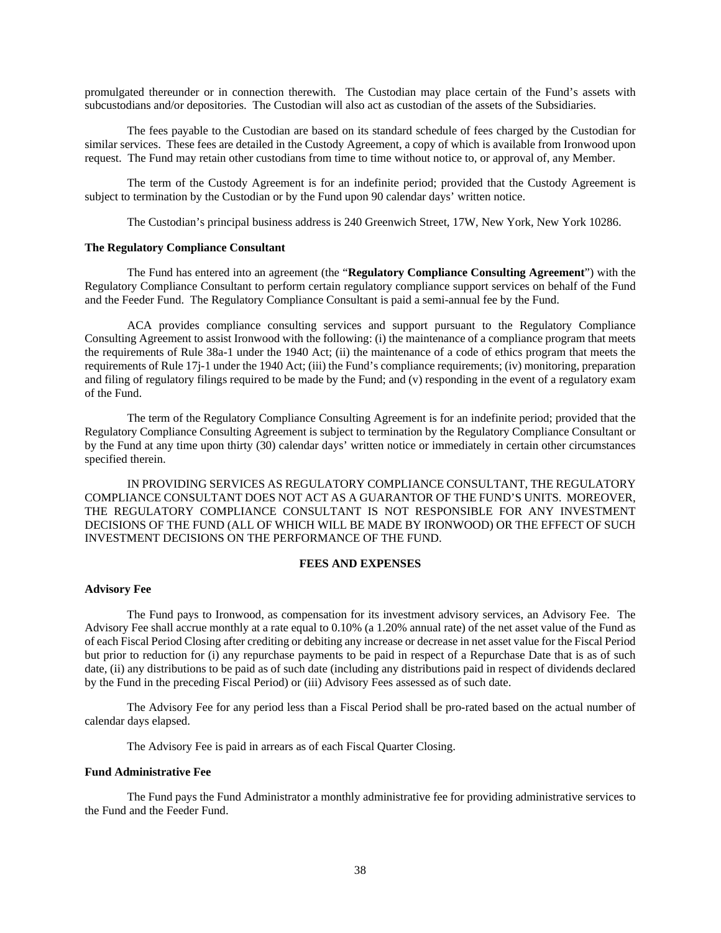promulgated thereunder or in connection therewith. The Custodian may place certain of the Fund's assets with subcustodians and/or depositories. The Custodian will also act as custodian of the assets of the Subsidiaries.

The fees payable to the Custodian are based on its standard schedule of fees charged by the Custodian for similar services. These fees are detailed in the Custody Agreement, a copy of which is available from Ironwood upon request. The Fund may retain other custodians from time to time without notice to, or approval of, any Member.

The term of the Custody Agreement is for an indefinite period; provided that the Custody Agreement is subject to termination by the Custodian or by the Fund upon 90 calendar days' written notice.

The Custodian's principal business address is 240 Greenwich Street, 17W, New York, New York 10286.

#### **The Regulatory Compliance Consultant**

The Fund has entered into an agreement (the "**Regulatory Compliance Consulting Agreement**") with the Regulatory Compliance Consultant to perform certain regulatory compliance support services on behalf of the Fund and the Feeder Fund. The Regulatory Compliance Consultant is paid a semi-annual fee by the Fund.

ACA provides compliance consulting services and support pursuant to the Regulatory Compliance Consulting Agreement to assist Ironwood with the following: (i) the maintenance of a compliance program that meets the requirements of Rule 38a-1 under the 1940 Act; (ii) the maintenance of a code of ethics program that meets the requirements of Rule 17j-1 under the 1940 Act; (iii) the Fund's compliance requirements; (iv) monitoring, preparation and filing of regulatory filings required to be made by the Fund; and (v) responding in the event of a regulatory exam of the Fund.

The term of the Regulatory Compliance Consulting Agreement is for an indefinite period; provided that the Regulatory Compliance Consulting Agreement is subject to termination by the Regulatory Compliance Consultant or by the Fund at any time upon thirty (30) calendar days' written notice or immediately in certain other circumstances specified therein.

IN PROVIDING SERVICES AS REGULATORY COMPLIANCE CONSULTANT, THE REGULATORY COMPLIANCE CONSULTANT DOES NOT ACT AS A GUARANTOR OF THE FUND'S UNITS. MOREOVER, THE REGULATORY COMPLIANCE CONSULTANT IS NOT RESPONSIBLE FOR ANY INVESTMENT DECISIONS OF THE FUND (ALL OF WHICH WILL BE MADE BY IRONWOOD) OR THE EFFECT OF SUCH INVESTMENT DECISIONS ON THE PERFORMANCE OF THE FUND.

## **FEES AND EXPENSES**

## <span id="page-43-0"></span>**Advisory Fee**

The Fund pays to Ironwood, as compensation for its investment advisory services, an Advisory Fee. The Advisory Fee shall accrue monthly at a rate equal to 0.10% (a 1.20% annual rate) of the net asset value of the Fund as of each Fiscal Period Closing after crediting or debiting any increase or decrease in net asset value for the Fiscal Period but prior to reduction for (i) any repurchase payments to be paid in respect of a Repurchase Date that is as of such date, (ii) any distributions to be paid as of such date (including any distributions paid in respect of dividends declared by the Fund in the preceding Fiscal Period) or (iii) Advisory Fees assessed as of such date.

The Advisory Fee for any period less than a Fiscal Period shall be pro-rated based on the actual number of calendar days elapsed.

The Advisory Fee is paid in arrears as of each Fiscal Quarter Closing.

## **Fund Administrative Fee**

The Fund pays the Fund Administrator a monthly administrative fee for providing administrative services to the Fund and the Feeder Fund.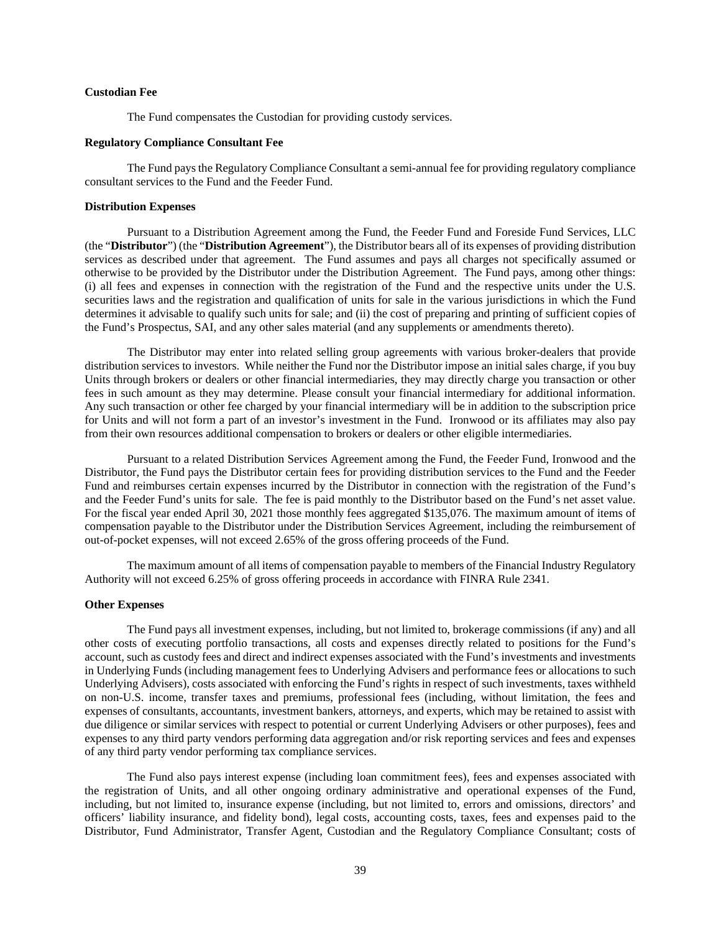## **Custodian Fee**

The Fund compensates the Custodian for providing custody services.

## **Regulatory Compliance Consultant Fee**

The Fund pays the Regulatory Compliance Consultant a semi-annual fee for providing regulatory compliance consultant services to the Fund and the Feeder Fund.

#### **Distribution Expenses**

Pursuant to a Distribution Agreement among the Fund, the Feeder Fund and Foreside Fund Services, LLC (the "**Distributor**") (the "**Distribution Agreement**"), the Distributor bears all of its expenses of providing distribution services as described under that agreement. The Fund assumes and pays all charges not specifically assumed or otherwise to be provided by the Distributor under the Distribution Agreement. The Fund pays, among other things: (i) all fees and expenses in connection with the registration of the Fund and the respective units under the U.S. securities laws and the registration and qualification of units for sale in the various jurisdictions in which the Fund determines it advisable to qualify such units for sale; and (ii) the cost of preparing and printing of sufficient copies of the Fund's Prospectus, SAI, and any other sales material (and any supplements or amendments thereto).

The Distributor may enter into related selling group agreements with various broker-dealers that provide distribution services to investors. While neither the Fund nor the Distributor impose an initial sales charge, if you buy Units through brokers or dealers or other financial intermediaries, they may directly charge you transaction or other fees in such amount as they may determine. Please consult your financial intermediary for additional information. Any such transaction or other fee charged by your financial intermediary will be in addition to the subscription price for Units and will not form a part of an investor's investment in the Fund. Ironwood or its affiliates may also pay from their own resources additional compensation to brokers or dealers or other eligible intermediaries.

Pursuant to a related Distribution Services Agreement among the Fund, the Feeder Fund, Ironwood and the Distributor, the Fund pays the Distributor certain fees for providing distribution services to the Fund and the Feeder Fund and reimburses certain expenses incurred by the Distributor in connection with the registration of the Fund's and the Feeder Fund's units for sale. The fee is paid monthly to the Distributor based on the Fund's net asset value. For the fiscal year ended April 30, 2021 those monthly fees aggregated \$135,076. The maximum amount of items of compensation payable to the Distributor under the Distribution Services Agreement, including the reimbursement of out-of-pocket expenses, will not exceed 2.65% of the gross offering proceeds of the Fund.

The maximum amount of all items of compensation payable to members of the Financial Industry Regulatory Authority will not exceed 6.25% of gross offering proceeds in accordance with FINRA Rule 2341.

## **Other Expenses**

The Fund pays all investment expenses, including, but not limited to, brokerage commissions (if any) and all other costs of executing portfolio transactions, all costs and expenses directly related to positions for the Fund's account, such as custody fees and direct and indirect expenses associated with the Fund's investments and investments in Underlying Funds (including management fees to Underlying Advisers and performance fees or allocations to such Underlying Advisers), costs associated with enforcing the Fund's rights in respect of such investments, taxes withheld on non-U.S. income, transfer taxes and premiums, professional fees (including, without limitation, the fees and expenses of consultants, accountants, investment bankers, attorneys, and experts, which may be retained to assist with due diligence or similar services with respect to potential or current Underlying Advisers or other purposes), fees and expenses to any third party vendors performing data aggregation and/or risk reporting services and fees and expenses of any third party vendor performing tax compliance services.

The Fund also pays interest expense (including loan commitment fees), fees and expenses associated with the registration of Units, and all other ongoing ordinary administrative and operational expenses of the Fund, including, but not limited to, insurance expense (including, but not limited to, errors and omissions, directors' and officers' liability insurance, and fidelity bond), legal costs, accounting costs, taxes, fees and expenses paid to the Distributor, Fund Administrator, Transfer Agent, Custodian and the Regulatory Compliance Consultant; costs of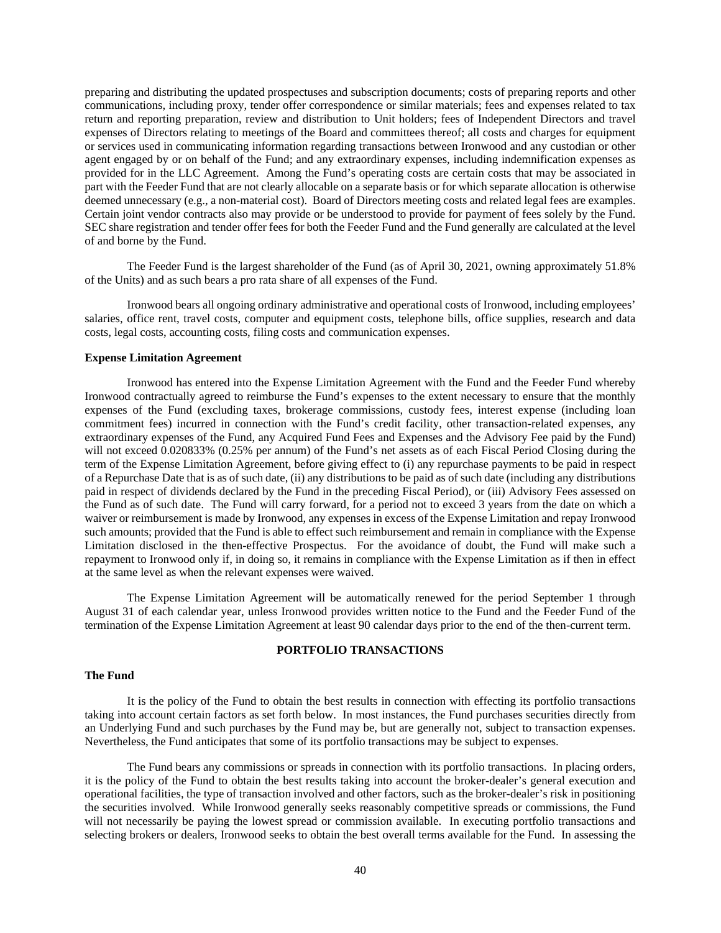preparing and distributing the updated prospectuses and subscription documents; costs of preparing reports and other communications, including proxy, tender offer correspondence or similar materials; fees and expenses related to tax return and reporting preparation, review and distribution to Unit holders; fees of Independent Directors and travel expenses of Directors relating to meetings of the Board and committees thereof; all costs and charges for equipment or services used in communicating information regarding transactions between Ironwood and any custodian or other agent engaged by or on behalf of the Fund; and any extraordinary expenses, including indemnification expenses as provided for in the LLC Agreement. Among the Fund's operating costs are certain costs that may be associated in part with the Feeder Fund that are not clearly allocable on a separate basis or for which separate allocation is otherwise deemed unnecessary (e.g., a non-material cost). Board of Directors meeting costs and related legal fees are examples. Certain joint vendor contracts also may provide or be understood to provide for payment of fees solely by the Fund. SEC share registration and tender offer fees for both the Feeder Fund and the Fund generally are calculated at the level of and borne by the Fund.

The Feeder Fund is the largest shareholder of the Fund (as of April 30, 2021, owning approximately 51.8% of the Units) and as such bears a pro rata share of all expenses of the Fund.

Ironwood bears all ongoing ordinary administrative and operational costs of Ironwood, including employees' salaries, office rent, travel costs, computer and equipment costs, telephone bills, office supplies, research and data costs, legal costs, accounting costs, filing costs and communication expenses.

#### **Expense Limitation Agreement**

Ironwood has entered into the Expense Limitation Agreement with the Fund and the Feeder Fund whereby Ironwood contractually agreed to reimburse the Fund's expenses to the extent necessary to ensure that the monthly expenses of the Fund (excluding taxes, brokerage commissions, custody fees, interest expense (including loan commitment fees) incurred in connection with the Fund's credit facility, other transaction-related expenses, any extraordinary expenses of the Fund, any Acquired Fund Fees and Expenses and the Advisory Fee paid by the Fund) will not exceed 0.020833% (0.25% per annum) of the Fund's net assets as of each Fiscal Period Closing during the term of the Expense Limitation Agreement, before giving effect to (i) any repurchase payments to be paid in respect of a Repurchase Date that is as of such date, (ii) any distributions to be paid as of such date (including any distributions paid in respect of dividends declared by the Fund in the preceding Fiscal Period), or (iii) Advisory Fees assessed on the Fund as of such date. The Fund will carry forward, for a period not to exceed 3 years from the date on which a waiver or reimbursement is made by Ironwood, any expenses in excess of the Expense Limitation and repay Ironwood such amounts; provided that the Fund is able to effect such reimbursement and remain in compliance with the Expense Limitation disclosed in the then-effective Prospectus. For the avoidance of doubt, the Fund will make such a repayment to Ironwood only if, in doing so, it remains in compliance with the Expense Limitation as if then in effect at the same level as when the relevant expenses were waived.

The Expense Limitation Agreement will be automatically renewed for the period September 1 through August 31 of each calendar year, unless Ironwood provides written notice to the Fund and the Feeder Fund of the termination of the Expense Limitation Agreement at least 90 calendar days prior to the end of the then-current term.

### **PORTFOLIO TRANSACTIONS**

## <span id="page-45-0"></span>**The Fund**

It is the policy of the Fund to obtain the best results in connection with effecting its portfolio transactions taking into account certain factors as set forth below. In most instances, the Fund purchases securities directly from an Underlying Fund and such purchases by the Fund may be, but are generally not, subject to transaction expenses. Nevertheless, the Fund anticipates that some of its portfolio transactions may be subject to expenses.

The Fund bears any commissions or spreads in connection with its portfolio transactions. In placing orders, it is the policy of the Fund to obtain the best results taking into account the broker-dealer's general execution and operational facilities, the type of transaction involved and other factors, such as the broker-dealer's risk in positioning the securities involved. While Ironwood generally seeks reasonably competitive spreads or commissions, the Fund will not necessarily be paying the lowest spread or commission available. In executing portfolio transactions and selecting brokers or dealers, Ironwood seeks to obtain the best overall terms available for the Fund. In assessing the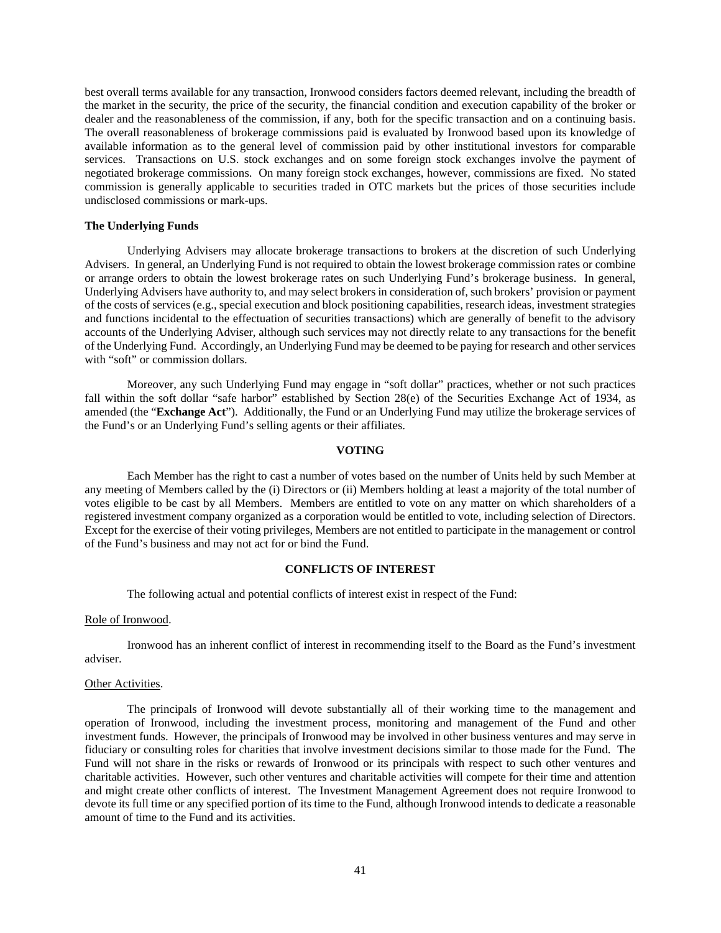best overall terms available for any transaction, Ironwood considers factors deemed relevant, including the breadth of the market in the security, the price of the security, the financial condition and execution capability of the broker or dealer and the reasonableness of the commission, if any, both for the specific transaction and on a continuing basis. The overall reasonableness of brokerage commissions paid is evaluated by Ironwood based upon its knowledge of available information as to the general level of commission paid by other institutional investors for comparable services. Transactions on U.S. stock exchanges and on some foreign stock exchanges involve the payment of negotiated brokerage commissions. On many foreign stock exchanges, however, commissions are fixed. No stated commission is generally applicable to securities traded in OTC markets but the prices of those securities include undisclosed commissions or mark-ups.

### **The Underlying Funds**

Underlying Advisers may allocate brokerage transactions to brokers at the discretion of such Underlying Advisers. In general, an Underlying Fund is not required to obtain the lowest brokerage commission rates or combine or arrange orders to obtain the lowest brokerage rates on such Underlying Fund's brokerage business. In general, Underlying Advisers have authority to, and may select brokers in consideration of, such brokers' provision or payment of the costs of services (e.g., special execution and block positioning capabilities, research ideas, investment strategies and functions incidental to the effectuation of securities transactions) which are generally of benefit to the advisory accounts of the Underlying Adviser, although such services may not directly relate to any transactions for the benefit of the Underlying Fund. Accordingly, an Underlying Fund may be deemed to be paying for research and other services with "soft" or commission dollars.

Moreover, any such Underlying Fund may engage in "soft dollar" practices, whether or not such practices fall within the soft dollar "safe harbor" established by Section 28(e) of the Securities Exchange Act of 1934, as amended (the "**Exchange Act**"). Additionally, the Fund or an Underlying Fund may utilize the brokerage services of the Fund's or an Underlying Fund's selling agents or their affiliates.

### **VOTING**

<span id="page-46-0"></span>Each Member has the right to cast a number of votes based on the number of Units held by such Member at any meeting of Members called by the (i) Directors or (ii) Members holding at least a majority of the total number of votes eligible to be cast by all Members. Members are entitled to vote on any matter on which shareholders of a registered investment company organized as a corporation would be entitled to vote, including selection of Directors. Except for the exercise of their voting privileges, Members are not entitled to participate in the management or control of the Fund's business and may not act for or bind the Fund.

## **CONFLICTS OF INTEREST**

<span id="page-46-1"></span>The following actual and potential conflicts of interest exist in respect of the Fund:

#### Role of Ironwood.

Ironwood has an inherent conflict of interest in recommending itself to the Board as the Fund's investment adviser.

## Other Activities.

The principals of Ironwood will devote substantially all of their working time to the management and operation of Ironwood, including the investment process, monitoring and management of the Fund and other investment funds. However, the principals of Ironwood may be involved in other business ventures and may serve in fiduciary or consulting roles for charities that involve investment decisions similar to those made for the Fund. The Fund will not share in the risks or rewards of Ironwood or its principals with respect to such other ventures and charitable activities. However, such other ventures and charitable activities will compete for their time and attention and might create other conflicts of interest. The Investment Management Agreement does not require Ironwood to devote its full time or any specified portion of its time to the Fund, although Ironwood intends to dedicate a reasonable amount of time to the Fund and its activities.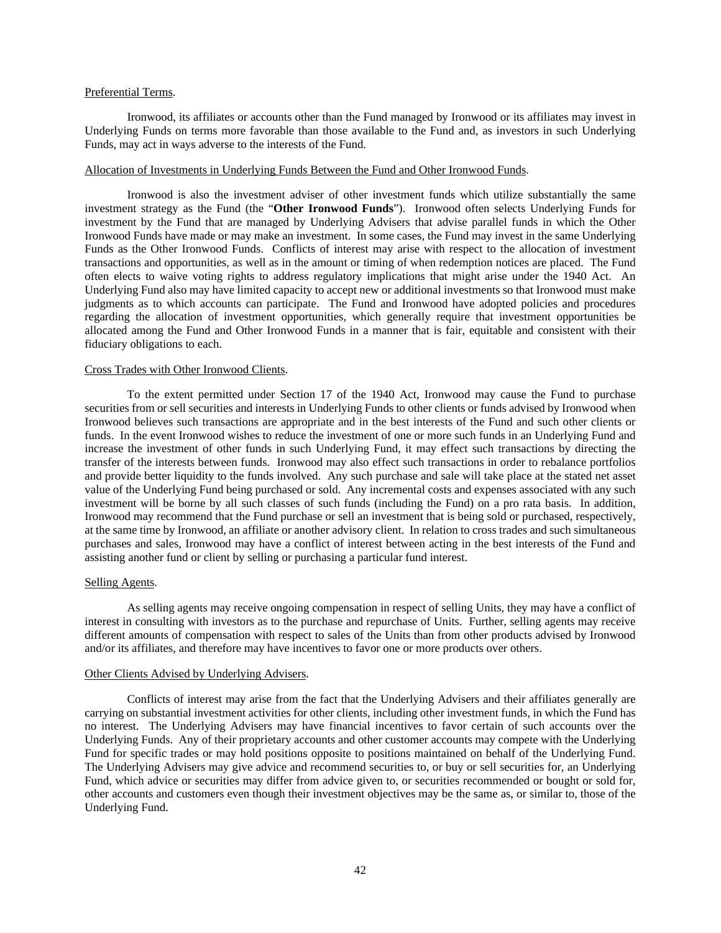### Preferential Terms.

Ironwood, its affiliates or accounts other than the Fund managed by Ironwood or its affiliates may invest in Underlying Funds on terms more favorable than those available to the Fund and, as investors in such Underlying Funds, may act in ways adverse to the interests of the Fund.

## Allocation of Investments in Underlying Funds Between the Fund and Other Ironwood Funds.

Ironwood is also the investment adviser of other investment funds which utilize substantially the same investment strategy as the Fund (the "**Other Ironwood Funds**"). Ironwood often selects Underlying Funds for investment by the Fund that are managed by Underlying Advisers that advise parallel funds in which the Other Ironwood Funds have made or may make an investment. In some cases, the Fund may invest in the same Underlying Funds as the Other Ironwood Funds. Conflicts of interest may arise with respect to the allocation of investment transactions and opportunities, as well as in the amount or timing of when redemption notices are placed. The Fund often elects to waive voting rights to address regulatory implications that might arise under the 1940 Act. An Underlying Fund also may have limited capacity to accept new or additional investments so that Ironwood must make judgments as to which accounts can participate. The Fund and Ironwood have adopted policies and procedures regarding the allocation of investment opportunities, which generally require that investment opportunities be allocated among the Fund and Other Ironwood Funds in a manner that is fair, equitable and consistent with their fiduciary obligations to each.

## Cross Trades with Other Ironwood Clients.

To the extent permitted under Section 17 of the 1940 Act, Ironwood may cause the Fund to purchase securities from or sell securities and interests in Underlying Funds to other clients or funds advised by Ironwood when Ironwood believes such transactions are appropriate and in the best interests of the Fund and such other clients or funds. In the event Ironwood wishes to reduce the investment of one or more such funds in an Underlying Fund and increase the investment of other funds in such Underlying Fund, it may effect such transactions by directing the transfer of the interests between funds. Ironwood may also effect such transactions in order to rebalance portfolios and provide better liquidity to the funds involved. Any such purchase and sale will take place at the stated net asset value of the Underlying Fund being purchased or sold. Any incremental costs and expenses associated with any such investment will be borne by all such classes of such funds (including the Fund) on a pro rata basis. In addition, Ironwood may recommend that the Fund purchase or sell an investment that is being sold or purchased, respectively, at the same time by Ironwood, an affiliate or another advisory client. In relation to cross trades and such simultaneous purchases and sales, Ironwood may have a conflict of interest between acting in the best interests of the Fund and assisting another fund or client by selling or purchasing a particular fund interest.

## Selling Agents.

As selling agents may receive ongoing compensation in respect of selling Units, they may have a conflict of interest in consulting with investors as to the purchase and repurchase of Units. Further, selling agents may receive different amounts of compensation with respect to sales of the Units than from other products advised by Ironwood and/or its affiliates, and therefore may have incentives to favor one or more products over others.

### Other Clients Advised by Underlying Advisers.

Conflicts of interest may arise from the fact that the Underlying Advisers and their affiliates generally are carrying on substantial investment activities for other clients, including other investment funds, in which the Fund has no interest. The Underlying Advisers may have financial incentives to favor certain of such accounts over the Underlying Funds. Any of their proprietary accounts and other customer accounts may compete with the Underlying Fund for specific trades or may hold positions opposite to positions maintained on behalf of the Underlying Fund. The Underlying Advisers may give advice and recommend securities to, or buy or sell securities for, an Underlying Fund, which advice or securities may differ from advice given to, or securities recommended or bought or sold for, other accounts and customers even though their investment objectives may be the same as, or similar to, those of the Underlying Fund.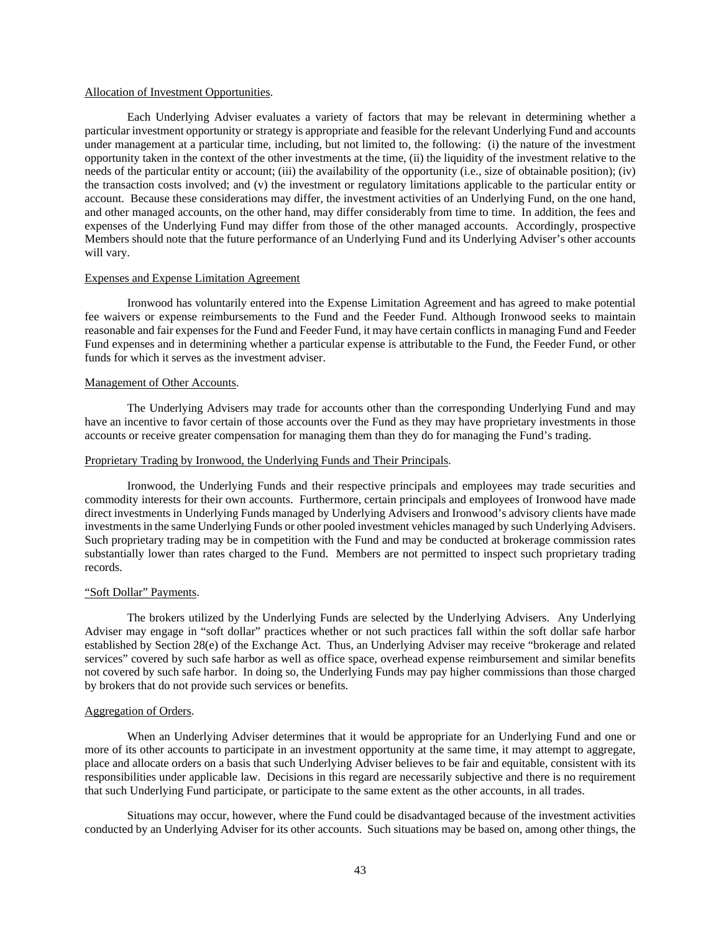## Allocation of Investment Opportunities.

Each Underlying Adviser evaluates a variety of factors that may be relevant in determining whether a particular investment opportunity or strategy is appropriate and feasible for the relevant Underlying Fund and accounts under management at a particular time, including, but not limited to, the following: (i) the nature of the investment opportunity taken in the context of the other investments at the time, (ii) the liquidity of the investment relative to the needs of the particular entity or account; (iii) the availability of the opportunity (i.e., size of obtainable position); (iv) the transaction costs involved; and (v) the investment or regulatory limitations applicable to the particular entity or account. Because these considerations may differ, the investment activities of an Underlying Fund, on the one hand, and other managed accounts, on the other hand, may differ considerably from time to time. In addition, the fees and expenses of the Underlying Fund may differ from those of the other managed accounts. Accordingly, prospective Members should note that the future performance of an Underlying Fund and its Underlying Adviser's other accounts will vary.

### Expenses and Expense Limitation Agreement

Ironwood has voluntarily entered into the Expense Limitation Agreement and has agreed to make potential fee waivers or expense reimbursements to the Fund and the Feeder Fund. Although Ironwood seeks to maintain reasonable and fair expenses for the Fund and Feeder Fund, it may have certain conflicts in managing Fund and Feeder Fund expenses and in determining whether a particular expense is attributable to the Fund, the Feeder Fund, or other funds for which it serves as the investment adviser.

### Management of Other Accounts.

The Underlying Advisers may trade for accounts other than the corresponding Underlying Fund and may have an incentive to favor certain of those accounts over the Fund as they may have proprietary investments in those accounts or receive greater compensation for managing them than they do for managing the Fund's trading.

### Proprietary Trading by Ironwood, the Underlying Funds and Their Principals.

Ironwood, the Underlying Funds and their respective principals and employees may trade securities and commodity interests for their own accounts. Furthermore, certain principals and employees of Ironwood have made direct investments in Underlying Funds managed by Underlying Advisers and Ironwood's advisory clients have made investments in the same Underlying Funds or other pooled investment vehicles managed by such Underlying Advisers. Such proprietary trading may be in competition with the Fund and may be conducted at brokerage commission rates substantially lower than rates charged to the Fund. Members are not permitted to inspect such proprietary trading records.

#### "Soft Dollar" Payments.

The brokers utilized by the Underlying Funds are selected by the Underlying Advisers. Any Underlying Adviser may engage in "soft dollar" practices whether or not such practices fall within the soft dollar safe harbor established by Section 28(e) of the Exchange Act. Thus, an Underlying Adviser may receive "brokerage and related services" covered by such safe harbor as well as office space, overhead expense reimbursement and similar benefits not covered by such safe harbor. In doing so, the Underlying Funds may pay higher commissions than those charged by brokers that do not provide such services or benefits.

#### Aggregation of Orders.

When an Underlying Adviser determines that it would be appropriate for an Underlying Fund and one or more of its other accounts to participate in an investment opportunity at the same time, it may attempt to aggregate, place and allocate orders on a basis that such Underlying Adviser believes to be fair and equitable, consistent with its responsibilities under applicable law. Decisions in this regard are necessarily subjective and there is no requirement that such Underlying Fund participate, or participate to the same extent as the other accounts, in all trades.

Situations may occur, however, where the Fund could be disadvantaged because of the investment activities conducted by an Underlying Adviser for its other accounts. Such situations may be based on, among other things, the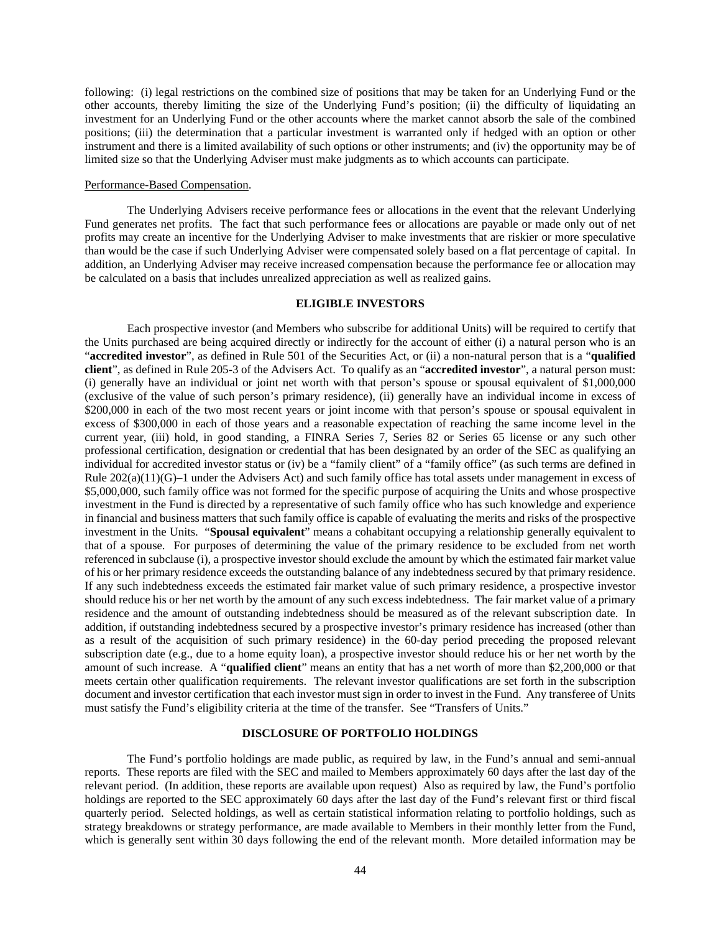following: (i) legal restrictions on the combined size of positions that may be taken for an Underlying Fund or the other accounts, thereby limiting the size of the Underlying Fund's position; (ii) the difficulty of liquidating an investment for an Underlying Fund or the other accounts where the market cannot absorb the sale of the combined positions; (iii) the determination that a particular investment is warranted only if hedged with an option or other instrument and there is a limited availability of such options or other instruments; and (iv) the opportunity may be of limited size so that the Underlying Adviser must make judgments as to which accounts can participate.

#### Performance-Based Compensation.

The Underlying Advisers receive performance fees or allocations in the event that the relevant Underlying Fund generates net profits. The fact that such performance fees or allocations are payable or made only out of net profits may create an incentive for the Underlying Adviser to make investments that are riskier or more speculative than would be the case if such Underlying Adviser were compensated solely based on a flat percentage of capital. In addition, an Underlying Adviser may receive increased compensation because the performance fee or allocation may be calculated on a basis that includes unrealized appreciation as well as realized gains.

## **ELIGIBLE INVESTORS**

<span id="page-49-0"></span>Each prospective investor (and Members who subscribe for additional Units) will be required to certify that the Units purchased are being acquired directly or indirectly for the account of either (i) a natural person who is an "**accredited investor**", as defined in Rule 501 of the Securities Act, or (ii) a non-natural person that is a "**qualified client**", as defined in Rule 205-3 of the Advisers Act. To qualify as an "**accredited investor**", a natural person must: (i) generally have an individual or joint net worth with that person's spouse or spousal equivalent of \$1,000,000 (exclusive of the value of such person's primary residence), (ii) generally have an individual income in excess of \$200,000 in each of the two most recent years or joint income with that person's spouse or spousal equivalent in excess of \$300,000 in each of those years and a reasonable expectation of reaching the same income level in the current year, (iii) hold, in good standing, a FINRA Series 7, Series 82 or Series 65 license or any such other professional certification, designation or credential that has been designated by an order of the SEC as qualifying an individual for accredited investor status or (iv) be a "family client" of a "family office" (as such terms are defined in Rule 202(a)(11)(G)–1 under the Advisers Act) and such family office has total assets under management in excess of \$5,000,000, such family office was not formed for the specific purpose of acquiring the Units and whose prospective investment in the Fund is directed by a representative of such family office who has such knowledge and experience in financial and business matters that such family office is capable of evaluating the merits and risks of the prospective investment in the Units. "**Spousal equivalent**" means a cohabitant occupying a relationship generally equivalent to that of a spouse. For purposes of determining the value of the primary residence to be excluded from net worth referenced in subclause (i), a prospective investor should exclude the amount by which the estimated fair market value of his or her primary residence exceeds the outstanding balance of any indebtedness secured by that primary residence. If any such indebtedness exceeds the estimated fair market value of such primary residence, a prospective investor should reduce his or her net worth by the amount of any such excess indebtedness. The fair market value of a primary residence and the amount of outstanding indebtedness should be measured as of the relevant subscription date. In addition, if outstanding indebtedness secured by a prospective investor's primary residence has increased (other than as a result of the acquisition of such primary residence) in the 60-day period preceding the proposed relevant subscription date (e.g., due to a home equity loan), a prospective investor should reduce his or her net worth by the amount of such increase. A "**qualified client**" means an entity that has a net worth of more than \$2,200,000 or that meets certain other qualification requirements. The relevant investor qualifications are set forth in the subscription document and investor certification that each investor must sign in order to invest in the Fund. Any transferee of Units must satisfy the Fund's eligibility criteria at the time of the transfer. See "Transfers of Units."

#### **DISCLOSURE OF PORTFOLIO HOLDINGS**

<span id="page-49-1"></span>The Fund's portfolio holdings are made public, as required by law, in the Fund's annual and semi-annual reports. These reports are filed with the SEC and mailed to Members approximately 60 days after the last day of the relevant period. (In addition, these reports are available upon request) Also as required by law, the Fund's portfolio holdings are reported to the SEC approximately 60 days after the last day of the Fund's relevant first or third fiscal quarterly period. Selected holdings, as well as certain statistical information relating to portfolio holdings, such as strategy breakdowns or strategy performance, are made available to Members in their monthly letter from the Fund, which is generally sent within 30 days following the end of the relevant month. More detailed information may be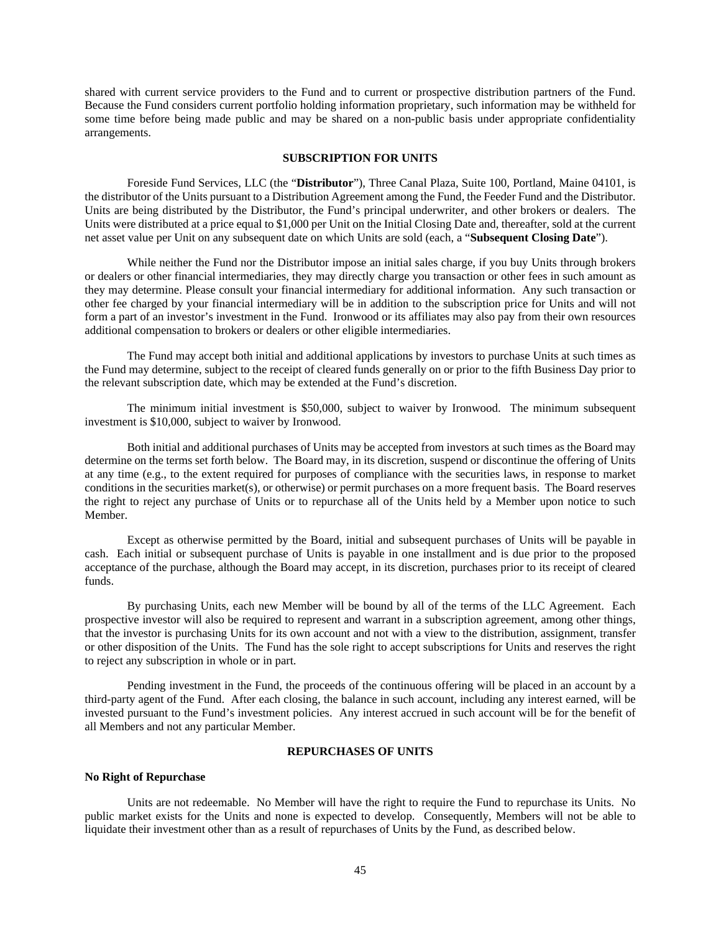shared with current service providers to the Fund and to current or prospective distribution partners of the Fund. Because the Fund considers current portfolio holding information proprietary, such information may be withheld for some time before being made public and may be shared on a non-public basis under appropriate confidentiality arrangements.

### **SUBSCRIPTION FOR UNITS**

<span id="page-50-0"></span>Foreside Fund Services, LLC (the "**Distributor**"), Three Canal Plaza, Suite 100, Portland, Maine 04101, is the distributor of the Units pursuant to a Distribution Agreement among the Fund, the Feeder Fund and the Distributor. Units are being distributed by the Distributor, the Fund's principal underwriter, and other brokers or dealers. The Units were distributed at a price equal to \$1,000 per Unit on the Initial Closing Date and, thereafter, sold at the current net asset value per Unit on any subsequent date on which Units are sold (each, a "**Subsequent Closing Date**").

While neither the Fund nor the Distributor impose an initial sales charge, if you buy Units through brokers or dealers or other financial intermediaries, they may directly charge you transaction or other fees in such amount as they may determine. Please consult your financial intermediary for additional information. Any such transaction or other fee charged by your financial intermediary will be in addition to the subscription price for Units and will not form a part of an investor's investment in the Fund. Ironwood or its affiliates may also pay from their own resources additional compensation to brokers or dealers or other eligible intermediaries.

The Fund may accept both initial and additional applications by investors to purchase Units at such times as the Fund may determine, subject to the receipt of cleared funds generally on or prior to the fifth Business Day prior to the relevant subscription date, which may be extended at the Fund's discretion.

The minimum initial investment is \$50,000, subject to waiver by Ironwood. The minimum subsequent investment is \$10,000, subject to waiver by Ironwood.

Both initial and additional purchases of Units may be accepted from investors at such times as the Board may determine on the terms set forth below. The Board may, in its discretion, suspend or discontinue the offering of Units at any time (e.g., to the extent required for purposes of compliance with the securities laws, in response to market conditions in the securities market(s), or otherwise) or permit purchases on a more frequent basis. The Board reserves the right to reject any purchase of Units or to repurchase all of the Units held by a Member upon notice to such Member.

Except as otherwise permitted by the Board, initial and subsequent purchases of Units will be payable in cash. Each initial or subsequent purchase of Units is payable in one installment and is due prior to the proposed acceptance of the purchase, although the Board may accept, in its discretion, purchases prior to its receipt of cleared funds.

By purchasing Units, each new Member will be bound by all of the terms of the LLC Agreement. Each prospective investor will also be required to represent and warrant in a subscription agreement, among other things, that the investor is purchasing Units for its own account and not with a view to the distribution, assignment, transfer or other disposition of the Units. The Fund has the sole right to accept subscriptions for Units and reserves the right to reject any subscription in whole or in part.

Pending investment in the Fund, the proceeds of the continuous offering will be placed in an account by a third-party agent of the Fund. After each closing, the balance in such account, including any interest earned, will be invested pursuant to the Fund's investment policies. Any interest accrued in such account will be for the benefit of all Members and not any particular Member.

## **REPURCHASES OF UNITS**

### <span id="page-50-1"></span>**No Right of Repurchase**

Units are not redeemable. No Member will have the right to require the Fund to repurchase its Units. No public market exists for the Units and none is expected to develop. Consequently, Members will not be able to liquidate their investment other than as a result of repurchases of Units by the Fund, as described below.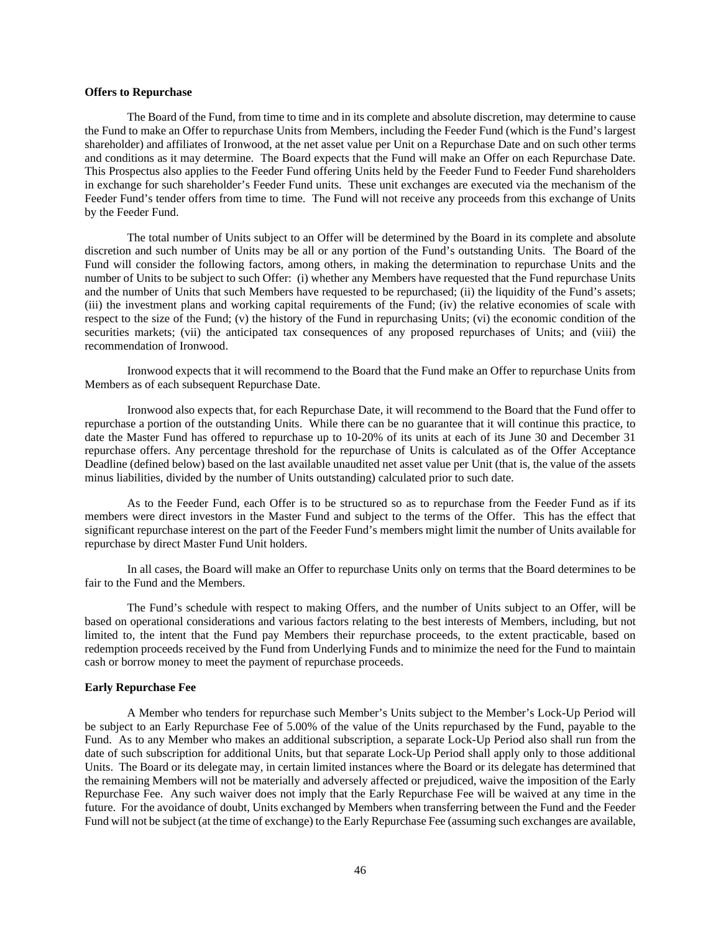## **Offers to Repurchase**

The Board of the Fund, from time to time and in its complete and absolute discretion, may determine to cause the Fund to make an Offer to repurchase Units from Members, including the Feeder Fund (which is the Fund's largest shareholder) and affiliates of Ironwood, at the net asset value per Unit on a Repurchase Date and on such other terms and conditions as it may determine. The Board expects that the Fund will make an Offer on each Repurchase Date. This Prospectus also applies to the Feeder Fund offering Units held by the Feeder Fund to Feeder Fund shareholders in exchange for such shareholder's Feeder Fund units. These unit exchanges are executed via the mechanism of the Feeder Fund's tender offers from time to time. The Fund will not receive any proceeds from this exchange of Units by the Feeder Fund.

The total number of Units subject to an Offer will be determined by the Board in its complete and absolute discretion and such number of Units may be all or any portion of the Fund's outstanding Units. The Board of the Fund will consider the following factors, among others, in making the determination to repurchase Units and the number of Units to be subject to such Offer: (i) whether any Members have requested that the Fund repurchase Units and the number of Units that such Members have requested to be repurchased; (ii) the liquidity of the Fund's assets; (iii) the investment plans and working capital requirements of the Fund; (iv) the relative economies of scale with respect to the size of the Fund; (v) the history of the Fund in repurchasing Units; (vi) the economic condition of the securities markets; (vii) the anticipated tax consequences of any proposed repurchases of Units; and (viii) the recommendation of Ironwood.

Ironwood expects that it will recommend to the Board that the Fund make an Offer to repurchase Units from Members as of each subsequent Repurchase Date.

Ironwood also expects that, for each Repurchase Date, it will recommend to the Board that the Fund offer to repurchase a portion of the outstanding Units. While there can be no guarantee that it will continue this practice, to date the Master Fund has offered to repurchase up to 10-20% of its units at each of its June 30 and December 31 repurchase offers. Any percentage threshold for the repurchase of Units is calculated as of the Offer Acceptance Deadline (defined below) based on the last available unaudited net asset value per Unit (that is, the value of the assets minus liabilities, divided by the number of Units outstanding) calculated prior to such date.

As to the Feeder Fund, each Offer is to be structured so as to repurchase from the Feeder Fund as if its members were direct investors in the Master Fund and subject to the terms of the Offer. This has the effect that significant repurchase interest on the part of the Feeder Fund's members might limit the number of Units available for repurchase by direct Master Fund Unit holders.

In all cases, the Board will make an Offer to repurchase Units only on terms that the Board determines to be fair to the Fund and the Members.

The Fund's schedule with respect to making Offers, and the number of Units subject to an Offer, will be based on operational considerations and various factors relating to the best interests of Members, including, but not limited to, the intent that the Fund pay Members their repurchase proceeds, to the extent practicable, based on redemption proceeds received by the Fund from Underlying Funds and to minimize the need for the Fund to maintain cash or borrow money to meet the payment of repurchase proceeds.

## **Early Repurchase Fee**

A Member who tenders for repurchase such Member's Units subject to the Member's Lock-Up Period will be subject to an Early Repurchase Fee of 5.00% of the value of the Units repurchased by the Fund, payable to the Fund. As to any Member who makes an additional subscription, a separate Lock-Up Period also shall run from the date of such subscription for additional Units, but that separate Lock-Up Period shall apply only to those additional Units. The Board or its delegate may, in certain limited instances where the Board or its delegate has determined that the remaining Members will not be materially and adversely affected or prejudiced, waive the imposition of the Early Repurchase Fee. Any such waiver does not imply that the Early Repurchase Fee will be waived at any time in the future. For the avoidance of doubt, Units exchanged by Members when transferring between the Fund and the Feeder Fund will not be subject (at the time of exchange) to the Early Repurchase Fee (assuming such exchanges are available,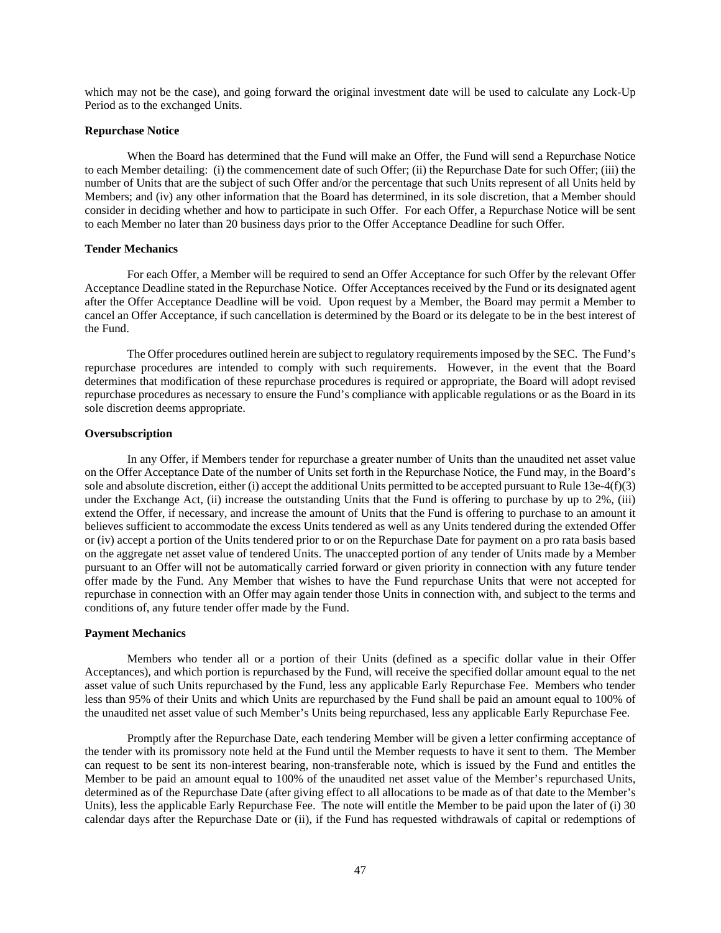which may not be the case), and going forward the original investment date will be used to calculate any Lock-Up Period as to the exchanged Units.

### **Repurchase Notice**

When the Board has determined that the Fund will make an Offer, the Fund will send a Repurchase Notice to each Member detailing: (i) the commencement date of such Offer; (ii) the Repurchase Date for such Offer; (iii) the number of Units that are the subject of such Offer and/or the percentage that such Units represent of all Units held by Members; and (iv) any other information that the Board has determined, in its sole discretion, that a Member should consider in deciding whether and how to participate in such Offer. For each Offer, a Repurchase Notice will be sent to each Member no later than 20 business days prior to the Offer Acceptance Deadline for such Offer.

### **Tender Mechanics**

For each Offer, a Member will be required to send an Offer Acceptance for such Offer by the relevant Offer Acceptance Deadline stated in the Repurchase Notice. Offer Acceptances received by the Fund or its designated agent after the Offer Acceptance Deadline will be void. Upon request by a Member, the Board may permit a Member to cancel an Offer Acceptance, if such cancellation is determined by the Board or its delegate to be in the best interest of the Fund.

The Offer procedures outlined herein are subject to regulatory requirements imposed by the SEC. The Fund's repurchase procedures are intended to comply with such requirements. However, in the event that the Board determines that modification of these repurchase procedures is required or appropriate, the Board will adopt revised repurchase procedures as necessary to ensure the Fund's compliance with applicable regulations or as the Board in its sole discretion deems appropriate.

## **Oversubscription**

In any Offer, if Members tender for repurchase a greater number of Units than the unaudited net asset value on the Offer Acceptance Date of the number of Units set forth in the Repurchase Notice, the Fund may, in the Board's sole and absolute discretion, either (i) accept the additional Units permitted to be accepted pursuant to Rule  $13e-4(f)(3)$ under the Exchange Act, (ii) increase the outstanding Units that the Fund is offering to purchase by up to 2%, (iii) extend the Offer, if necessary, and increase the amount of Units that the Fund is offering to purchase to an amount it believes sufficient to accommodate the excess Units tendered as well as any Units tendered during the extended Offer or (iv) accept a portion of the Units tendered prior to or on the Repurchase Date for payment on a pro rata basis based on the aggregate net asset value of tendered Units. The unaccepted portion of any tender of Units made by a Member pursuant to an Offer will not be automatically carried forward or given priority in connection with any future tender offer made by the Fund. Any Member that wishes to have the Fund repurchase Units that were not accepted for repurchase in connection with an Offer may again tender those Units in connection with, and subject to the terms and conditions of, any future tender offer made by the Fund.

#### **Payment Mechanics**

Members who tender all or a portion of their Units (defined as a specific dollar value in their Offer Acceptances), and which portion is repurchased by the Fund, will receive the specified dollar amount equal to the net asset value of such Units repurchased by the Fund, less any applicable Early Repurchase Fee. Members who tender less than 95% of their Units and which Units are repurchased by the Fund shall be paid an amount equal to 100% of the unaudited net asset value of such Member's Units being repurchased, less any applicable Early Repurchase Fee.

Promptly after the Repurchase Date, each tendering Member will be given a letter confirming acceptance of the tender with its promissory note held at the Fund until the Member requests to have it sent to them. The Member can request to be sent its non-interest bearing, non-transferable note, which is issued by the Fund and entitles the Member to be paid an amount equal to 100% of the unaudited net asset value of the Member's repurchased Units, determined as of the Repurchase Date (after giving effect to all allocations to be made as of that date to the Member's Units), less the applicable Early Repurchase Fee. The note will entitle the Member to be paid upon the later of (i) 30 calendar days after the Repurchase Date or (ii), if the Fund has requested withdrawals of capital or redemptions of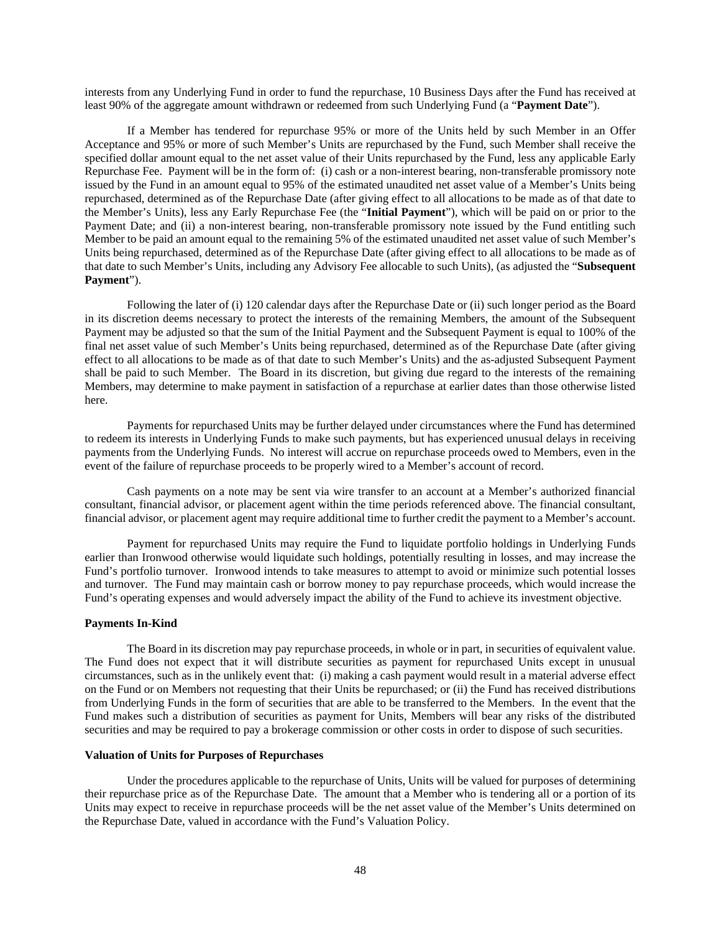interests from any Underlying Fund in order to fund the repurchase, 10 Business Days after the Fund has received at least 90% of the aggregate amount withdrawn or redeemed from such Underlying Fund (a "**Payment Date**").

If a Member has tendered for repurchase 95% or more of the Units held by such Member in an Offer Acceptance and 95% or more of such Member's Units are repurchased by the Fund, such Member shall receive the specified dollar amount equal to the net asset value of their Units repurchased by the Fund, less any applicable Early Repurchase Fee. Payment will be in the form of: (i) cash or a non-interest bearing, non-transferable promissory note issued by the Fund in an amount equal to 95% of the estimated unaudited net asset value of a Member's Units being repurchased, determined as of the Repurchase Date (after giving effect to all allocations to be made as of that date to the Member's Units), less any Early Repurchase Fee (the "**Initial Payment**"), which will be paid on or prior to the Payment Date; and (ii) a non-interest bearing, non-transferable promissory note issued by the Fund entitling such Member to be paid an amount equal to the remaining 5% of the estimated unaudited net asset value of such Member's Units being repurchased, determined as of the Repurchase Date (after giving effect to all allocations to be made as of that date to such Member's Units, including any Advisory Fee allocable to such Units), (as adjusted the "**Subsequent Payment**").

Following the later of (i) 120 calendar days after the Repurchase Date or (ii) such longer period as the Board in its discretion deems necessary to protect the interests of the remaining Members, the amount of the Subsequent Payment may be adjusted so that the sum of the Initial Payment and the Subsequent Payment is equal to 100% of the final net asset value of such Member's Units being repurchased, determined as of the Repurchase Date (after giving effect to all allocations to be made as of that date to such Member's Units) and the as-adjusted Subsequent Payment shall be paid to such Member. The Board in its discretion, but giving due regard to the interests of the remaining Members, may determine to make payment in satisfaction of a repurchase at earlier dates than those otherwise listed here.

Payments for repurchased Units may be further delayed under circumstances where the Fund has determined to redeem its interests in Underlying Funds to make such payments, but has experienced unusual delays in receiving payments from the Underlying Funds. No interest will accrue on repurchase proceeds owed to Members, even in the event of the failure of repurchase proceeds to be properly wired to a Member's account of record.

Cash payments on a note may be sent via wire transfer to an account at a Member's authorized financial consultant, financial advisor, or placement agent within the time periods referenced above. The financial consultant, financial advisor, or placement agent may require additional time to further credit the payment to a Member's account.

Payment for repurchased Units may require the Fund to liquidate portfolio holdings in Underlying Funds earlier than Ironwood otherwise would liquidate such holdings, potentially resulting in losses, and may increase the Fund's portfolio turnover. Ironwood intends to take measures to attempt to avoid or minimize such potential losses and turnover. The Fund may maintain cash or borrow money to pay repurchase proceeds, which would increase the Fund's operating expenses and would adversely impact the ability of the Fund to achieve its investment objective.

## **Payments In-Kind**

The Board in its discretion may pay repurchase proceeds, in whole or in part, in securities of equivalent value. The Fund does not expect that it will distribute securities as payment for repurchased Units except in unusual circumstances, such as in the unlikely event that: (i) making a cash payment would result in a material adverse effect on the Fund or on Members not requesting that their Units be repurchased; or (ii) the Fund has received distributions from Underlying Funds in the form of securities that are able to be transferred to the Members. In the event that the Fund makes such a distribution of securities as payment for Units, Members will bear any risks of the distributed securities and may be required to pay a brokerage commission or other costs in order to dispose of such securities.

#### **Valuation of Units for Purposes of Repurchases**

Under the procedures applicable to the repurchase of Units, Units will be valued for purposes of determining their repurchase price as of the Repurchase Date. The amount that a Member who is tendering all or a portion of its Units may expect to receive in repurchase proceeds will be the net asset value of the Member's Units determined on the Repurchase Date, valued in accordance with the Fund's Valuation Policy.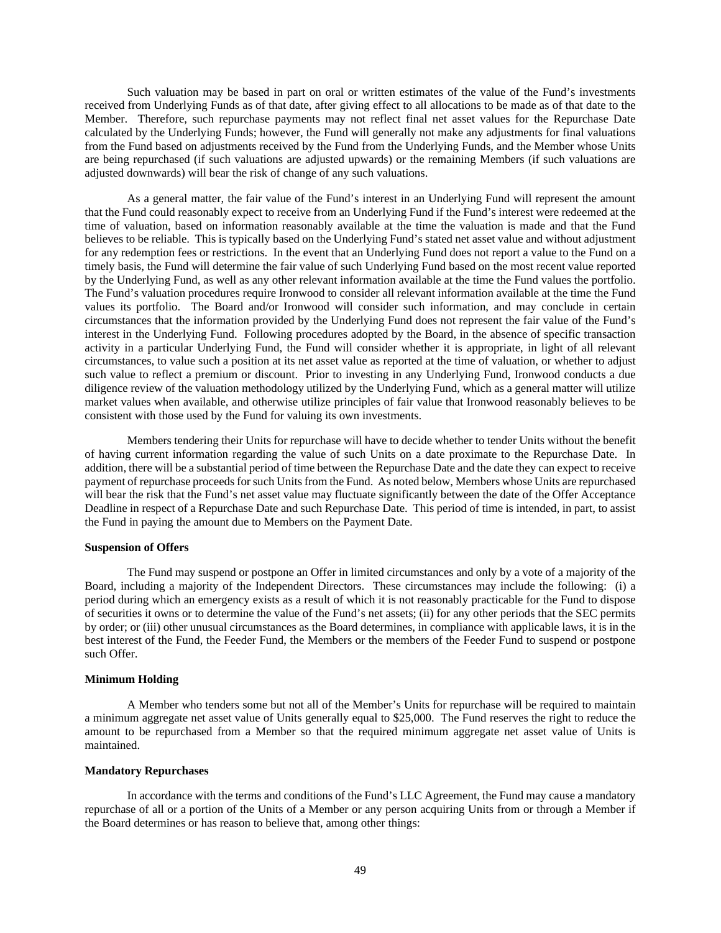Such valuation may be based in part on oral or written estimates of the value of the Fund's investments received from Underlying Funds as of that date, after giving effect to all allocations to be made as of that date to the Member. Therefore, such repurchase payments may not reflect final net asset values for the Repurchase Date calculated by the Underlying Funds; however, the Fund will generally not make any adjustments for final valuations from the Fund based on adjustments received by the Fund from the Underlying Funds, and the Member whose Units are being repurchased (if such valuations are adjusted upwards) or the remaining Members (if such valuations are adjusted downwards) will bear the risk of change of any such valuations.

As a general matter, the fair value of the Fund's interest in an Underlying Fund will represent the amount that the Fund could reasonably expect to receive from an Underlying Fund if the Fund's interest were redeemed at the time of valuation, based on information reasonably available at the time the valuation is made and that the Fund believes to be reliable. This is typically based on the Underlying Fund's stated net asset value and without adjustment for any redemption fees or restrictions. In the event that an Underlying Fund does not report a value to the Fund on a timely basis, the Fund will determine the fair value of such Underlying Fund based on the most recent value reported by the Underlying Fund, as well as any other relevant information available at the time the Fund values the portfolio. The Fund's valuation procedures require Ironwood to consider all relevant information available at the time the Fund values its portfolio. The Board and/or Ironwood will consider such information, and may conclude in certain circumstances that the information provided by the Underlying Fund does not represent the fair value of the Fund's interest in the Underlying Fund. Following procedures adopted by the Board, in the absence of specific transaction activity in a particular Underlying Fund, the Fund will consider whether it is appropriate, in light of all relevant circumstances, to value such a position at its net asset value as reported at the time of valuation, or whether to adjust such value to reflect a premium or discount. Prior to investing in any Underlying Fund, Ironwood conducts a due diligence review of the valuation methodology utilized by the Underlying Fund, which as a general matter will utilize market values when available, and otherwise utilize principles of fair value that Ironwood reasonably believes to be consistent with those used by the Fund for valuing its own investments.

Members tendering their Units for repurchase will have to decide whether to tender Units without the benefit of having current information regarding the value of such Units on a date proximate to the Repurchase Date. In addition, there will be a substantial period of time between the Repurchase Date and the date they can expect to receive payment of repurchase proceeds for such Units from the Fund. As noted below, Members whose Units are repurchased will bear the risk that the Fund's net asset value may fluctuate significantly between the date of the Offer Acceptance Deadline in respect of a Repurchase Date and such Repurchase Date. This period of time is intended, in part, to assist the Fund in paying the amount due to Members on the Payment Date.

#### **Suspension of Offers**

The Fund may suspend or postpone an Offer in limited circumstances and only by a vote of a majority of the Board, including a majority of the Independent Directors. These circumstances may include the following: (i) a period during which an emergency exists as a result of which it is not reasonably practicable for the Fund to dispose of securities it owns or to determine the value of the Fund's net assets; (ii) for any other periods that the SEC permits by order; or (iii) other unusual circumstances as the Board determines, in compliance with applicable laws, it is in the best interest of the Fund, the Feeder Fund, the Members or the members of the Feeder Fund to suspend or postpone such Offer.

## **Minimum Holding**

A Member who tenders some but not all of the Member's Units for repurchase will be required to maintain a minimum aggregate net asset value of Units generally equal to \$25,000. The Fund reserves the right to reduce the amount to be repurchased from a Member so that the required minimum aggregate net asset value of Units is maintained.

#### **Mandatory Repurchases**

In accordance with the terms and conditions of the Fund's LLC Agreement, the Fund may cause a mandatory repurchase of all or a portion of the Units of a Member or any person acquiring Units from or through a Member if the Board determines or has reason to believe that, among other things: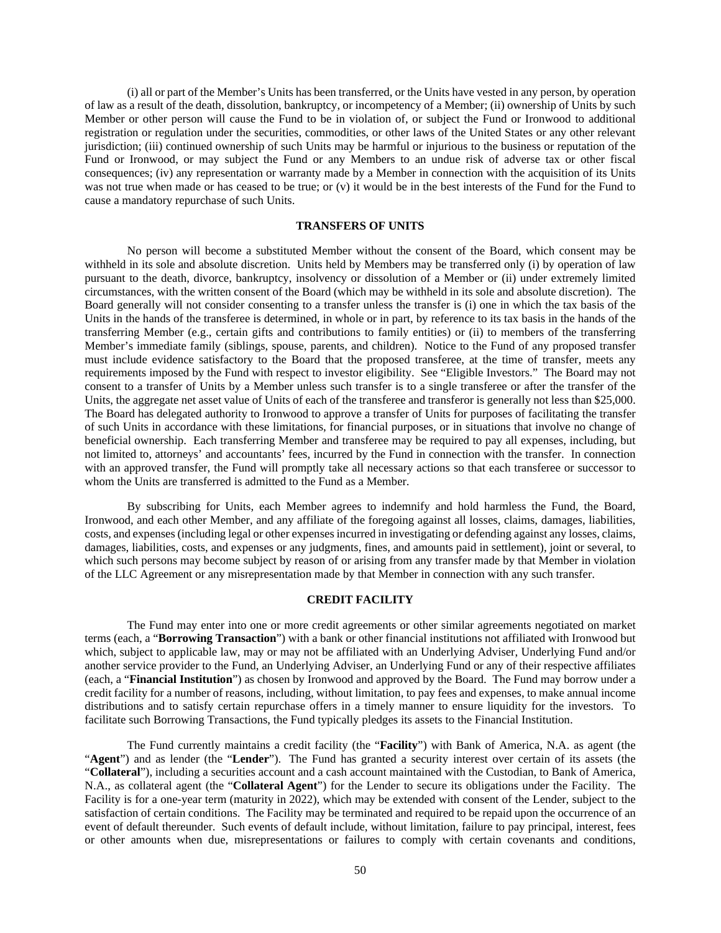(i) all or part of the Member's Units has been transferred, or the Units have vested in any person, by operation of law as a result of the death, dissolution, bankruptcy, or incompetency of a Member; (ii) ownership of Units by such Member or other person will cause the Fund to be in violation of, or subject the Fund or Ironwood to additional registration or regulation under the securities, commodities, or other laws of the United States or any other relevant jurisdiction; (iii) continued ownership of such Units may be harmful or injurious to the business or reputation of the Fund or Ironwood, or may subject the Fund or any Members to an undue risk of adverse tax or other fiscal consequences; (iv) any representation or warranty made by a Member in connection with the acquisition of its Units was not true when made or has ceased to be true; or (v) it would be in the best interests of the Fund for the Fund to cause a mandatory repurchase of such Units.

### **TRANSFERS OF UNITS**

<span id="page-55-0"></span>No person will become a substituted Member without the consent of the Board, which consent may be withheld in its sole and absolute discretion. Units held by Members may be transferred only (i) by operation of law pursuant to the death, divorce, bankruptcy, insolvency or dissolution of a Member or (ii) under extremely limited circumstances, with the written consent of the Board (which may be withheld in its sole and absolute discretion). The Board generally will not consider consenting to a transfer unless the transfer is (i) one in which the tax basis of the Units in the hands of the transferee is determined, in whole or in part, by reference to its tax basis in the hands of the transferring Member (e.g., certain gifts and contributions to family entities) or (ii) to members of the transferring Member's immediate family (siblings, spouse, parents, and children). Notice to the Fund of any proposed transfer must include evidence satisfactory to the Board that the proposed transferee, at the time of transfer, meets any requirements imposed by the Fund with respect to investor eligibility. See "Eligible Investors." The Board may not consent to a transfer of Units by a Member unless such transfer is to a single transferee or after the transfer of the Units, the aggregate net asset value of Units of each of the transferee and transferor is generally not less than \$25,000. The Board has delegated authority to Ironwood to approve a transfer of Units for purposes of facilitating the transfer of such Units in accordance with these limitations, for financial purposes, or in situations that involve no change of beneficial ownership. Each transferring Member and transferee may be required to pay all expenses, including, but not limited to, attorneys' and accountants' fees, incurred by the Fund in connection with the transfer. In connection with an approved transfer, the Fund will promptly take all necessary actions so that each transferee or successor to whom the Units are transferred is admitted to the Fund as a Member.

By subscribing for Units, each Member agrees to indemnify and hold harmless the Fund, the Board, Ironwood, and each other Member, and any affiliate of the foregoing against all losses, claims, damages, liabilities, costs, and expenses (including legal or other expenses incurred in investigating or defending against any losses, claims, damages, liabilities, costs, and expenses or any judgments, fines, and amounts paid in settlement), joint or several, to which such persons may become subject by reason of or arising from any transfer made by that Member in violation of the LLC Agreement or any misrepresentation made by that Member in connection with any such transfer.

### **CREDIT FACILITY**

<span id="page-55-1"></span>The Fund may enter into one or more credit agreements or other similar agreements negotiated on market terms (each, a "**Borrowing Transaction**") with a bank or other financial institutions not affiliated with Ironwood but which, subject to applicable law, may or may not be affiliated with an Underlying Adviser, Underlying Fund and/or another service provider to the Fund, an Underlying Adviser, an Underlying Fund or any of their respective affiliates (each, a "**Financial Institution**") as chosen by Ironwood and approved by the Board. The Fund may borrow under a credit facility for a number of reasons, including, without limitation, to pay fees and expenses, to make annual income distributions and to satisfy certain repurchase offers in a timely manner to ensure liquidity for the investors. To facilitate such Borrowing Transactions, the Fund typically pledges its assets to the Financial Institution.

The Fund currently maintains a credit facility (the "**Facility**") with Bank of America, N.A. as agent (the "**Agent**") and as lender (the "**Lender**"). The Fund has granted a security interest over certain of its assets (the "**Collateral**"), including a securities account and a cash account maintained with the Custodian, to Bank of America, N.A., as collateral agent (the "**Collateral Agent**") for the Lender to secure its obligations under the Facility. The Facility is for a one-year term (maturity in 2022), which may be extended with consent of the Lender, subject to the satisfaction of certain conditions. The Facility may be terminated and required to be repaid upon the occurrence of an event of default thereunder. Such events of default include, without limitation, failure to pay principal, interest, fees or other amounts when due, misrepresentations or failures to comply with certain covenants and conditions,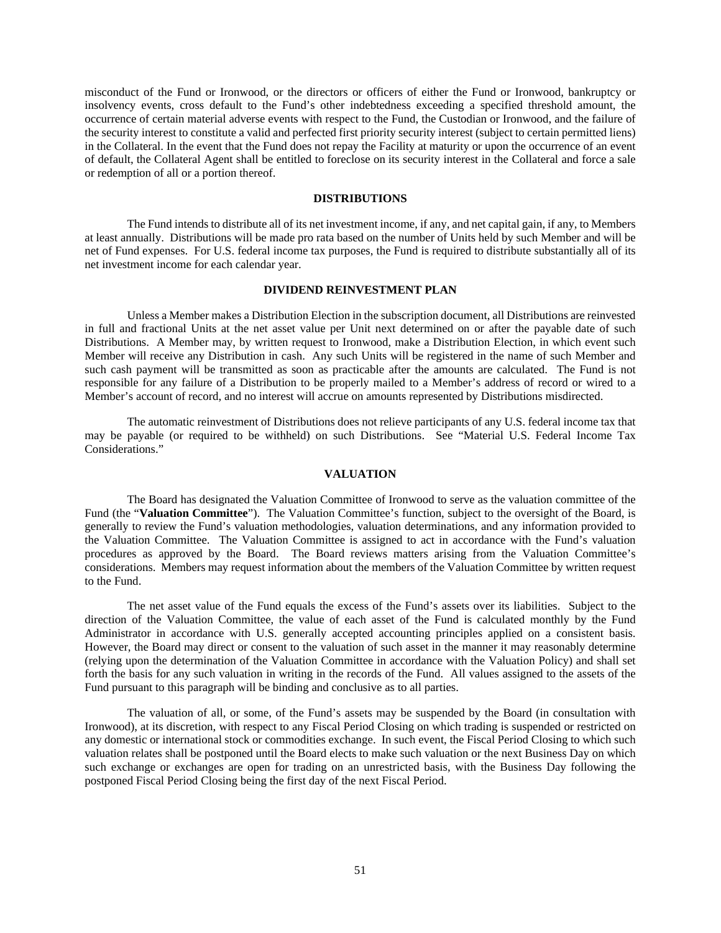misconduct of the Fund or Ironwood, or the directors or officers of either the Fund or Ironwood, bankruptcy or insolvency events, cross default to the Fund's other indebtedness exceeding a specified threshold amount, the occurrence of certain material adverse events with respect to the Fund, the Custodian or Ironwood, and the failure of the security interest to constitute a valid and perfected first priority security interest (subject to certain permitted liens) in the Collateral. In the event that the Fund does not repay the Facility at maturity or upon the occurrence of an event of default, the Collateral Agent shall be entitled to foreclose on its security interest in the Collateral and force a sale or redemption of all or a portion thereof.

## **DISTRIBUTIONS**

<span id="page-56-0"></span>The Fund intends to distribute all of its net investment income, if any, and net capital gain, if any, to Members at least annually. Distributions will be made pro rata based on the number of Units held by such Member and will be net of Fund expenses. For U.S. federal income tax purposes, the Fund is required to distribute substantially all of its net investment income for each calendar year.

## **DIVIDEND REINVESTMENT PLAN**

<span id="page-56-1"></span>Unless a Member makes a Distribution Election in the subscription document, all Distributions are reinvested in full and fractional Units at the net asset value per Unit next determined on or after the payable date of such Distributions. A Member may, by written request to Ironwood, make a Distribution Election, in which event such Member will receive any Distribution in cash. Any such Units will be registered in the name of such Member and such cash payment will be transmitted as soon as practicable after the amounts are calculated. The Fund is not responsible for any failure of a Distribution to be properly mailed to a Member's address of record or wired to a Member's account of record, and no interest will accrue on amounts represented by Distributions misdirected.

The automatic reinvestment of Distributions does not relieve participants of any U.S. federal income tax that may be payable (or required to be withheld) on such Distributions. See "Material U.S. Federal Income Tax Considerations."

## **VALUATION**

<span id="page-56-2"></span>The Board has designated the Valuation Committee of Ironwood to serve as the valuation committee of the Fund (the "**Valuation Committee**"). The Valuation Committee's function, subject to the oversight of the Board, is generally to review the Fund's valuation methodologies, valuation determinations, and any information provided to the Valuation Committee. The Valuation Committee is assigned to act in accordance with the Fund's valuation procedures as approved by the Board. The Board reviews matters arising from the Valuation Committee's considerations. Members may request information about the members of the Valuation Committee by written request to the Fund.

The net asset value of the Fund equals the excess of the Fund's assets over its liabilities. Subject to the direction of the Valuation Committee, the value of each asset of the Fund is calculated monthly by the Fund Administrator in accordance with U.S. generally accepted accounting principles applied on a consistent basis. However, the Board may direct or consent to the valuation of such asset in the manner it may reasonably determine (relying upon the determination of the Valuation Committee in accordance with the Valuation Policy) and shall set forth the basis for any such valuation in writing in the records of the Fund. All values assigned to the assets of the Fund pursuant to this paragraph will be binding and conclusive as to all parties.

The valuation of all, or some, of the Fund's assets may be suspended by the Board (in consultation with Ironwood), at its discretion, with respect to any Fiscal Period Closing on which trading is suspended or restricted on any domestic or international stock or commodities exchange. In such event, the Fiscal Period Closing to which such valuation relates shall be postponed until the Board elects to make such valuation or the next Business Day on which such exchange or exchanges are open for trading on an unrestricted basis, with the Business Day following the postponed Fiscal Period Closing being the first day of the next Fiscal Period.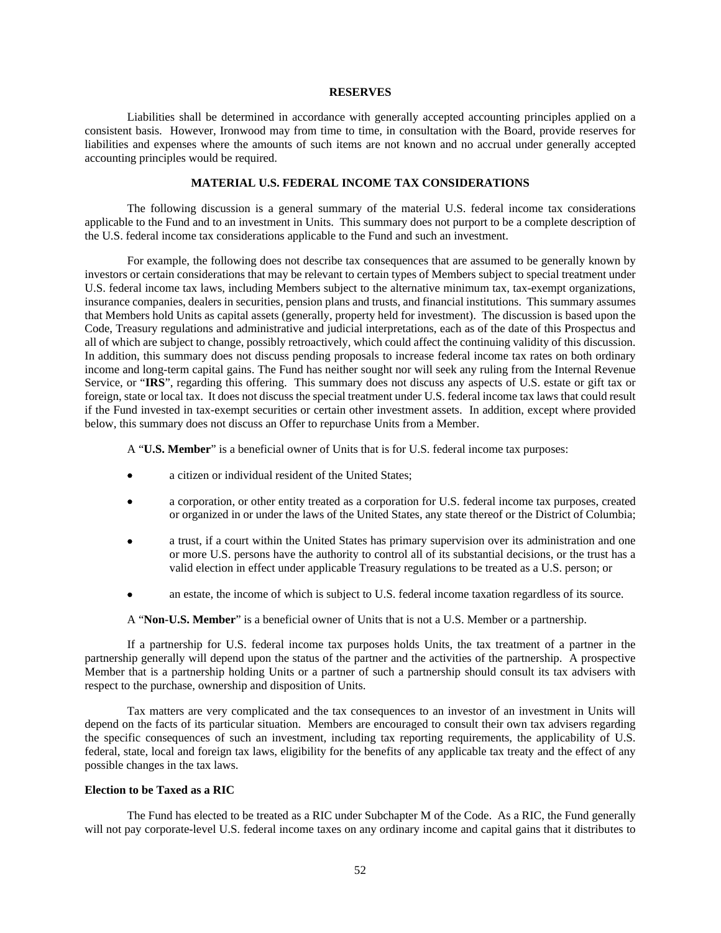## **RESERVES**

<span id="page-57-0"></span>Liabilities shall be determined in accordance with generally accepted accounting principles applied on a consistent basis. However, Ironwood may from time to time, in consultation with the Board, provide reserves for liabilities and expenses where the amounts of such items are not known and no accrual under generally accepted accounting principles would be required.

## **MATERIAL U.S. FEDERAL INCOME TAX CONSIDERATIONS**

<span id="page-57-1"></span>The following discussion is a general summary of the material U.S. federal income tax considerations applicable to the Fund and to an investment in Units. This summary does not purport to be a complete description of the U.S. federal income tax considerations applicable to the Fund and such an investment.

For example, the following does not describe tax consequences that are assumed to be generally known by investors or certain considerations that may be relevant to certain types of Members subject to special treatment under U.S. federal income tax laws, including Members subject to the alternative minimum tax, tax-exempt organizations, insurance companies, dealers in securities, pension plans and trusts, and financial institutions. This summary assumes that Members hold Units as capital assets (generally, property held for investment). The discussion is based upon the Code, Treasury regulations and administrative and judicial interpretations, each as of the date of this Prospectus and all of which are subject to change, possibly retroactively, which could affect the continuing validity of this discussion. In addition, this summary does not discuss pending proposals to increase federal income tax rates on both ordinary income and long-term capital gains. The Fund has neither sought nor will seek any ruling from the Internal Revenue Service, or "**IRS**", regarding this offering. This summary does not discuss any aspects of U.S. estate or gift tax or foreign, state or local tax. It does not discuss the special treatment under U.S. federal income tax laws that could result if the Fund invested in tax-exempt securities or certain other investment assets. In addition, except where provided below, this summary does not discuss an Offer to repurchase Units from a Member.

A "**U.S. Member**" is a beneficial owner of Units that is for U.S. federal income tax purposes:

- a citizen or individual resident of the United States:
- a corporation, or other entity treated as a corporation for U.S. federal income tax purposes, created or organized in or under the laws of the United States, any state thereof or the District of Columbia;
- a trust, if a court within the United States has primary supervision over its administration and one or more U.S. persons have the authority to control all of its substantial decisions, or the trust has a valid election in effect under applicable Treasury regulations to be treated as a U.S. person; or
- an estate, the income of which is subject to U.S. federal income taxation regardless of its source.
- A "**Non-U.S. Member**" is a beneficial owner of Units that is not a U.S. Member or a partnership.

If a partnership for U.S. federal income tax purposes holds Units, the tax treatment of a partner in the partnership generally will depend upon the status of the partner and the activities of the partnership. A prospective Member that is a partnership holding Units or a partner of such a partnership should consult its tax advisers with respect to the purchase, ownership and disposition of Units.

Tax matters are very complicated and the tax consequences to an investor of an investment in Units will depend on the facts of its particular situation. Members are encouraged to consult their own tax advisers regarding the specific consequences of such an investment, including tax reporting requirements, the applicability of U.S. federal, state, local and foreign tax laws, eligibility for the benefits of any applicable tax treaty and the effect of any possible changes in the tax laws.

## **Election to be Taxed as a RIC**

The Fund has elected to be treated as a RIC under Subchapter M of the Code. As a RIC, the Fund generally will not pay corporate-level U.S. federal income taxes on any ordinary income and capital gains that it distributes to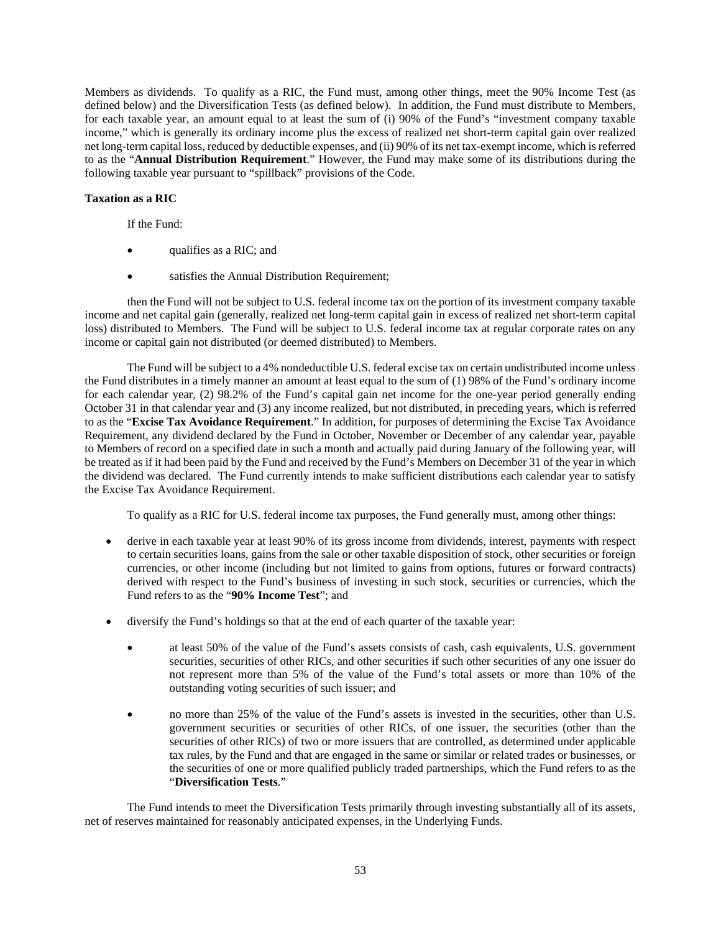Members as dividends. To qualify as a RIC, the Fund must, among other things, meet the 90% Income Test (as defined below) and the Diversification Tests (as defined below). In addition, the Fund must distribute to Members, for each taxable year, an amount equal to at least the sum of (i) 90% of the Fund's "investment company taxable income," which is generally its ordinary income plus the excess of realized net short-term capital gain over realized net long-term capital loss, reduced by deductible expenses, and (ii) 90% of its net tax-exempt income, which is referred to as the "**Annual Distribution Requirement**." However, the Fund may make some of its distributions during the following taxable year pursuant to "spillback" provisions of the Code.

## **Taxation as a RIC**

If the Fund:

- qualifies as a RIC; and
- satisfies the Annual Distribution Requirement;

then the Fund will not be subject to U.S. federal income tax on the portion of its investment company taxable income and net capital gain (generally, realized net long-term capital gain in excess of realized net short-term capital loss) distributed to Members. The Fund will be subject to U.S. federal income tax at regular corporate rates on any income or capital gain not distributed (or deemed distributed) to Members.

The Fund will be subject to a 4% nondeductible U.S. federal excise tax on certain undistributed income unless the Fund distributes in a timely manner an amount at least equal to the sum of (1) 98% of the Fund's ordinary income for each calendar year, (2) 98.2% of the Fund's capital gain net income for the one-year period generally ending October 31 in that calendar year and (3) any income realized, but not distributed, in preceding years, which is referred to as the "**Excise Tax Avoidance Requirement**." In addition, for purposes of determining the Excise Tax Avoidance Requirement, any dividend declared by the Fund in October, November or December of any calendar year, payable to Members of record on a specified date in such a month and actually paid during January of the following year, will be treated as if it had been paid by the Fund and received by the Fund's Members on December 31 of the year in which the dividend was declared. The Fund currently intends to make sufficient distributions each calendar year to satisfy the Excise Tax Avoidance Requirement.

To qualify as a RIC for U.S. federal income tax purposes, the Fund generally must, among other things:

- derive in each taxable year at least 90% of its gross income from dividends, interest, payments with respect to certain securities loans, gains from the sale or other taxable disposition of stock, other securities or foreign currencies, or other income (including but not limited to gains from options, futures or forward contracts) derived with respect to the Fund's business of investing in such stock, securities or currencies, which the Fund refers to as the "**90% Income Test**"; and
- diversify the Fund's holdings so that at the end of each quarter of the taxable year:
	- at least 50% of the value of the Fund's assets consists of cash, cash equivalents, U.S. government securities, securities of other RICs, and other securities if such other securities of any one issuer do not represent more than 5% of the value of the Fund's total assets or more than 10% of the outstanding voting securities of such issuer; and
	- no more than 25% of the value of the Fund's assets is invested in the securities, other than U.S. government securities or securities of other RICs, of one issuer, the securities (other than the securities of other RICs) of two or more issuers that are controlled, as determined under applicable tax rules, by the Fund and that are engaged in the same or similar or related trades or businesses, or the securities of one or more qualified publicly traded partnerships, which the Fund refers to as the "**Diversification Tests**."

The Fund intends to meet the Diversification Tests primarily through investing substantially all of its assets, net of reserves maintained for reasonably anticipated expenses, in the Underlying Funds.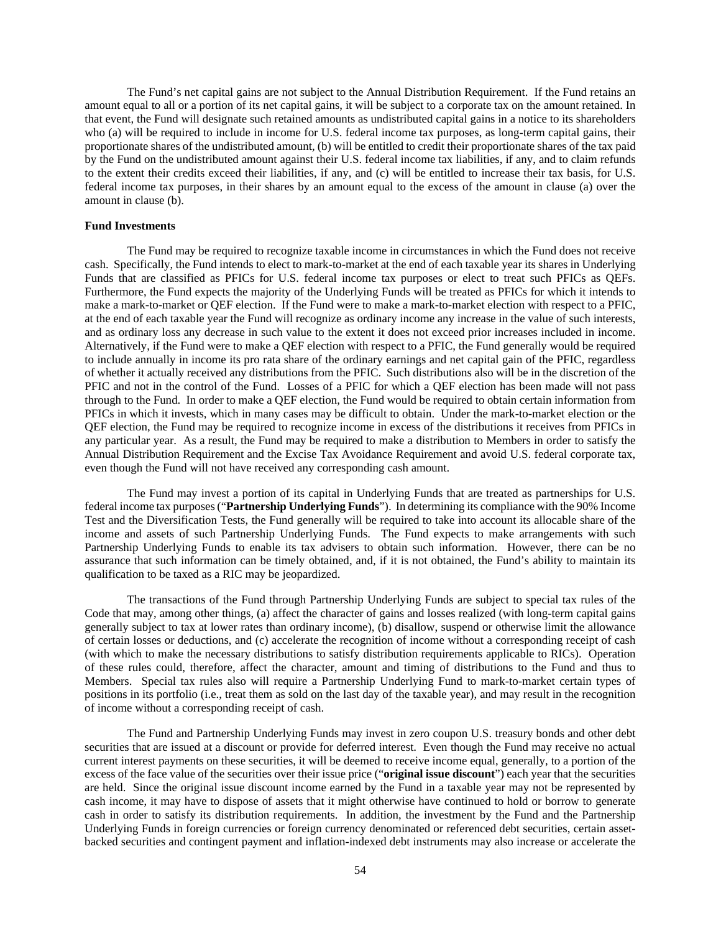The Fund's net capital gains are not subject to the Annual Distribution Requirement. If the Fund retains an amount equal to all or a portion of its net capital gains, it will be subject to a corporate tax on the amount retained. In that event, the Fund will designate such retained amounts as undistributed capital gains in a notice to its shareholders who (a) will be required to include in income for U.S. federal income tax purposes, as long-term capital gains, their proportionate shares of the undistributed amount, (b) will be entitled to credit their proportionate shares of the tax paid by the Fund on the undistributed amount against their U.S. federal income tax liabilities, if any, and to claim refunds to the extent their credits exceed their liabilities, if any, and (c) will be entitled to increase their tax basis, for U.S. federal income tax purposes, in their shares by an amount equal to the excess of the amount in clause (a) over the amount in clause (b).

## **Fund Investments**

The Fund may be required to recognize taxable income in circumstances in which the Fund does not receive cash. Specifically, the Fund intends to elect to mark-to-market at the end of each taxable year its shares in Underlying Funds that are classified as PFICs for U.S. federal income tax purposes or elect to treat such PFICs as QEFs. Furthermore, the Fund expects the majority of the Underlying Funds will be treated as PFICs for which it intends to make a mark-to-market or QEF election. If the Fund were to make a mark-to-market election with respect to a PFIC, at the end of each taxable year the Fund will recognize as ordinary income any increase in the value of such interests, and as ordinary loss any decrease in such value to the extent it does not exceed prior increases included in income. Alternatively, if the Fund were to make a QEF election with respect to a PFIC, the Fund generally would be required to include annually in income its pro rata share of the ordinary earnings and net capital gain of the PFIC, regardless of whether it actually received any distributions from the PFIC. Such distributions also will be in the discretion of the PFIC and not in the control of the Fund. Losses of a PFIC for which a QEF election has been made will not pass through to the Fund. In order to make a QEF election, the Fund would be required to obtain certain information from PFICs in which it invests, which in many cases may be difficult to obtain. Under the mark-to-market election or the QEF election, the Fund may be required to recognize income in excess of the distributions it receives from PFICs in any particular year. As a result, the Fund may be required to make a distribution to Members in order to satisfy the Annual Distribution Requirement and the Excise Tax Avoidance Requirement and avoid U.S. federal corporate tax, even though the Fund will not have received any corresponding cash amount.

The Fund may invest a portion of its capital in Underlying Funds that are treated as partnerships for U.S. federal income tax purposes ("**Partnership Underlying Funds**"). In determining its compliance with the 90% Income Test and the Diversification Tests, the Fund generally will be required to take into account its allocable share of the income and assets of such Partnership Underlying Funds. The Fund expects to make arrangements with such Partnership Underlying Funds to enable its tax advisers to obtain such information. However, there can be no assurance that such information can be timely obtained, and, if it is not obtained, the Fund's ability to maintain its qualification to be taxed as a RIC may be jeopardized.

The transactions of the Fund through Partnership Underlying Funds are subject to special tax rules of the Code that may, among other things, (a) affect the character of gains and losses realized (with long-term capital gains generally subject to tax at lower rates than ordinary income), (b) disallow, suspend or otherwise limit the allowance of certain losses or deductions, and (c) accelerate the recognition of income without a corresponding receipt of cash (with which to make the necessary distributions to satisfy distribution requirements applicable to RICs). Operation of these rules could, therefore, affect the character, amount and timing of distributions to the Fund and thus to Members. Special tax rules also will require a Partnership Underlying Fund to mark-to-market certain types of positions in its portfolio (i.e., treat them as sold on the last day of the taxable year), and may result in the recognition of income without a corresponding receipt of cash.

The Fund and Partnership Underlying Funds may invest in zero coupon U.S. treasury bonds and other debt securities that are issued at a discount or provide for deferred interest. Even though the Fund may receive no actual current interest payments on these securities, it will be deemed to receive income equal, generally, to a portion of the excess of the face value of the securities over their issue price ("**original issue discount**") each year that the securities are held. Since the original issue discount income earned by the Fund in a taxable year may not be represented by cash income, it may have to dispose of assets that it might otherwise have continued to hold or borrow to generate cash in order to satisfy its distribution requirements. In addition, the investment by the Fund and the Partnership Underlying Funds in foreign currencies or foreign currency denominated or referenced debt securities, certain assetbacked securities and contingent payment and inflation-indexed debt instruments may also increase or accelerate the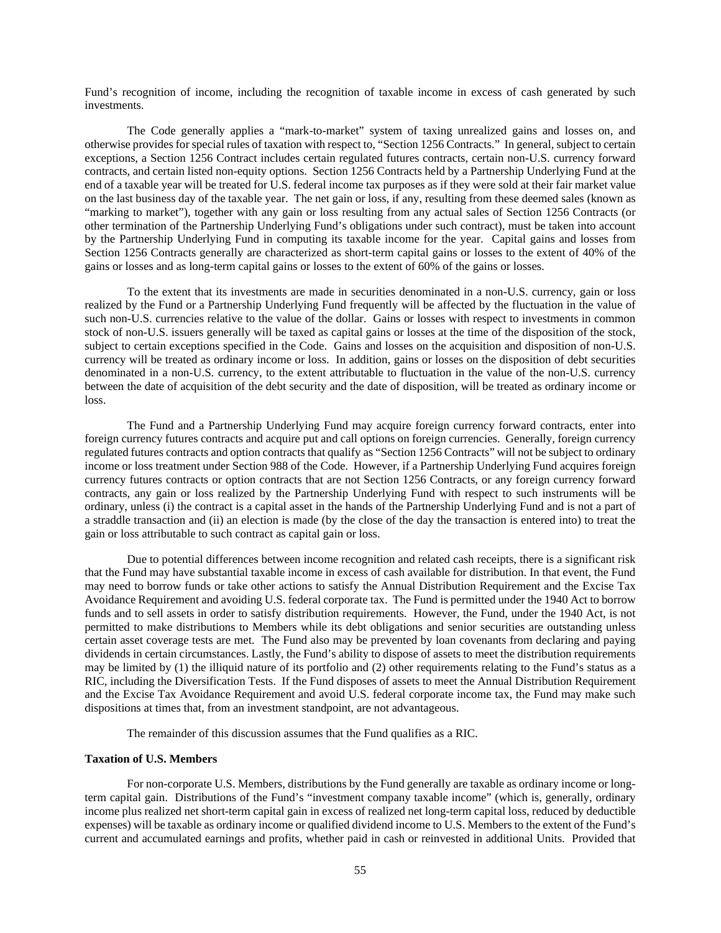Fund's recognition of income, including the recognition of taxable income in excess of cash generated by such investments.

The Code generally applies a "mark-to-market" system of taxing unrealized gains and losses on, and otherwise provides for special rules of taxation with respect to, "Section 1256 Contracts." In general, subject to certain exceptions, a Section 1256 Contract includes certain regulated futures contracts, certain non-U.S. currency forward contracts, and certain listed non-equity options. Section 1256 Contracts held by a Partnership Underlying Fund at the end of a taxable year will be treated for U.S. federal income tax purposes as if they were sold at their fair market value on the last business day of the taxable year. The net gain or loss, if any, resulting from these deemed sales (known as "marking to market"), together with any gain or loss resulting from any actual sales of Section 1256 Contracts (or other termination of the Partnership Underlying Fund's obligations under such contract), must be taken into account by the Partnership Underlying Fund in computing its taxable income for the year. Capital gains and losses from Section 1256 Contracts generally are characterized as short-term capital gains or losses to the extent of 40% of the gains or losses and as long-term capital gains or losses to the extent of 60% of the gains or losses.

To the extent that its investments are made in securities denominated in a non-U.S. currency, gain or loss realized by the Fund or a Partnership Underlying Fund frequently will be affected by the fluctuation in the value of such non-U.S. currencies relative to the value of the dollar. Gains or losses with respect to investments in common stock of non-U.S. issuers generally will be taxed as capital gains or losses at the time of the disposition of the stock, subject to certain exceptions specified in the Code. Gains and losses on the acquisition and disposition of non-U.S. currency will be treated as ordinary income or loss. In addition, gains or losses on the disposition of debt securities denominated in a non-U.S. currency, to the extent attributable to fluctuation in the value of the non-U.S. currency between the date of acquisition of the debt security and the date of disposition, will be treated as ordinary income or loss.

The Fund and a Partnership Underlying Fund may acquire foreign currency forward contracts, enter into foreign currency futures contracts and acquire put and call options on foreign currencies. Generally, foreign currency regulated futures contracts and option contracts that qualify as "Section 1256 Contracts" will not be subject to ordinary income or loss treatment under Section 988 of the Code. However, if a Partnership Underlying Fund acquires foreign currency futures contracts or option contracts that are not Section 1256 Contracts, or any foreign currency forward contracts, any gain or loss realized by the Partnership Underlying Fund with respect to such instruments will be ordinary, unless (i) the contract is a capital asset in the hands of the Partnership Underlying Fund and is not a part of a straddle transaction and (ii) an election is made (by the close of the day the transaction is entered into) to treat the gain or loss attributable to such contract as capital gain or loss.

Due to potential differences between income recognition and related cash receipts, there is a significant risk that the Fund may have substantial taxable income in excess of cash available for distribution. In that event, the Fund may need to borrow funds or take other actions to satisfy the Annual Distribution Requirement and the Excise Tax Avoidance Requirement and avoiding U.S. federal corporate tax. The Fund is permitted under the 1940 Act to borrow funds and to sell assets in order to satisfy distribution requirements. However, the Fund, under the 1940 Act, is not permitted to make distributions to Members while its debt obligations and senior securities are outstanding unless certain asset coverage tests are met. The Fund also may be prevented by loan covenants from declaring and paying dividends in certain circumstances. Lastly, the Fund's ability to dispose of assets to meet the distribution requirements may be limited by (1) the illiquid nature of its portfolio and (2) other requirements relating to the Fund's status as a RIC, including the Diversification Tests. If the Fund disposes of assets to meet the Annual Distribution Requirement and the Excise Tax Avoidance Requirement and avoid U.S. federal corporate income tax, the Fund may make such dispositions at times that, from an investment standpoint, are not advantageous.

The remainder of this discussion assumes that the Fund qualifies as a RIC.

### **Taxation of U.S. Members**

For non-corporate U.S. Members, distributions by the Fund generally are taxable as ordinary income or longterm capital gain. Distributions of the Fund's "investment company taxable income" (which is, generally, ordinary income plus realized net short-term capital gain in excess of realized net long-term capital loss, reduced by deductible expenses) will be taxable as ordinary income or qualified dividend income to U.S. Members to the extent of the Fund's current and accumulated earnings and profits, whether paid in cash or reinvested in additional Units. Provided that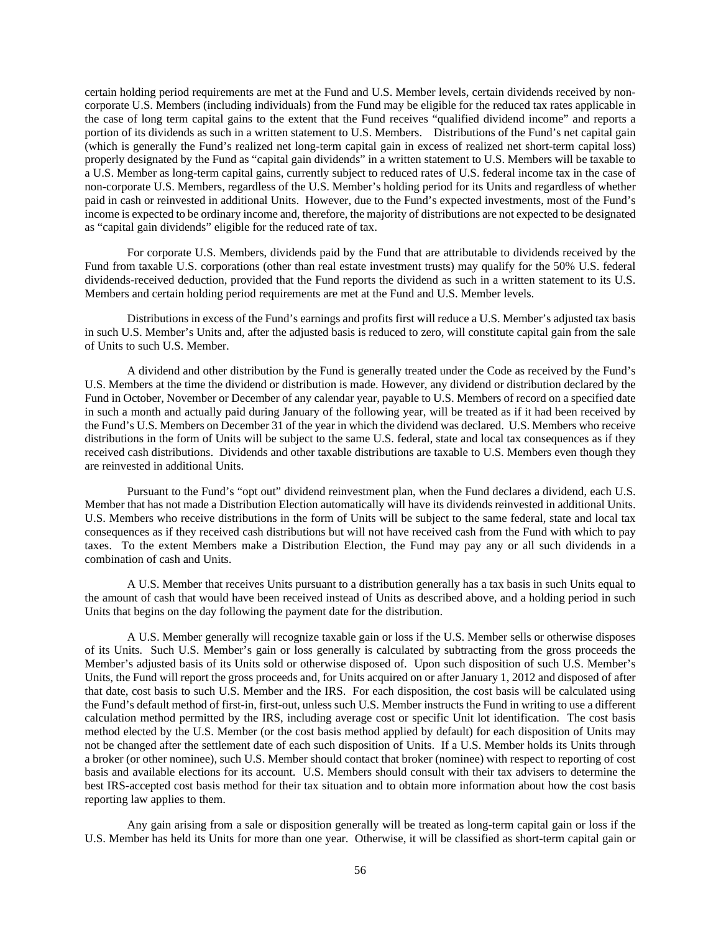certain holding period requirements are met at the Fund and U.S. Member levels, certain dividends received by noncorporate U.S. Members (including individuals) from the Fund may be eligible for the reduced tax rates applicable in the case of long term capital gains to the extent that the Fund receives "qualified dividend income" and reports a portion of its dividends as such in a written statement to U.S. Members. Distributions of the Fund's net capital gain (which is generally the Fund's realized net long-term capital gain in excess of realized net short-term capital loss) properly designated by the Fund as "capital gain dividends" in a written statement to U.S. Members will be taxable to a U.S. Member as long-term capital gains, currently subject to reduced rates of U.S. federal income tax in the case of non-corporate U.S. Members, regardless of the U.S. Member's holding period for its Units and regardless of whether paid in cash or reinvested in additional Units. However, due to the Fund's expected investments, most of the Fund's income is expected to be ordinary income and, therefore, the majority of distributions are not expected to be designated as "capital gain dividends" eligible for the reduced rate of tax.

For corporate U.S. Members, dividends paid by the Fund that are attributable to dividends received by the Fund from taxable U.S. corporations (other than real estate investment trusts) may qualify for the 50% U.S. federal dividends-received deduction, provided that the Fund reports the dividend as such in a written statement to its U.S. Members and certain holding period requirements are met at the Fund and U.S. Member levels.

Distributions in excess of the Fund's earnings and profits first will reduce a U.S. Member's adjusted tax basis in such U.S. Member's Units and, after the adjusted basis is reduced to zero, will constitute capital gain from the sale of Units to such U.S. Member.

A dividend and other distribution by the Fund is generally treated under the Code as received by the Fund's U.S. Members at the time the dividend or distribution is made. However, any dividend or distribution declared by the Fund in October, November or December of any calendar year, payable to U.S. Members of record on a specified date in such a month and actually paid during January of the following year, will be treated as if it had been received by the Fund's U.S. Members on December 31 of the year in which the dividend was declared. U.S. Members who receive distributions in the form of Units will be subject to the same U.S. federal, state and local tax consequences as if they received cash distributions. Dividends and other taxable distributions are taxable to U.S. Members even though they are reinvested in additional Units.

Pursuant to the Fund's "opt out" dividend reinvestment plan, when the Fund declares a dividend, each U.S. Member that has not made a Distribution Election automatically will have its dividends reinvested in additional Units. U.S. Members who receive distributions in the form of Units will be subject to the same federal, state and local tax consequences as if they received cash distributions but will not have received cash from the Fund with which to pay taxes. To the extent Members make a Distribution Election, the Fund may pay any or all such dividends in a combination of cash and Units.

A U.S. Member that receives Units pursuant to a distribution generally has a tax basis in such Units equal to the amount of cash that would have been received instead of Units as described above, and a holding period in such Units that begins on the day following the payment date for the distribution.

A U.S. Member generally will recognize taxable gain or loss if the U.S. Member sells or otherwise disposes of its Units. Such U.S. Member's gain or loss generally is calculated by subtracting from the gross proceeds the Member's adjusted basis of its Units sold or otherwise disposed of. Upon such disposition of such U.S. Member's Units, the Fund will report the gross proceeds and, for Units acquired on or after January 1, 2012 and disposed of after that date, cost basis to such U.S. Member and the IRS. For each disposition, the cost basis will be calculated using the Fund's default method of first-in, first-out, unless such U.S. Member instructs the Fund in writing to use a different calculation method permitted by the IRS, including average cost or specific Unit lot identification. The cost basis method elected by the U.S. Member (or the cost basis method applied by default) for each disposition of Units may not be changed after the settlement date of each such disposition of Units. If a U.S. Member holds its Units through a broker (or other nominee), such U.S. Member should contact that broker (nominee) with respect to reporting of cost basis and available elections for its account. U.S. Members should consult with their tax advisers to determine the best IRS-accepted cost basis method for their tax situation and to obtain more information about how the cost basis reporting law applies to them.

Any gain arising from a sale or disposition generally will be treated as long-term capital gain or loss if the U.S. Member has held its Units for more than one year. Otherwise, it will be classified as short-term capital gain or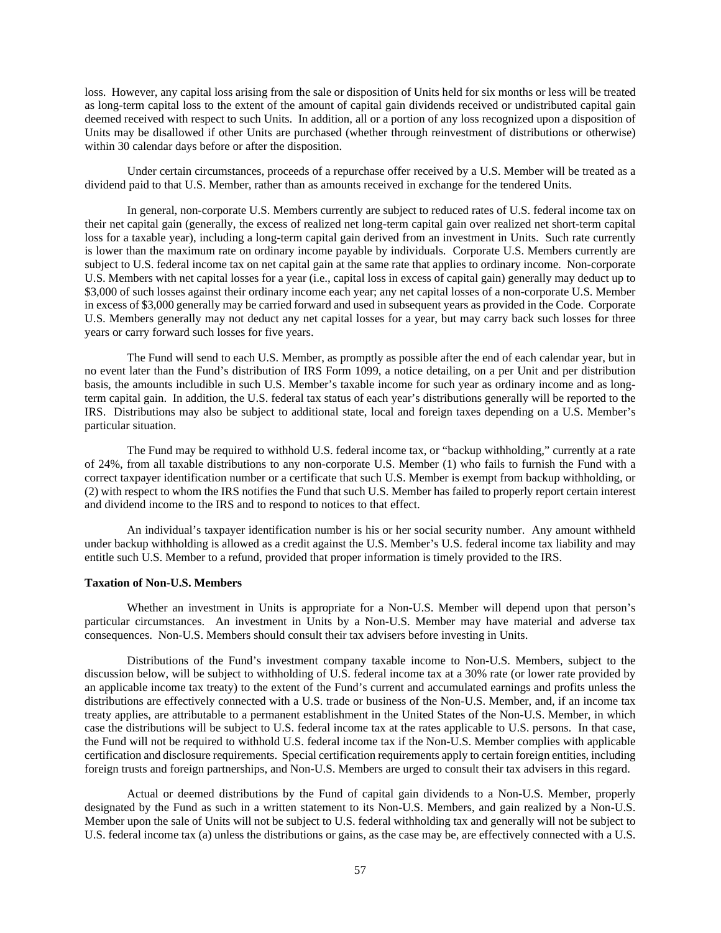loss. However, any capital loss arising from the sale or disposition of Units held for six months or less will be treated as long-term capital loss to the extent of the amount of capital gain dividends received or undistributed capital gain deemed received with respect to such Units. In addition, all or a portion of any loss recognized upon a disposition of Units may be disallowed if other Units are purchased (whether through reinvestment of distributions or otherwise) within 30 calendar days before or after the disposition.

Under certain circumstances, proceeds of a repurchase offer received by a U.S. Member will be treated as a dividend paid to that U.S. Member, rather than as amounts received in exchange for the tendered Units.

In general, non-corporate U.S. Members currently are subject to reduced rates of U.S. federal income tax on their net capital gain (generally, the excess of realized net long-term capital gain over realized net short-term capital loss for a taxable year), including a long-term capital gain derived from an investment in Units. Such rate currently is lower than the maximum rate on ordinary income payable by individuals. Corporate U.S. Members currently are subject to U.S. federal income tax on net capital gain at the same rate that applies to ordinary income. Non-corporate U.S. Members with net capital losses for a year (i.e., capital loss in excess of capital gain) generally may deduct up to \$3,000 of such losses against their ordinary income each year; any net capital losses of a non-corporate U.S. Member in excess of \$3,000 generally may be carried forward and used in subsequent years as provided in the Code. Corporate U.S. Members generally may not deduct any net capital losses for a year, but may carry back such losses for three years or carry forward such losses for five years.

The Fund will send to each U.S. Member, as promptly as possible after the end of each calendar year, but in no event later than the Fund's distribution of IRS Form 1099, a notice detailing, on a per Unit and per distribution basis, the amounts includible in such U.S. Member's taxable income for such year as ordinary income and as longterm capital gain. In addition, the U.S. federal tax status of each year's distributions generally will be reported to the IRS. Distributions may also be subject to additional state, local and foreign taxes depending on a U.S. Member's particular situation.

The Fund may be required to withhold U.S. federal income tax, or "backup withholding," currently at a rate of 24%, from all taxable distributions to any non-corporate U.S. Member (1) who fails to furnish the Fund with a correct taxpayer identification number or a certificate that such U.S. Member is exempt from backup withholding, or (2) with respect to whom the IRS notifies the Fund that such U.S. Member has failed to properly report certain interest and dividend income to the IRS and to respond to notices to that effect.

An individual's taxpayer identification number is his or her social security number. Any amount withheld under backup withholding is allowed as a credit against the U.S. Member's U.S. federal income tax liability and may entitle such U.S. Member to a refund, provided that proper information is timely provided to the IRS.

## **Taxation of Non-U.S. Members**

Whether an investment in Units is appropriate for a Non-U.S. Member will depend upon that person's particular circumstances. An investment in Units by a Non-U.S. Member may have material and adverse tax consequences. Non-U.S. Members should consult their tax advisers before investing in Units.

Distributions of the Fund's investment company taxable income to Non-U.S. Members, subject to the discussion below, will be subject to withholding of U.S. federal income tax at a 30% rate (or lower rate provided by an applicable income tax treaty) to the extent of the Fund's current and accumulated earnings and profits unless the distributions are effectively connected with a U.S. trade or business of the Non-U.S. Member, and, if an income tax treaty applies, are attributable to a permanent establishment in the United States of the Non-U.S. Member, in which case the distributions will be subject to U.S. federal income tax at the rates applicable to U.S. persons. In that case, the Fund will not be required to withhold U.S. federal income tax if the Non-U.S. Member complies with applicable certification and disclosure requirements. Special certification requirements apply to certain foreign entities, including foreign trusts and foreign partnerships, and Non-U.S. Members are urged to consult their tax advisers in this regard.

Actual or deemed distributions by the Fund of capital gain dividends to a Non-U.S. Member, properly designated by the Fund as such in a written statement to its Non-U.S. Members, and gain realized by a Non-U.S. Member upon the sale of Units will not be subject to U.S. federal withholding tax and generally will not be subject to U.S. federal income tax (a) unless the distributions or gains, as the case may be, are effectively connected with a U.S.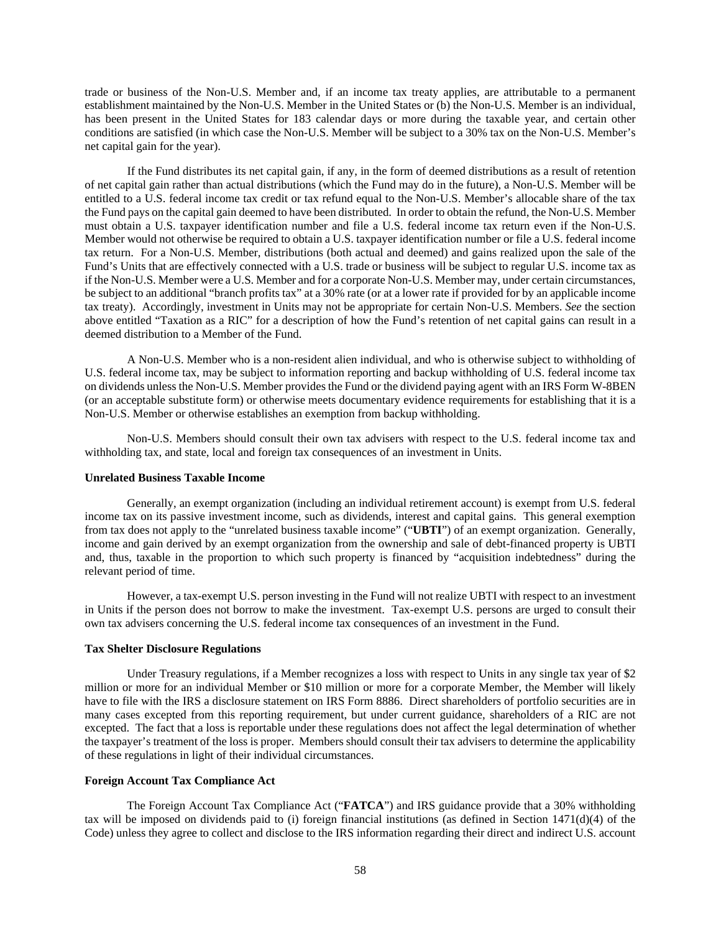trade or business of the Non-U.S. Member and, if an income tax treaty applies, are attributable to a permanent establishment maintained by the Non-U.S. Member in the United States or (b) the Non-U.S. Member is an individual, has been present in the United States for 183 calendar days or more during the taxable year, and certain other conditions are satisfied (in which case the Non-U.S. Member will be subject to a 30% tax on the Non-U.S. Member's net capital gain for the year).

If the Fund distributes its net capital gain, if any, in the form of deemed distributions as a result of retention of net capital gain rather than actual distributions (which the Fund may do in the future), a Non-U.S. Member will be entitled to a U.S. federal income tax credit or tax refund equal to the Non-U.S. Member's allocable share of the tax the Fund pays on the capital gain deemed to have been distributed. In order to obtain the refund, the Non-U.S. Member must obtain a U.S. taxpayer identification number and file a U.S. federal income tax return even if the Non-U.S. Member would not otherwise be required to obtain a U.S. taxpayer identification number or file a U.S. federal income tax return. For a Non-U.S. Member, distributions (both actual and deemed) and gains realized upon the sale of the Fund's Units that are effectively connected with a U.S. trade or business will be subject to regular U.S. income tax as if the Non-U.S. Member were a U.S. Member and for a corporate Non-U.S. Member may, under certain circumstances, be subject to an additional "branch profits tax" at a 30% rate (or at a lower rate if provided for by an applicable income tax treaty). Accordingly, investment in Units may not be appropriate for certain Non-U.S. Members. *See* the section above entitled "Taxation as a RIC" for a description of how the Fund's retention of net capital gains can result in a deemed distribution to a Member of the Fund.

A Non-U.S. Member who is a non-resident alien individual, and who is otherwise subject to withholding of U.S. federal income tax, may be subject to information reporting and backup withholding of U.S. federal income tax on dividends unless the Non-U.S. Member provides the Fund or the dividend paying agent with an IRS Form W-8BEN (or an acceptable substitute form) or otherwise meets documentary evidence requirements for establishing that it is a Non-U.S. Member or otherwise establishes an exemption from backup withholding.

Non-U.S. Members should consult their own tax advisers with respect to the U.S. federal income tax and withholding tax, and state, local and foreign tax consequences of an investment in Units.

#### **Unrelated Business Taxable Income**

Generally, an exempt organization (including an individual retirement account) is exempt from U.S. federal income tax on its passive investment income, such as dividends, interest and capital gains. This general exemption from tax does not apply to the "unrelated business taxable income" ("**UBTI**") of an exempt organization. Generally, income and gain derived by an exempt organization from the ownership and sale of debt-financed property is UBTI and, thus, taxable in the proportion to which such property is financed by "acquisition indebtedness" during the relevant period of time.

However, a tax-exempt U.S. person investing in the Fund will not realize UBTI with respect to an investment in Units if the person does not borrow to make the investment. Tax-exempt U.S. persons are urged to consult their own tax advisers concerning the U.S. federal income tax consequences of an investment in the Fund.

#### **Tax Shelter Disclosure Regulations**

Under Treasury regulations, if a Member recognizes a loss with respect to Units in any single tax year of \$2 million or more for an individual Member or \$10 million or more for a corporate Member, the Member will likely have to file with the IRS a disclosure statement on IRS Form 8886. Direct shareholders of portfolio securities are in many cases excepted from this reporting requirement, but under current guidance, shareholders of a RIC are not excepted. The fact that a loss is reportable under these regulations does not affect the legal determination of whether the taxpayer's treatment of the loss is proper. Members should consult their tax advisers to determine the applicability of these regulations in light of their individual circumstances.

### **Foreign Account Tax Compliance Act**

The Foreign Account Tax Compliance Act ("**FATCA**") and IRS guidance provide that a 30% withholding tax will be imposed on dividends paid to (i) foreign financial institutions (as defined in Section 1471(d)(4) of the Code) unless they agree to collect and disclose to the IRS information regarding their direct and indirect U.S. account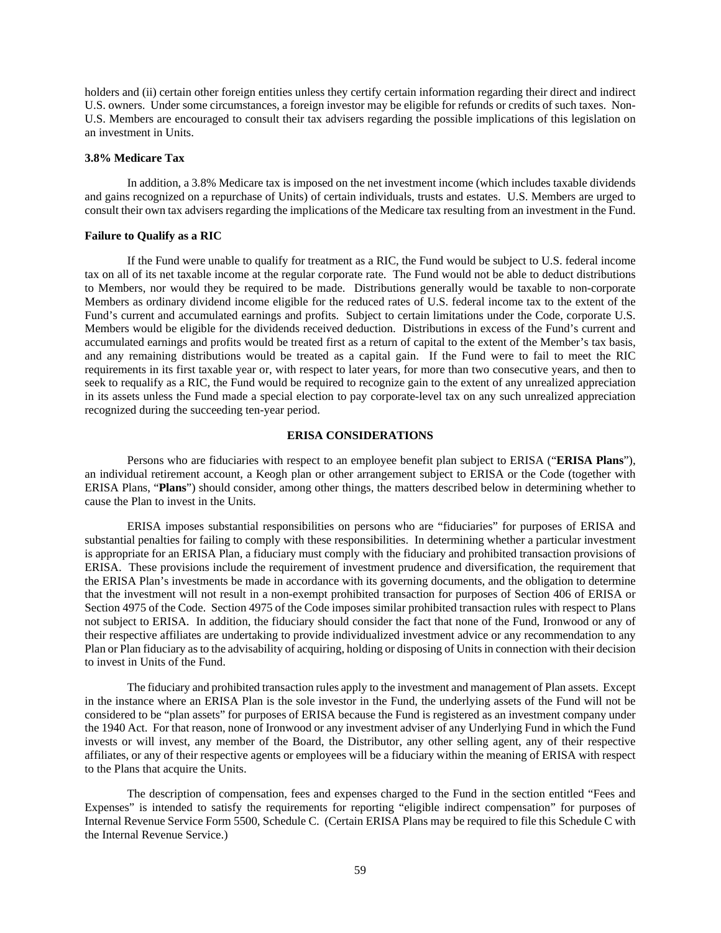holders and (ii) certain other foreign entities unless they certify certain information regarding their direct and indirect U.S. owners. Under some circumstances, a foreign investor may be eligible for refunds or credits of such taxes. Non-U.S. Members are encouraged to consult their tax advisers regarding the possible implications of this legislation on an investment in Units.

#### **3.8% Medicare Tax**

In addition, a 3.8% Medicare tax is imposed on the net investment income (which includes taxable dividends and gains recognized on a repurchase of Units) of certain individuals, trusts and estates. U.S. Members are urged to consult their own tax advisers regarding the implications of the Medicare tax resulting from an investment in the Fund.

## **Failure to Qualify as a RIC**

If the Fund were unable to qualify for treatment as a RIC, the Fund would be subject to U.S. federal income tax on all of its net taxable income at the regular corporate rate. The Fund would not be able to deduct distributions to Members, nor would they be required to be made. Distributions generally would be taxable to non-corporate Members as ordinary dividend income eligible for the reduced rates of U.S. federal income tax to the extent of the Fund's current and accumulated earnings and profits. Subject to certain limitations under the Code, corporate U.S. Members would be eligible for the dividends received deduction. Distributions in excess of the Fund's current and accumulated earnings and profits would be treated first as a return of capital to the extent of the Member's tax basis, and any remaining distributions would be treated as a capital gain. If the Fund were to fail to meet the RIC requirements in its first taxable year or, with respect to later years, for more than two consecutive years, and then to seek to requalify as a RIC, the Fund would be required to recognize gain to the extent of any unrealized appreciation in its assets unless the Fund made a special election to pay corporate-level tax on any such unrealized appreciation recognized during the succeeding ten-year period.

### **ERISA CONSIDERATIONS**

<span id="page-64-0"></span>Persons who are fiduciaries with respect to an employee benefit plan subject to ERISA ("**ERISA Plans**"), an individual retirement account, a Keogh plan or other arrangement subject to ERISA or the Code (together with ERISA Plans, "**Plans**") should consider, among other things, the matters described below in determining whether to cause the Plan to invest in the Units.

ERISA imposes substantial responsibilities on persons who are "fiduciaries" for purposes of ERISA and substantial penalties for failing to comply with these responsibilities. In determining whether a particular investment is appropriate for an ERISA Plan, a fiduciary must comply with the fiduciary and prohibited transaction provisions of ERISA. These provisions include the requirement of investment prudence and diversification, the requirement that the ERISA Plan's investments be made in accordance with its governing documents, and the obligation to determine that the investment will not result in a non-exempt prohibited transaction for purposes of Section 406 of ERISA or Section 4975 of the Code. Section 4975 of the Code imposes similar prohibited transaction rules with respect to Plans not subject to ERISA. In addition, the fiduciary should consider the fact that none of the Fund, Ironwood or any of their respective affiliates are undertaking to provide individualized investment advice or any recommendation to any Plan or Plan fiduciary as to the advisability of acquiring, holding or disposing of Units in connection with their decision to invest in Units of the Fund.

The fiduciary and prohibited transaction rules apply to the investment and management of Plan assets. Except in the instance where an ERISA Plan is the sole investor in the Fund, the underlying assets of the Fund will not be considered to be "plan assets" for purposes of ERISA because the Fund is registered as an investment company under the 1940 Act. For that reason, none of Ironwood or any investment adviser of any Underlying Fund in which the Fund invests or will invest, any member of the Board, the Distributor, any other selling agent, any of their respective affiliates, or any of their respective agents or employees will be a fiduciary within the meaning of ERISA with respect to the Plans that acquire the Units.

The description of compensation, fees and expenses charged to the Fund in the section entitled "Fees and Expenses" is intended to satisfy the requirements for reporting "eligible indirect compensation" for purposes of Internal Revenue Service Form 5500, Schedule C. (Certain ERISA Plans may be required to file this Schedule C with the Internal Revenue Service.)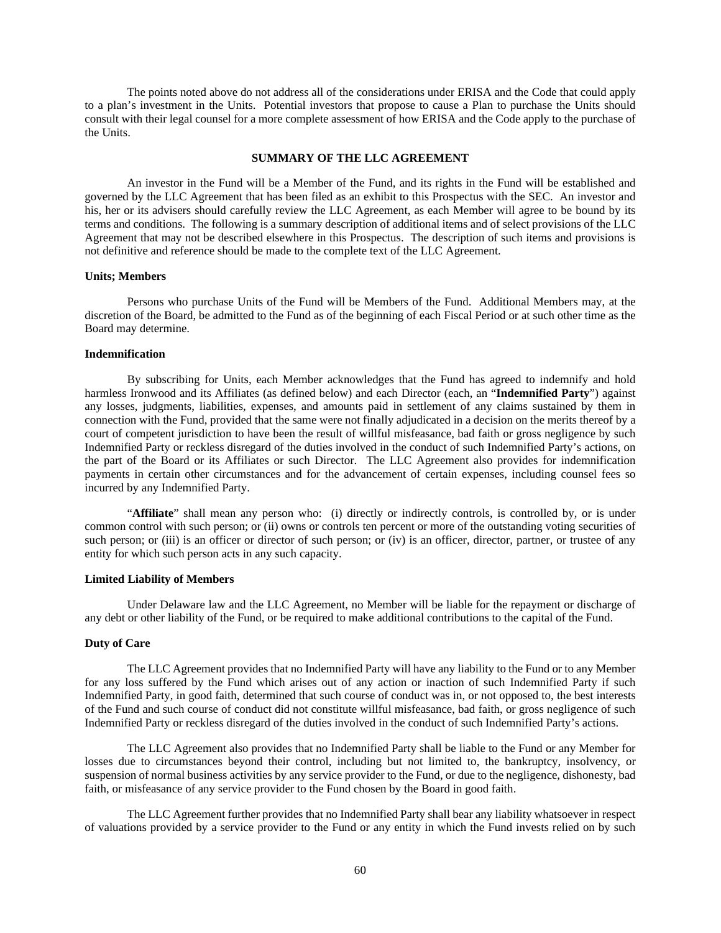The points noted above do not address all of the considerations under ERISA and the Code that could apply to a plan's investment in the Units. Potential investors that propose to cause a Plan to purchase the Units should consult with their legal counsel for a more complete assessment of how ERISA and the Code apply to the purchase of the Units.

## **SUMMARY OF THE LLC AGREEMENT**

<span id="page-65-0"></span>An investor in the Fund will be a Member of the Fund, and its rights in the Fund will be established and governed by the LLC Agreement that has been filed as an exhibit to this Prospectus with the SEC. An investor and his, her or its advisers should carefully review the LLC Agreement, as each Member will agree to be bound by its terms and conditions. The following is a summary description of additional items and of select provisions of the LLC Agreement that may not be described elsewhere in this Prospectus. The description of such items and provisions is not definitive and reference should be made to the complete text of the LLC Agreement.

#### **Units; Members**

Persons who purchase Units of the Fund will be Members of the Fund. Additional Members may, at the discretion of the Board, be admitted to the Fund as of the beginning of each Fiscal Period or at such other time as the Board may determine.

### **Indemnification**

By subscribing for Units, each Member acknowledges that the Fund has agreed to indemnify and hold harmless Ironwood and its Affiliates (as defined below) and each Director (each, an "**Indemnified Party**") against any losses, judgments, liabilities, expenses, and amounts paid in settlement of any claims sustained by them in connection with the Fund, provided that the same were not finally adjudicated in a decision on the merits thereof by a court of competent jurisdiction to have been the result of willful misfeasance, bad faith or gross negligence by such Indemnified Party or reckless disregard of the duties involved in the conduct of such Indemnified Party's actions, on the part of the Board or its Affiliates or such Director. The LLC Agreement also provides for indemnification payments in certain other circumstances and for the advancement of certain expenses, including counsel fees so incurred by any Indemnified Party.

"**Affiliate**" shall mean any person who: (i) directly or indirectly controls, is controlled by, or is under common control with such person; or (ii) owns or controls ten percent or more of the outstanding voting securities of such person; or (iii) is an officer or director of such person; or (iv) is an officer, director, partner, or trustee of any entity for which such person acts in any such capacity.

### **Limited Liability of Members**

Under Delaware law and the LLC Agreement, no Member will be liable for the repayment or discharge of any debt or other liability of the Fund, or be required to make additional contributions to the capital of the Fund.

#### **Duty of Care**

The LLC Agreement provides that no Indemnified Party will have any liability to the Fund or to any Member for any loss suffered by the Fund which arises out of any action or inaction of such Indemnified Party if such Indemnified Party, in good faith, determined that such course of conduct was in, or not opposed to, the best interests of the Fund and such course of conduct did not constitute willful misfeasance, bad faith, or gross negligence of such Indemnified Party or reckless disregard of the duties involved in the conduct of such Indemnified Party's actions.

The LLC Agreement also provides that no Indemnified Party shall be liable to the Fund or any Member for losses due to circumstances beyond their control, including but not limited to, the bankruptcy, insolvency, or suspension of normal business activities by any service provider to the Fund, or due to the negligence, dishonesty, bad faith, or misfeasance of any service provider to the Fund chosen by the Board in good faith.

The LLC Agreement further provides that no Indemnified Party shall bear any liability whatsoever in respect of valuations provided by a service provider to the Fund or any entity in which the Fund invests relied on by such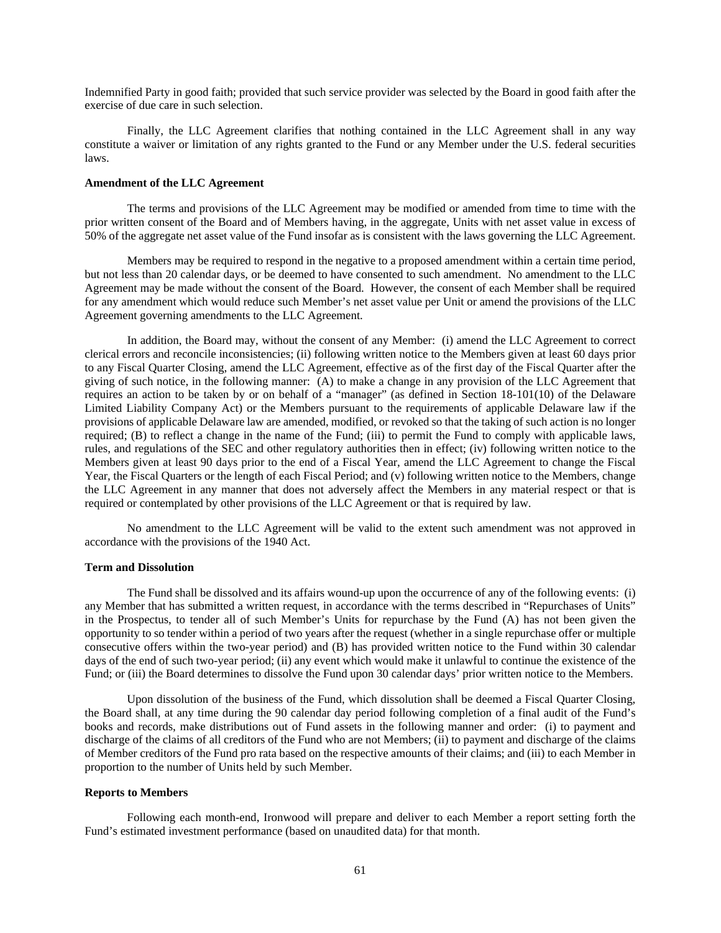Indemnified Party in good faith; provided that such service provider was selected by the Board in good faith after the exercise of due care in such selection.

Finally, the LLC Agreement clarifies that nothing contained in the LLC Agreement shall in any way constitute a waiver or limitation of any rights granted to the Fund or any Member under the U.S. federal securities laws.

#### **Amendment of the LLC Agreement**

The terms and provisions of the LLC Agreement may be modified or amended from time to time with the prior written consent of the Board and of Members having, in the aggregate, Units with net asset value in excess of 50% of the aggregate net asset value of the Fund insofar as is consistent with the laws governing the LLC Agreement.

Members may be required to respond in the negative to a proposed amendment within a certain time period, but not less than 20 calendar days, or be deemed to have consented to such amendment. No amendment to the LLC Agreement may be made without the consent of the Board. However, the consent of each Member shall be required for any amendment which would reduce such Member's net asset value per Unit or amend the provisions of the LLC Agreement governing amendments to the LLC Agreement.

In addition, the Board may, without the consent of any Member: (i) amend the LLC Agreement to correct clerical errors and reconcile inconsistencies; (ii) following written notice to the Members given at least 60 days prior to any Fiscal Quarter Closing, amend the LLC Agreement, effective as of the first day of the Fiscal Quarter after the giving of such notice, in the following manner: (A) to make a change in any provision of the LLC Agreement that requires an action to be taken by or on behalf of a "manager" (as defined in Section 18-101(10) of the Delaware Limited Liability Company Act) or the Members pursuant to the requirements of applicable Delaware law if the provisions of applicable Delaware law are amended, modified, or revoked so that the taking of such action is no longer required; (B) to reflect a change in the name of the Fund; (iii) to permit the Fund to comply with applicable laws, rules, and regulations of the SEC and other regulatory authorities then in effect; (iv) following written notice to the Members given at least 90 days prior to the end of a Fiscal Year, amend the LLC Agreement to change the Fiscal Year, the Fiscal Quarters or the length of each Fiscal Period; and (v) following written notice to the Members, change the LLC Agreement in any manner that does not adversely affect the Members in any material respect or that is required or contemplated by other provisions of the LLC Agreement or that is required by law.

No amendment to the LLC Agreement will be valid to the extent such amendment was not approved in accordance with the provisions of the 1940 Act.

## **Term and Dissolution**

The Fund shall be dissolved and its affairs wound-up upon the occurrence of any of the following events: (i) any Member that has submitted a written request, in accordance with the terms described in "Repurchases of Units" in the Prospectus, to tender all of such Member's Units for repurchase by the Fund (A) has not been given the opportunity to so tender within a period of two years after the request (whether in a single repurchase offer or multiple consecutive offers within the two-year period) and (B) has provided written notice to the Fund within 30 calendar days of the end of such two-year period; (ii) any event which would make it unlawful to continue the existence of the Fund; or (iii) the Board determines to dissolve the Fund upon 30 calendar days' prior written notice to the Members.

Upon dissolution of the business of the Fund, which dissolution shall be deemed a Fiscal Quarter Closing, the Board shall, at any time during the 90 calendar day period following completion of a final audit of the Fund's books and records, make distributions out of Fund assets in the following manner and order: (i) to payment and discharge of the claims of all creditors of the Fund who are not Members; (ii) to payment and discharge of the claims of Member creditors of the Fund pro rata based on the respective amounts of their claims; and (iii) to each Member in proportion to the number of Units held by such Member.

#### **Reports to Members**

Following each month-end, Ironwood will prepare and deliver to each Member a report setting forth the Fund's estimated investment performance (based on unaudited data) for that month.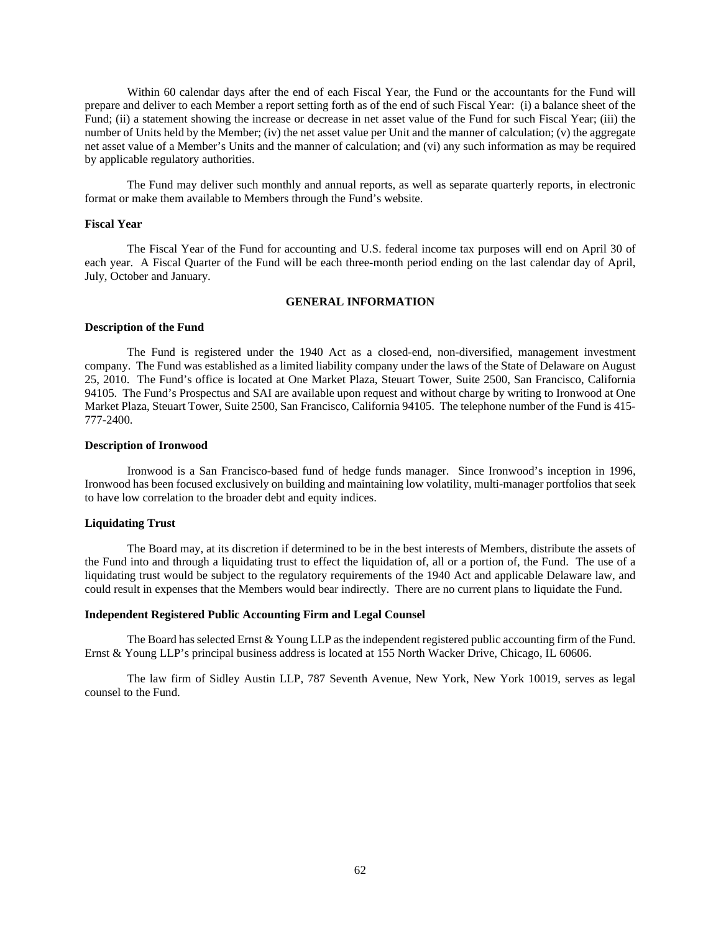Within 60 calendar days after the end of each Fiscal Year, the Fund or the accountants for the Fund will prepare and deliver to each Member a report setting forth as of the end of such Fiscal Year: (i) a balance sheet of the Fund; (ii) a statement showing the increase or decrease in net asset value of the Fund for such Fiscal Year; (iii) the number of Units held by the Member; (iv) the net asset value per Unit and the manner of calculation; (v) the aggregate net asset value of a Member's Units and the manner of calculation; and (vi) any such information as may be required by applicable regulatory authorities.

The Fund may deliver such monthly and annual reports, as well as separate quarterly reports, in electronic format or make them available to Members through the Fund's website.

#### **Fiscal Year**

The Fiscal Year of the Fund for accounting and U.S. federal income tax purposes will end on April 30 of each year. A Fiscal Quarter of the Fund will be each three-month period ending on the last calendar day of April, July, October and January.

### **GENERAL INFORMATION**

#### <span id="page-67-0"></span>**Description of the Fund**

The Fund is registered under the 1940 Act as a closed-end, non-diversified, management investment company. The Fund was established as a limited liability company under the laws of the State of Delaware on August 25, 2010. The Fund's office is located at One Market Plaza, Steuart Tower, Suite 2500, San Francisco, California 94105. The Fund's Prospectus and SAI are available upon request and without charge by writing to Ironwood at One Market Plaza, Steuart Tower, Suite 2500, San Francisco, California 94105. The telephone number of the Fund is 415- 777-2400.

## **Description of Ironwood**

Ironwood is a San Francisco-based fund of hedge funds manager. Since Ironwood's inception in 1996, Ironwood has been focused exclusively on building and maintaining low volatility, multi-manager portfolios that seek to have low correlation to the broader debt and equity indices.

## **Liquidating Trust**

The Board may, at its discretion if determined to be in the best interests of Members, distribute the assets of the Fund into and through a liquidating trust to effect the liquidation of, all or a portion of, the Fund. The use of a liquidating trust would be subject to the regulatory requirements of the 1940 Act and applicable Delaware law, and could result in expenses that the Members would bear indirectly. There are no current plans to liquidate the Fund.

### **Independent Registered Public Accounting Firm and Legal Counsel**

The Board has selected Ernst & Young LLP as the independent registered public accounting firm of the Fund. Ernst & Young LLP's principal business address is located at 155 North Wacker Drive, Chicago, IL 60606.

The law firm of Sidley Austin LLP, 787 Seventh Avenue, New York, New York 10019, serves as legal counsel to the Fund.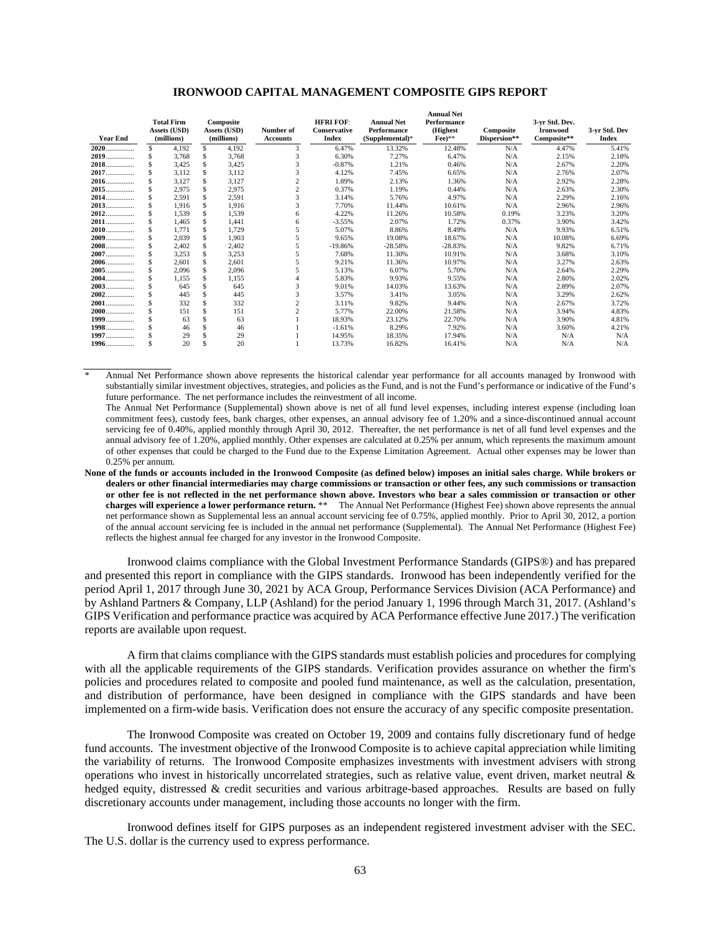## **IRONWOOD CAPITAL MANAGEMENT COMPOSITE GIPS REPORT**

**Annual Net**

<span id="page-68-0"></span>

| <b>Year End</b> | <b>Total Firm</b><br>Assets (USD)<br>(millions) | Composite<br>Assets (USD)<br>(millions) | Number of<br><b>Accounts</b> | <b>HFRI FOF:</b><br><b>Conservative</b><br><b>Index</b> | <b>Annual Net</b><br>Performance<br>$(Supplemental)*$ | Ашила і усі<br>Performance<br>(Highest<br>$\text{Fe}e$ )** | Composite<br>Dispersion** | 3-yr Std. Dev.<br><b>Ironwood</b><br>Composite** | 3-yr Std. Dev<br>Index |
|-----------------|-------------------------------------------------|-----------------------------------------|------------------------------|---------------------------------------------------------|-------------------------------------------------------|------------------------------------------------------------|---------------------------|--------------------------------------------------|------------------------|
| $2020$          | 4,192                                           | \$<br>4,192                             | 3                            | 6.47%                                                   | 13.32%                                                | 12.48%                                                     | N/A                       | 4.47%                                            | 5.41%                  |
| 2019            | 3.768                                           | 3,768                                   |                              | 6.30%                                                   | 7.27%                                                 | 6.47%                                                      | N/A                       | 2.15%                                            | 2.18%                  |
| $2018$          | 3,425                                           | 3,425                                   |                              | $-0.87%$                                                | 1.21%                                                 | 0.46%                                                      | N/A                       | 2.67%                                            | 2.20%                  |
| 2017            | 3,112                                           | 3,112                                   |                              | 4.12%                                                   | 7.45%                                                 | 6.65%                                                      | N/A                       | 2.76%                                            | 2.07%                  |
| 2016            | 3,127                                           | 3,127                                   |                              | 1.89%                                                   | 2.13%                                                 | 1.36%                                                      | N/A                       | 2.92%                                            | 2.28%                  |
| $2015$          | 2,975                                           | 2,975                                   |                              | 0.37%                                                   | 1.19%                                                 | 0.44%                                                      | N/A                       | 2.63%                                            | 2.30%                  |
| 2014            | 2,591                                           | 2,591                                   | 3                            | 3.14%                                                   | 5.76%                                                 | 4.97%                                                      | N/A                       | 2.29%                                            | 2.16%                  |
| $2013$          | 1.916                                           | 1.916                                   |                              | 7.70%                                                   | 11.44%                                                | 10.61%                                                     | N/A                       | 2.96%                                            | 2.96%                  |
| 2012            | 1,539                                           | 1,539                                   |                              | 4.22%                                                   | 11.26%                                                | 10.58%                                                     | 0.19%                     | 3.23%                                            | 3.20%                  |
| 2011            | 1,465                                           | 1,441                                   |                              | $-3.55%$                                                | 2.07%                                                 | 1.72%                                                      | 0.37%                     | 3.90%                                            | 3.42%                  |
| 2010            | 1.771                                           | 1,729                                   |                              | 5.07%                                                   | 8.86%                                                 | 8.49%                                                      | N/A                       | 9.93%                                            | 6.51%                  |
| 2009            | 2,039                                           | 1.903                                   |                              | 9.65%                                                   | 19.08%                                                | 18.67%                                                     | N/A                       | 10.08%                                           | 6.69%                  |
| $2008$          | 2,402                                           | 2,402                                   |                              | $-19.86%$                                               | $-28.58%$                                             | $-28.83%$                                                  | N/A                       | 9.82%                                            | 6.71%                  |
| 2007            | 3,253                                           | 3,253                                   |                              | 7.68%                                                   | 11.30%                                                | 10.91%                                                     | N/A                       | 3.68%                                            | 3.10%                  |
| 2006            | 2,601                                           | 2,601                                   |                              | 9.21%                                                   | 11.36%                                                | 10.97%                                                     | N/A                       | 3.27%                                            | 2.63%                  |
| 2005            | 2,096                                           | 2,096                                   |                              | 5.13%                                                   | 6.07%                                                 | 5.70%                                                      | N/A                       | 2.64%                                            | 2.29%                  |
| 2004            | 1,155                                           | 1,155                                   |                              | 5.83%                                                   | 9.93%                                                 | 9.55%                                                      | N/A                       | 2.80%                                            | 2.02%                  |
| 2003            | 645                                             | 645                                     |                              | 9.01%                                                   | 14.03%                                                | 13.63%                                                     | N/A                       | 2.89%                                            | 2.07%                  |
| 2002            | 445                                             | 445                                     |                              | 3.57%                                                   | 3.41%                                                 | 3.05%                                                      | N/A                       | 3.29%                                            | 2.62%                  |
| 2001            | 332                                             | 332                                     |                              | 3.11%                                                   | 9.82%                                                 | 9.44%                                                      | N/A                       | 2.67%                                            | 3.72%                  |
| 2000            | 151                                             | 151                                     |                              | 5.77%                                                   | 22.00%                                                | 21.58%                                                     | N/A                       | 3.94%                                            | 4.83%                  |
| 1999            | 63                                              | 63                                      |                              | 18.93%                                                  | 23.12%                                                | 22.70%                                                     | N/A                       | 3.90%                                            | 4.81%                  |
| 1998            | 46                                              | 46                                      |                              | $-1.61%$                                                | 8.29%                                                 | 7.92%                                                      | N/A                       | 3.60%                                            | 4.21%                  |
| 1997            | 29                                              | 29                                      |                              | 14.95%                                                  | 18.35%                                                | 17.94%                                                     | N/A                       | N/A                                              | N/A                    |
| 1996            | 20                                              | 20                                      |                              | 13.73%                                                  | 16.82%                                                | 16.41%                                                     | N/A                       | N/A                                              | N/A                    |

Annual Net Performance shown above represents the historical calendar year performance for all accounts managed by Ironwood with substantially similar investment objectives, strategies, and policies as the Fund, and is not the Fund's performance or indicative of the Fund's future performance. The net performance includes the reinvestment of all income.

The Annual Net Performance (Supplemental) shown above is net of all fund level expenses, including interest expense (including loan commitment fees), custody fees, bank charges, other expenses, an annual advisory fee of 1.20% and a since-discontinued annual account servicing fee of 0.40%, applied monthly through April 30, 2012. Thereafter, the net performance is net of all fund level expenses and the annual advisory fee of 1.20%, applied monthly. Other expenses are calculated at 0.25% per annum, which represents the maximum amount of other expenses that could be charged to the Fund due to the Expense Limitation Agreement. Actual other expenses may be lower than 0.25% per annum.

**None of the funds or accounts included in the Ironwood Composite (as defined below) imposes an initial sales charge. While brokers or dealers or other financial intermediaries may charge commissions or transaction or other fees, any such commissions or transaction or other fee is not reflected in the net performance shown above. Investors who bear a sales commission or transaction or other charges will experience a lower performance return.** \*\* The Annual Net Performance (Highest Fee) shown above represents the annual net performance shown as Supplemental less an annual account servicing fee of 0.75%, applied monthly. Prior to April 30, 2012, a portion of the annual account servicing fee is included in the annual net performance (Supplemental). The Annual Net Performance (Highest Fee) reflects the highest annual fee charged for any investor in the Ironwood Composite.

Ironwood claims compliance with the Global Investment Performance Standards (GIPS®) and has prepared and presented this report in compliance with the GIPS standards. Ironwood has been independently verified for the period April 1, 2017 through June 30, 2021 by ACA Group, Performance Services Division (ACA Performance) and by Ashland Partners & Company, LLP (Ashland) for the period January 1, 1996 through March 31, 2017. (Ashland's GIPS Verification and performance practice was acquired by ACA Performance effective June 2017.) The verification reports are available upon request.

A firm that claims compliance with the GIPS standards must establish policies and procedures for complying with all the applicable requirements of the GIPS standards. Verification provides assurance on whether the firm's policies and procedures related to composite and pooled fund maintenance, as well as the calculation, presentation, and distribution of performance, have been designed in compliance with the GIPS standards and have been implemented on a firm-wide basis. Verification does not ensure the accuracy of any specific composite presentation.

The Ironwood Composite was created on October 19, 2009 and contains fully discretionary fund of hedge fund accounts. The investment objective of the Ironwood Composite is to achieve capital appreciation while limiting the variability of returns. The Ironwood Composite emphasizes investments with investment advisers with strong operations who invest in historically uncorrelated strategies, such as relative value, event driven, market neutral  $\&$ hedged equity, distressed & credit securities and various arbitrage-based approaches. Results are based on fully discretionary accounts under management, including those accounts no longer with the firm.

Ironwood defines itself for GIPS purposes as an independent registered investment adviser with the SEC. The U.S. dollar is the currency used to express performance.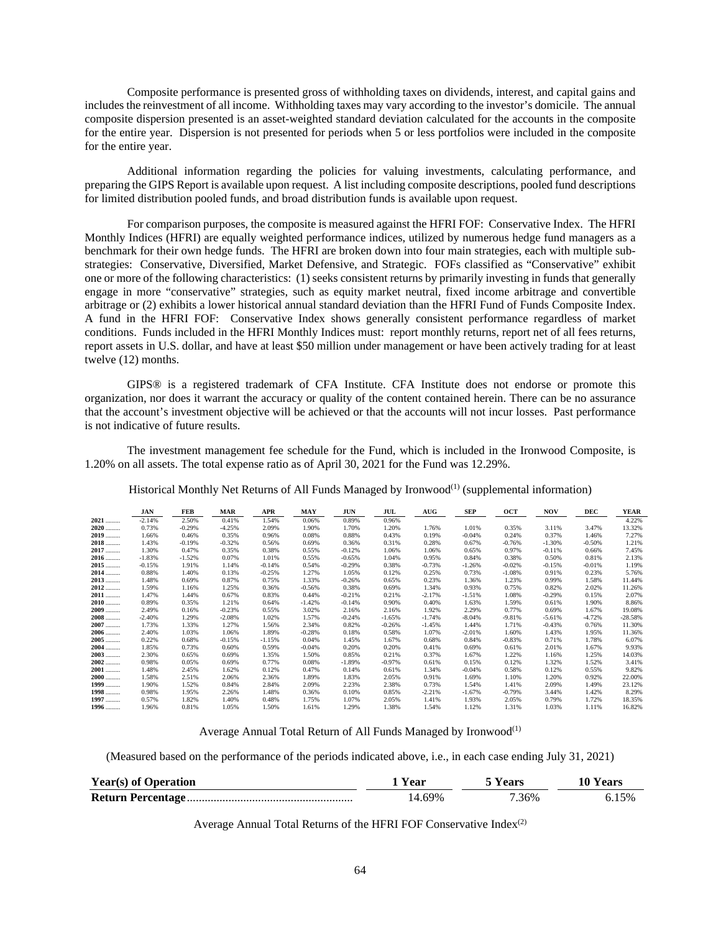Composite performance is presented gross of withholding taxes on dividends, interest, and capital gains and includes the reinvestment of all income. Withholding taxes may vary according to the investor's domicile. The annual composite dispersion presented is an asset-weighted standard deviation calculated for the accounts in the composite for the entire year. Dispersion is not presented for periods when 5 or less portfolios were included in the composite for the entire year.

Additional information regarding the policies for valuing investments, calculating performance, and preparing the GIPS Report is available upon request. A list including composite descriptions, pooled fund descriptions for limited distribution pooled funds, and broad distribution funds is available upon request.

For comparison purposes, the composite is measured against the HFRI FOF: Conservative Index. The HFRI Monthly Indices (HFRI) are equally weighted performance indices, utilized by numerous hedge fund managers as a benchmark for their own hedge funds. The HFRI are broken down into four main strategies, each with multiple substrategies: Conservative, Diversified, Market Defensive, and Strategic. FOFs classified as "Conservative" exhibit one or more of the following characteristics: (1) seeks consistent returns by primarily investing in funds that generally engage in more "conservative" strategies, such as equity market neutral, fixed income arbitrage and convertible arbitrage or (2) exhibits a lower historical annual standard deviation than the HFRI Fund of Funds Composite Index. A fund in the HFRI FOF: Conservative Index shows generally consistent performance regardless of market conditions. Funds included in the HFRI Monthly Indices must: report monthly returns, report net of all fees returns, report assets in U.S. dollar, and have at least \$50 million under management or have been actively trading for at least twelve (12) months.

GIPS® is a registered trademark of CFA Institute. CFA Institute does not endorse or promote this organization, nor does it warrant the accuracy or quality of the content contained herein. There can be no assurance that the account's investment objective will be achieved or that the accounts will not incur losses. Past performance is not indicative of future results.

The investment management fee schedule for the Fund, which is included in the Ironwood Composite, is 1.20% on all assets. The total expense ratio as of April 30, 2021 for the Fund was 12.29%.

|        | JAN      | <b>FEB</b> | <b>MAR</b> | <b>APR</b> | MAY      | JUN      | JUL      | AUG      | <b>SEP</b> | OCT      | <b>NOV</b> | <b>DEC</b> | YEAR      |
|--------|----------|------------|------------|------------|----------|----------|----------|----------|------------|----------|------------|------------|-----------|
| 2021   | $-2.14%$ | 2.50%      | 0.41%      | 1.54%      | 0.06%    | 0.89%    | 0.96%    |          |            |          |            |            | 4.22%     |
| 2020   | 0.73%    | $-0.29%$   | $-4.25%$   | 2.09%      | 1.90%    | 1.70%    | 1.20%    | 1.76%    | 1.01%      | 0.35%    | 3.11%      | 3.47%      | 13.32%    |
| 2019   | 1.66%    | 0.46%      | 0.35%      | 0.96%      | 0.08%    | 0.88%    | 0.43%    | 0.19%    | $-0.04%$   | 0.24%    | 0.37%      | 1.46%      | 7.27%     |
| $2018$ | 1.43%    | $-0.19%$   | $-0.32%$   | 0.56%      | 0.69%    | 0.36%    | 0.31%    | 0.28%    | 0.67%      | $-0.76%$ | $-1.30%$   | $-0.50%$   | 1.21%     |
| 2017   | 1.30%    | 0.47%      | 0.35%      | 0.38%      | 0.55%    | $-0.12%$ | 1.06%    | 1.06%    | 0.65%      | 0.97%    | $-0.11%$   | 0.66%      | 7.45%     |
| 2016   | $-1.83%$ | $-1.52%$   | 0.07%      | 1.01%      | 0.55%    | $-0.65%$ | 1.04%    | 0.95%    | 0.84%      | 0.38%    | 0.50%      | 0.81%      | 2.13%     |
| 2015   | $-0.15%$ | 1.91%      | 1.14%      | $-0.14%$   | 0.54%    | $-0.29%$ | 0.38%    | $-0.73%$ | $-1.26%$   | $-0.02%$ | $-0.15%$   | $-0.01%$   | 1.19%     |
| 2014   | 0.88%    | 1.40%      | 0.13%      | $-0.25%$   | 1.27%    | 1.05%    | 0.12%    | 0.25%    | 0.73%      | $-1.08%$ | 0.91%      | 0.23%      | 5.76%     |
| 2013   | 1.48%    | 0.69%      | 0.87%      | 0.75%      | 1.33%    | $-0.26%$ | 0.65%    | 0.23%    | 1.36%      | 1.23%    | 0.99%      | 1.58%      | 11.44%    |
| 2012   | 1.59%    | 1.16%      | 1.25%      | 0.36%      | $-0.56%$ | 0.38%    | 0.69%    | 1.34%    | 0.93%      | 0.75%    | 0.82%      | 2.02%      | 11.26%    |
| 2011   | 1.47%    | 1.44%      | 0.67%      | 0.83%      | 0.44%    | $-0.21%$ | 0.21%    | $-2.17%$ | $-1.51%$   | 1.08%    | $-0.29%$   | 0.15%      | 2.07%     |
| 2010   | 0.89%    | 0.35%      | 1.21%      | 0.64%      | $-1.42%$ | $-0.14%$ | 0.90%    | 0.40%    | 1.63%      | 1.59%    | 0.61%      | 1.90%      | 8.86%     |
| 2009   | 2.49%    | 0.16%      | $-0.23%$   | 0.55%      | 3.02%    | 2.16%    | 2.16%    | 1.92%    | 2.29%      | 0.77%    | 0.69%      | 1.67%      | 19.08%    |
| $2008$ | $-2.40%$ | 1.29%      | $-2.08%$   | 1.02%      | 1.57%    | $-0.24%$ | $-1.65%$ | $-1.74%$ | $-8.04%$   | $-9.81%$ | $-5.61%$   | $-4.72%$   | $-28.58%$ |
| 2007   | 1.73%    | 1.33%      | 1.27%      | 1.56%      | 2.34%    | 0.82%    | $-0.26%$ | $-1.45%$ | 1.44%      | 1.71%    | $-0.43%$   | 0.76%      | 11.30%    |
| $2006$ | 2.40%    | 1.03%      | 1.06%      | 1.89%      | $-0.28%$ | 0.18%    | 0.58%    | 1.07%    | $-2.01%$   | 1.60%    | 1.43%      | 1.95%      | 11.36%    |
| 2005   | 0.22%    | 0.68%      | $-0.15%$   | $-1.15%$   | 0.04%    | 1.45%    | 1.67%    | 0.68%    | 0.84%      | $-0.83%$ | 0.71%      | 1.78%      | 6.07%     |
| 2004   | 1.85%    | 0.73%      | 0.60%      | 0.59%      | $-0.04%$ | 0.20%    | 0.20%    | 0.41%    | 0.69%      | 0.61%    | 2.01%      | 1.67%      | 9.93%     |
| $2003$ | 2.30%    | 0.65%      | 0.69%      | 1.35%      | 1.50%    | 0.85%    | 0.21%    | 0.37%    | 1.67%      | 1.22%    | 1.16%      | 1.25%      | 14.03%    |
| 2002   | 0.98%    | 0.05%      | 0.69%      | 0.77%      | 0.08%    | $-1.89%$ | $-0.97%$ | 0.61%    | 0.15%      | 0.12%    | 1.32%      | 1.52%      | 3.41%     |
| 2001   | 1.48%    | 2.45%      | 1.62%      | 0.12%      | 0.47%    | 0.14%    | 0.61%    | 1.34%    | $-0.04%$   | 0.58%    | 0.12%      | 0.55%      | 9.82%     |
| 2000   | 1.58%    | 2.51%      | 2.06%      | 2.36%      | 1.89%    | 1.83%    | 2.05%    | 0.91%    | 1.69%      | 1.10%    | 1.20%      | 0.92%      | 22.00%    |
| 1999   | 1.90%    | 1.52%      | 0.84%      | 2.84%      | 2.09%    | 2.23%    | 2.38%    | 0.73%    | 1.54%      | 1.41%    | 2.09%      | 1.49%      | 23.12%    |
| 1998   | 0.98%    | 1.95%      | 2.26%      | 1.48%      | 0.36%    | 0.10%    | 0.85%    | $-2.21%$ | $-1.67%$   | $-0.79%$ | 3.44%      | 1.42%      | 8.29%     |
| 1997   | 0.57%    | 1.82%      | 1.40%      | 0.48%      | 1.75%    | 1.07%    | 2.05%    | 1.41%    | 1.93%      | 2.05%    | 0.79%      | 1.72%      | 18.35%    |
| 1996   | 1.96%    | 0.81%      | 1.05%      | 1.50%      | 1.61%    | 1.29%    | 1.38%    | 1.54%    | 1.12%      | 1.31%    | 1.03%      | 1.11%      | 16.82%    |

Historical Monthly Net Returns of All Funds Managed by Ironwood<sup>(1)</sup> (supplemental information)

Average Annual Total Return of All Funds Managed by Ironwood<sup>(1)</sup>

(Measured based on the performance of the periods indicated above, i.e., in each case ending July 31, 2021)

| <b>Year(s)</b> of Operation | . Year | 5 Years | <b>10 Years</b> |
|-----------------------------|--------|---------|-----------------|
|                             | 14.69% | 7.36%   | 6.15%           |

Average Annual Total Returns of the HFRI FOF Conservative Index<sup>(2)</sup>